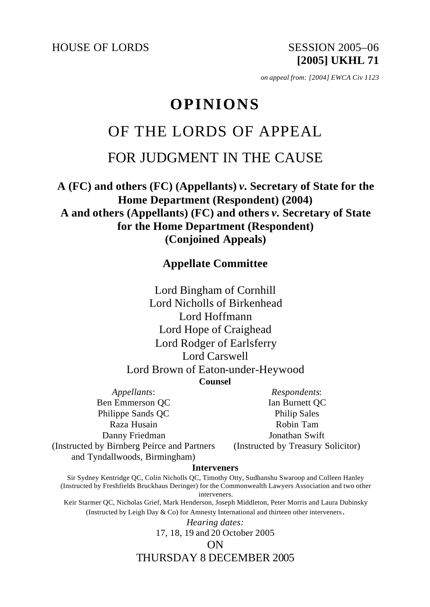HOUSE OF LORDS SESSION 2005–06

**[2005] UKHL 71**

*on appeal from: [2004] EWCA Civ 1123*

# **OPINIONS**

# OF THE LORDS OF APPEAL

FOR JUDGMENT IN THE CAUSE

**A (FC) and others (FC) (Appellants)** *v.* **Secretary of State for the Home Department (Respondent) (2004) A and others (Appellants) (FC) and others** *v.* **Secretary of State for the Home Department (Respondent) (Conjoined Appeals)**

# **Appellate Committee**

Lord Bingham of Cornhill Lord Nicholls of Birkenhead Lord Hoffmann Lord Hope of Craighead Lord Rodger of Earlsferry Lord Carswell Lord Brown of Eaton-under-Heywood **Counsel**

*Appellants*: Ben Emmerson QC Philippe Sands QC Raza Husain Danny Friedman (Instructed by Birnberg Peirce and Partners and Tyndallwoods, Birmingham)

*Respondents*: Ian Burnett QC Philip Sales Robin Tam Jonathan Swift (Instructed by Treasury Solicitor)

#### **Interveners**

Sir Sydney Kentridge QC, Colin Nicholls QC, Timothy Otty, Sudhanshu Swaroop and Colleen Hanley (Instructed by Freshfields Bruckhaus Deringer) for the Commonwealth Lawyers Association and two other interveners. Keir Starmer QC, Nicholas Grief, Mark Henderson, Joseph Middleton, Peter Morris and Laura Dubinsky

(Instructed by Leigh Day & Co) for Amnesty International and thirteen other interveners.

*Hearing dates:* 17, 18, 19 and 20 October 2005

#### ON

THURSDAY 8 DECEMBER 2005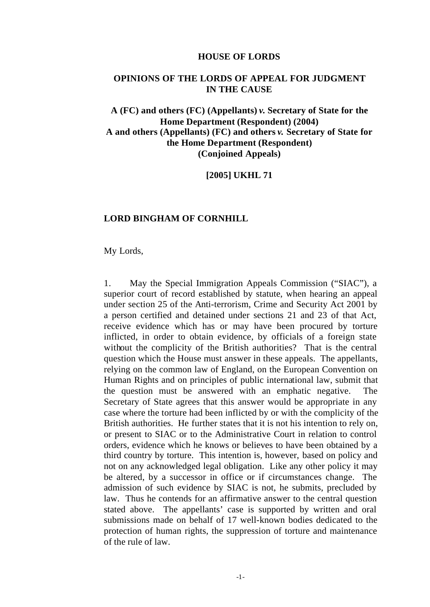#### **HOUSE OF LORDS**

#### **OPINIONS OF THE LORDS OF APPEAL FOR JUDGMENT IN THE CAUSE**

## **A (FC) and others (FC) (Appellants)** *v.* **Secretary of State for the Home Department (Respondent) (2004) A and others (Appellants) (FC) and others** *v.* **Secretary of State for the Home Department (Respondent) (Conjoined Appeals)**

**[2005] UKHL 71**

#### **LORD BINGHAM OF CORNHILL**

My Lords,

1. May the Special Immigration Appeals Commission ("SIAC"), a superior court of record established by statute, when hearing an appeal under section 25 of the Anti-terrorism, Crime and Security Act 2001 by a person certified and detained under sections 21 and 23 of that Act, receive evidence which has or may have been procured by torture inflicted, in order to obtain evidence, by officials of a foreign state without the complicity of the British authorities? That is the central question which the House must answer in these appeals. The appellants, relying on the common law of England, on the European Convention on Human Rights and on principles of public international law, submit that the question must be answered with an emphatic negative. The Secretary of State agrees that this answer would be appropriate in any case where the torture had been inflicted by or with the complicity of the British authorities. He further states that it is not his intention to rely on, or present to SIAC or to the Administrative Court in relation to control orders, evidence which he knows or believes to have been obtained by a third country by torture. This intention is, however, based on policy and not on any acknowledged legal obligation. Like any other policy it may be altered, by a successor in office or if circumstances change. The admission of such evidence by SIAC is not, he submits, precluded by law. Thus he contends for an affirmative answer to the central question stated above. The appellants' case is supported by written and oral submissions made on behalf of 17 well-known bodies dedicated to the protection of human rights, the suppression of torture and maintenance of the rule of law.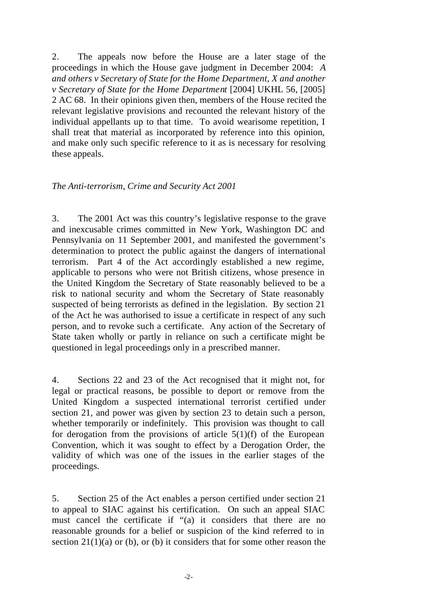2. The appeals now before the House are a later stage of the proceedings in which the House gave judgment in December 2004: *A and others v Secretary of State for the Home Department, X and another v Secretary of State for the Home Department* [2004] UKHL 56, [2005] 2 AC 68. In their opinions given then, members of the House recited the relevant legislative provisions and recounted the relevant history of the individual appellants up to that time. To avoid wearisome repetition, I shall treat that material as incorporated by reference into this opinion, and make only such specific reference to it as is necessary for resolving these appeals.

#### *The Anti-terrorism, Crime and Security Act 2001*

3. The 2001 Act was this country's legislative response to the grave and inexcusable crimes committed in New York, Washington DC and Pennsylvania on 11 September 2001, and manifested the government's determination to protect the public against the dangers of international terrorism. Part 4 of the Act accordingly established a new regime, applicable to persons who were not British citizens, whose presence in the United Kingdom the Secretary of State reasonably believed to be a risk to national security and whom the Secretary of State reasonably suspected of being terrorists as defined in the legislation. By section 21 of the Act he was authorised to issue a certificate in respect of any such person, and to revoke such a certificate. Any action of the Secretary of State taken wholly or partly in reliance on such a certificate might be questioned in legal proceedings only in a prescribed manner.

4. Sections 22 and 23 of the Act recognised that it might not, for legal or practical reasons, be possible to deport or remove from the United Kingdom a suspected international terrorist certified under section 21, and power was given by section 23 to detain such a person, whether temporarily or indefinitely. This provision was thought to call for derogation from the provisions of article  $5(1)(f)$  of the European Convention, which it was sought to effect by a Derogation Order, the validity of which was one of the issues in the earlier stages of the proceedings.

5. Section 25 of the Act enables a person certified under section 21 to appeal to SIAC against his certification. On such an appeal SIAC must cancel the certificate if "(a) it considers that there are no reasonable grounds for a belief or suspicion of the kind referred to in section  $21(1)(a)$  or (b), or (b) it considers that for some other reason the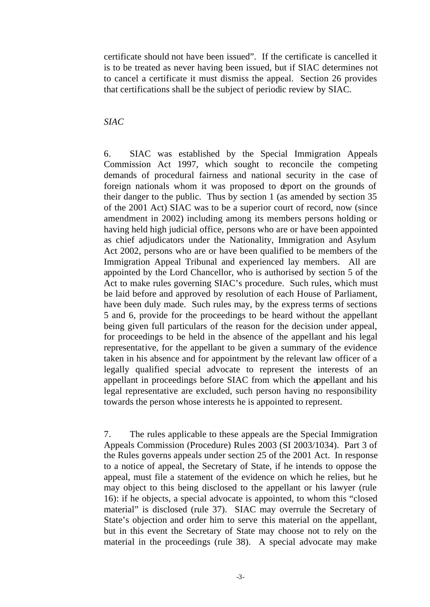certificate should not have been issued". If the certificate is cancelled it is to be treated as never having been issued, but if SIAC determines not to cancel a certificate it must dismiss the appeal. Section 26 provides that certifications shall be the subject of periodic review by SIAC.

#### *SIAC*

6. SIAC was established by the Special Immigration Appeals Commission Act 1997, which sought to reconcile the competing demands of procedural fairness and national security in the case of foreign nationals whom it was proposed to deport on the grounds of their danger to the public. Thus by section 1 (as amended by section 35 of the 2001 Act) SIAC was to be a superior court of record, now (since amendment in 2002) including among its members persons holding or having held high judicial office, persons who are or have been appointed as chief adjudicators under the Nationality, Immigration and Asylum Act 2002, persons who are or have been qualified to be members of the Immigration Appeal Tribunal and experienced lay members. All are appointed by the Lord Chancellor, who is authorised by section 5 of the Act to make rules governing SIAC's procedure. Such rules, which must be laid before and approved by resolution of each House of Parliament, have been duly made. Such rules may, by the express terms of sections 5 and 6, provide for the proceedings to be heard without the appellant being given full particulars of the reason for the decision under appeal, for proceedings to be held in the absence of the appellant and his legal representative, for the appellant to be given a summary of the evidence taken in his absence and for appointment by the relevant law officer of a legally qualified special advocate to represent the interests of an appellant in proceedings before SIAC from which the appellant and his legal representative are excluded, such person having no responsibility towards the person whose interests he is appointed to represent.

7. The rules applicable to these appeals are the Special Immigration Appeals Commission (Procedure) Rules 2003 (SI 2003/1034). Part 3 of the Rules governs appeals under section 25 of the 2001 Act. In response to a notice of appeal, the Secretary of State, if he intends to oppose the appeal, must file a statement of the evidence on which he relies, but he may object to this being disclosed to the appellant or his lawyer (rule 16): if he objects, a special advocate is appointed, to whom this "closed material" is disclosed (rule 37). SIAC may overrule the Secretary of State's objection and order him to serve this material on the appellant, but in this event the Secretary of State may choose not to rely on the material in the proceedings (rule 38). A special advocate may make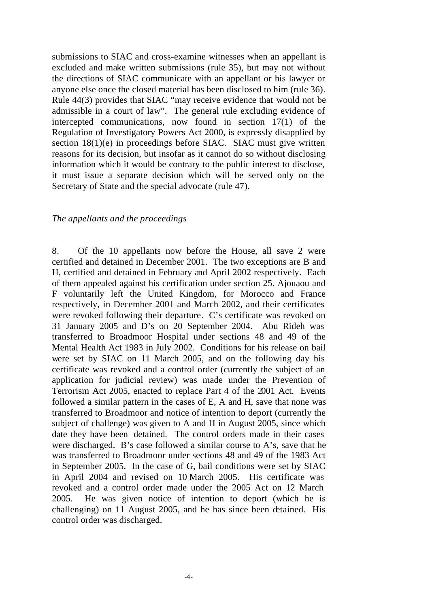submissions to SIAC and cross-examine witnesses when an appellant is excluded and make written submissions (rule 35), but may not without the directions of SIAC communicate with an appellant or his lawyer or anyone else once the closed material has been disclosed to him (rule 36). Rule 44(3) provides that SIAC "may receive evidence that would not be admissible in a court of law". The general rule excluding evidence of intercepted communications, now found in section 17(1) of the Regulation of Investigatory Powers Act 2000, is expressly disapplied by section 18(1)(e) in proceedings before SIAC. SIAC must give written reasons for its decision, but insofar as it cannot do so without disclosing information which it would be contrary to the public interest to disclose, it must issue a separate decision which will be served only on the Secretary of State and the special advocate (rule 47).

#### *The appellants and the proceedings*

8. Of the 10 appellants now before the House, all save 2 were certified and detained in December 2001. The two exceptions are B and H, certified and detained in February and April 2002 respectively. Each of them appealed against his certification under section 25. Ajouaou and F voluntarily left the United Kingdom, for Morocco and France respectively, in December 2001 and March 2002, and their certificates were revoked following their departure. C's certificate was revoked on 31 January 2005 and D's on 20 September 2004. Abu Rideh was transferred to Broadmoor Hospital under sections 48 and 49 of the Mental Health Act 1983 in July 2002. Conditions for his release on bail were set by SIAC on 11 March 2005, and on the following day his certificate was revoked and a control order (currently the subject of an application for judicial review) was made under the Prevention of Terrorism Act 2005, enacted to replace Part 4 of the 2001 Act. Events followed a similar pattern in the cases of E, A and H, save that none was transferred to Broadmoor and notice of intention to deport (currently the subject of challenge) was given to A and H in August 2005, since which date they have been detained. The control orders made in their cases were discharged. B's case followed a similar course to A's, save that he was transferred to Broadmoor under sections 48 and 49 of the 1983 Act in September 2005. In the case of G, bail conditions were set by SIAC in April 2004 and revised on 10 March 2005. His certificate was revoked and a control order made under the 2005 Act on 12 March 2005. He was given notice of intention to deport (which he is challenging) on 11 August 2005, and he has since been detained. His control order was discharged.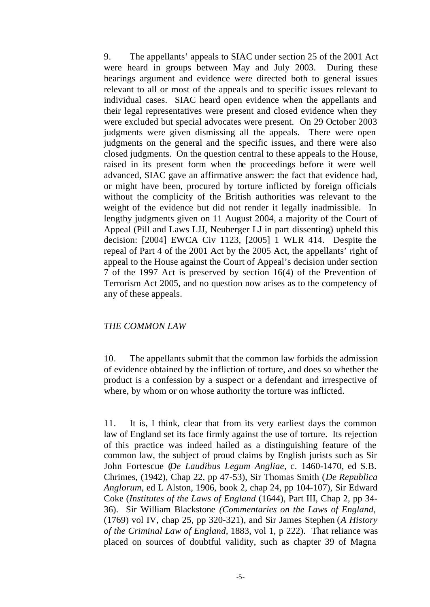9. The appellants' appeals to SIAC under section 25 of the 2001 Act were heard in groups between May and July 2003. During these hearings argument and evidence were directed both to general issues relevant to all or most of the appeals and to specific issues relevant to individual cases. SIAC heard open evidence when the appellants and their legal representatives were present and closed evidence when they were excluded but special advocates were present. On 29 October 2003 judgments were given dismissing all the appeals. There were open judgments on the general and the specific issues, and there were also closed judgments. On the question central to these appeals to the House, raised in its present form when the proceedings before it were well advanced, SIAC gave an affirmative answer: the fact that evidence had, or might have been, procured by torture inflicted by foreign officials without the complicity of the British authorities was relevant to the weight of the evidence but did not render it legally inadmissible. In lengthy judgments given on 11 August 2004, a majority of the Court of Appeal (Pill and Laws LJJ, Neuberger LJ in part dissenting) upheld this decision: [2004] EWCA Civ 1123, [2005] 1 WLR 414. Despite the repeal of Part 4 of the 2001 Act by the 2005 Act, the appellants' right of appeal to the House against the Court of Appeal's decision under section 7 of the 1997 Act is preserved by section 16(4) of the Prevention of Terrorism Act 2005, and no question now arises as to the competency of any of these appeals.

## *THE COMMON LAW*

10. The appellants submit that the common law forbids the admission of evidence obtained by the infliction of torture, and does so whether the product is a confession by a suspect or a defendant and irrespective of where, by whom or on whose authority the torture was inflicted.

11. It is, I think, clear that from its very earliest days the common law of England set its face firmly against the use of torture. Its rejection of this practice was indeed hailed as a distinguishing feature of the common law, the subject of proud claims by English jurists such as Sir John Fortescue (*De Laudibus Legum Angliae,* c. 1460-1470, ed S.B. Chrimes, (1942), Chap 22, pp 47-53), Sir Thomas Smith (*De Republica Anglorum,* ed L Alston, 1906, book 2, chap 24, pp 104-107), Sir Edward Coke (*Institutes of the Laws of England* (1644), Part III, Chap 2, pp 34- 36). Sir William Blackstone *(Commentaries on the Laws of England,*  (1769) vol IV, chap 25, pp 320-321), and Sir James Stephen (*A History of the Criminal Law of England,* 1883, vol 1, p 222). That reliance was placed on sources of doubtful validity, such as chapter 39 of Magna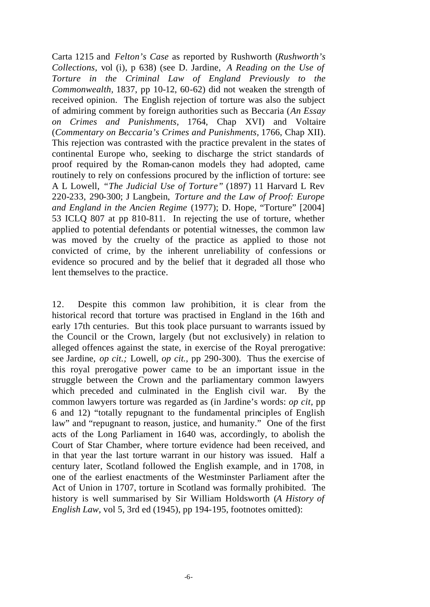Carta 1215 and *Felton's Case* as reported by Rushworth (*Rushworth's Collections,* vol (i), p 638) (see D. Jardine, *A Reading on the Use of Torture in the Criminal Law of England Previously to the Commonwealth,* 1837, pp 10-12, 60-62) did not weaken the strength of received opinion. The English rejection of torture was also the subject of admiring comment by foreign authorities such as Beccaria (*An Essay on Crimes and Punishments,* 1764, Chap XVI) and Voltaire (*Commentary on Beccaria's Crimes and Punishments,* 1766, Chap XII). This rejection was contrasted with the practice prevalent in the states of continental Europe who, seeking to discharge the strict standards of proof required by the Roman-canon models they had adopted, came routinely to rely on confessions procured by the infliction of torture: see A L Lowell, *"The Judicial Use of Torture"* (1897) 11 Harvard L Rev 220-233, 290-300; J Langbein, *Torture and the Law of Proof: Europe and England in the Ancien Regime* (1977); D. Hope, "Torture" [2004] 53 ICLQ 807 at pp 810-811. In rejecting the use of torture, whether applied to potential defendants or potential witnesses, the common law was moved by the cruelty of the practice as applied to those not convicted of crime, by the inherent unreliability of confessions or evidence so procured and by the belief that it degraded all those who lent themselves to the practice.

12. Despite this common law prohibition, it is clear from the historical record that torture was practised in England in the 16th and early 17th centuries. But this took place pursuant to warrants issued by the Council or the Crown, largely (but not exclusively) in relation to alleged offences against the state, in exercise of the Royal prerogative: see Jardine, *op cit.;* Lowell, *op cit.,* pp 290-300). Thus the exercise of this royal prerogative power came to be an important issue in the struggle between the Crown and the parliamentary common lawyers which preceded and culminated in the English civil war. By the common lawyers torture was regarded as (in Jardine's words: *op cit,* pp 6 and 12) "totally repugnant to the fundamental principles of English law" and "repugnant to reason, justice, and humanity." One of the first acts of the Long Parliament in 1640 was, accordingly, to abolish the Court of Star Chamber, where torture evidence had been received, and in that year the last torture warrant in our history was issued. Half a century later, Scotland followed the English example, and in 1708, in one of the earliest enactments of the Westminster Parliament after the Act of Union in 1707, torture in Scotland was formally prohibited. The history is well summarised by Sir William Holdsworth (*A History of English Law,* vol 5, 3rd ed (1945), pp 194-195, footnotes omitted):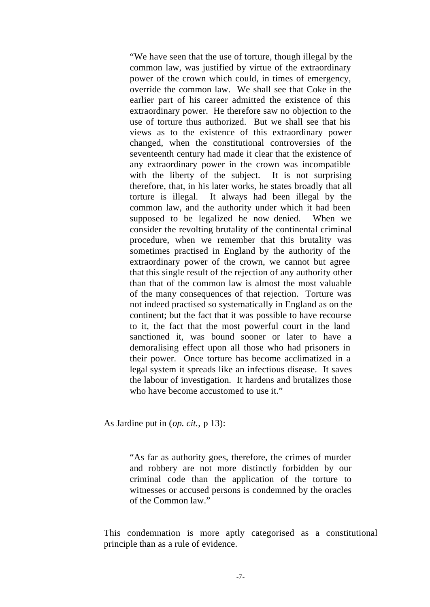"We have seen that the use of torture, though illegal by the common law, was justified by virtue of the extraordinary power of the crown which could, in times of emergency, override the common law. We shall see that Coke in the earlier part of his career admitted the existence of this extraordinary power. He therefore saw no objection to the use of torture thus authorized. But we shall see that his views as to the existence of this extraordinary power changed, when the constitutional controversies of the seventeenth century had made it clear that the existence of any extraordinary power in the crown was incompatible with the liberty of the subject. It is not surprising therefore, that, in his later works, he states broadly that all torture is illegal. It always had been illegal by the common law, and the authority under which it had been supposed to be legalized he now denied. When we consider the revolting brutality of the continental criminal procedure, when we remember that this brutality was sometimes practised in England by the authority of the extraordinary power of the crown, we cannot but agree that this single result of the rejection of any authority other than that of the common law is almost the most valuable of the many consequences of that rejection. Torture was not indeed practised so systematically in England as on the continent; but the fact that it was possible to have recourse to it, the fact that the most powerful court in the land sanctioned it, was bound sooner or later to have a demoralising effect upon all those who had prisoners in their power. Once torture has become acclimatized in a legal system it spreads like an infectious disease. It saves the labour of investigation. It hardens and brutalizes those who have become accustomed to use it."

As Jardine put in (*op. cit.,* p 13):

"As far as authority goes, therefore, the crimes of murder and robbery are not more distinctly forbidden by our criminal code than the application of the torture to witnesses or accused persons is condemned by the oracles of the Common law."

This condemnation is more aptly categorised as a constitutional principle than as a rule of evidence.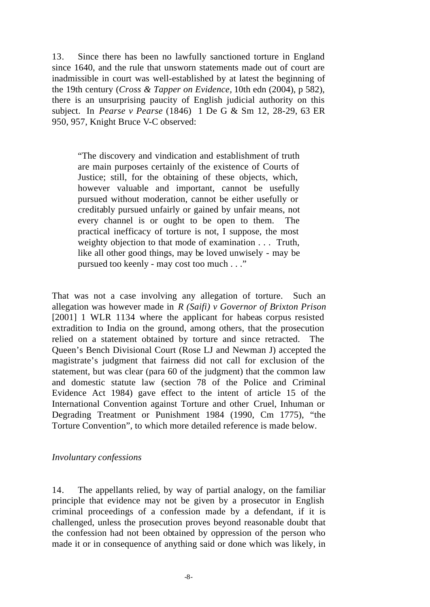13. Since there has been no lawfully sanctioned torture in England since 1640, and the rule that unsworn statements made out of court are inadmissible in court was well-established by at latest the beginning of the 19th century (*Cross & Tapper on Evidence,* 10th edn (2004), p 582), there is an unsurprising paucity of English judicial authority on this subject. In *Pearse v Pearse* (1846) 1 De G & Sm 12, 28-29, 63 ER 950, 957, Knight Bruce V-C observed:

"The discovery and vindication and establishment of truth are main purposes certainly of the existence of Courts of Justice; still, for the obtaining of these objects, which, however valuable and important, cannot be usefully pursued without moderation, cannot be either usefully or creditably pursued unfairly or gained by unfair means, not every channel is or ought to be open to them. practical inefficacy of torture is not, I suppose, the most weighty objection to that mode of examination . . . Truth, like all other good things, may be loved unwisely - may be pursued too keenly - may cost too much . . ."

That was not a case involving any allegation of torture. Such an allegation was however made in *R (Saifi) v Governor of Brixton Prison* [2001] 1 WLR 1134 where the applicant for habeas corpus resisted extradition to India on the ground, among others, that the prosecution relied on a statement obtained by torture and since retracted. The Queen's Bench Divisional Court (Rose LJ and Newman J) accepted the magistrate's judgment that fairness did not call for exclusion of the statement, but was clear (para 60 of the judgment) that the common law and domestic statute law (section 78 of the Police and Criminal Evidence Act 1984) gave effect to the intent of article 15 of the International Convention against Torture and other Cruel, Inhuman or Degrading Treatment or Punishment 1984 (1990, Cm 1775), "the Torture Convention", to which more detailed reference is made below.

#### *Involuntary confessions*

14. The appellants relied, by way of partial analogy, on the familiar principle that evidence may not be given by a prosecutor in English criminal proceedings of a confession made by a defendant, if it is challenged, unless the prosecution proves beyond reasonable doubt that the confession had not been obtained by oppression of the person who made it or in consequence of anything said or done which was likely, in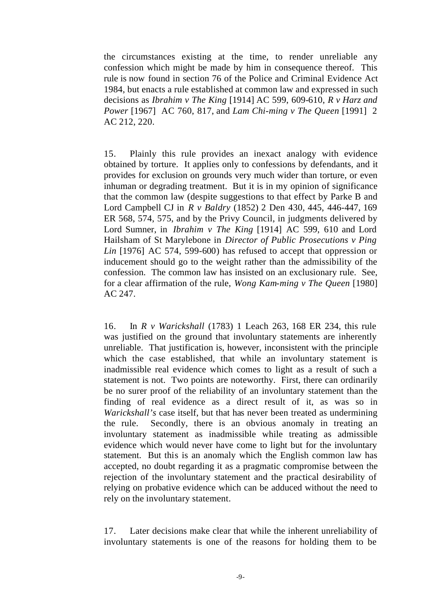the circumstances existing at the time, to render unreliable any confession which might be made by him in consequence thereof. This rule is now found in section 76 of the Police and Criminal Evidence Act 1984, but enacts a rule established at common law and expressed in such decisions as *Ibrahim v The King* [1914] AC 599, 609-610, *R v Harz and Power* [1967] AC 760, 817, and *Lam Chi-ming v The Queen* [1991] 2 AC 212, 220.

15. Plainly this rule provides an inexact analogy with evidence obtained by torture. It applies only to confessions by defendants, and it provides for exclusion on grounds very much wider than torture, or even inhuman or degrading treatment. But it is in my opinion of significance that the common law (despite suggestions to that effect by Parke B and Lord Campbell CJ in *R v Baldry* (1852) 2 Den 430, 445, 446-447, 169 ER 568, 574, 575, and by the Privy Council, in judgments delivered by Lord Sumner, in *Ibrahim v The King* [1914] AC 599, 610 and Lord Hailsham of St Marylebone in *Director of Public Prosecutions v Ping Lin* [1976] AC 574, 599-600) has refused to accept that oppression or inducement should go to the weight rather than the admissibility of the confession. The common law has insisted on an exclusionary rule. See, for a clear affirmation of the rule, *Wong Kam-ming v The Queen* [1980] AC 247.

16. In *R v Warickshall* (1783) 1 Leach 263, 168 ER 234, this rule was justified on the ground that involuntary statements are inherently unreliable. That justification is, however, inconsistent with the principle which the case established, that while an involuntary statement is inadmissible real evidence which comes to light as a result of such a statement is not. Two points are noteworthy. First, there can ordinarily be no surer proof of the reliability of an involuntary statement than the finding of real evidence as a direct result of it, as was so in *Warickshall's* case itself, but that has never been treated as undermining the rule. Secondly, there is an obvious anomaly in treating an involuntary statement as inadmissible while treating as admissible evidence which would never have come to light but for the involuntary statement. But this is an anomaly which the English common law has accepted, no doubt regarding it as a pragmatic compromise between the rejection of the involuntary statement and the practical desirability of relying on probative evidence which can be adduced without the need to rely on the involuntary statement.

17. Later decisions make clear that while the inherent unreliability of involuntary statements is one of the reasons for holding them to be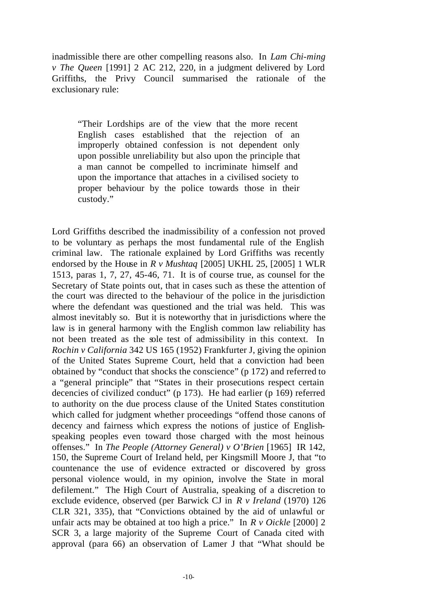inadmissible there are other compelling reasons also. In *Lam Chi-ming v The Queen* [1991] 2 AC 212, 220, in a judgment delivered by Lord Griffiths, the Privy Council summarised the rationale of the exclusionary rule:

"Their Lordships are of the view that the more recent English cases established that the rejection of an improperly obtained confession is not dependent only upon possible unreliability but also upon the principle that a man cannot be compelled to incriminate himself and upon the importance that attaches in a civilised society to proper behaviour by the police towards those in their custody."

Lord Griffiths described the inadmissibility of a confession not proved to be voluntary as perhaps the most fundamental rule of the English criminal law. The rationale explained by Lord Griffiths was recently endorsed by the House in *R v Mushtaq* [2005] UKHL 25, [2005] 1 WLR 1513, paras 1, 7, 27, 45-46, 71. It is of course true, as counsel for the Secretary of State points out, that in cases such as these the attention of the court was directed to the behaviour of the police in the jurisdiction where the defendant was questioned and the trial was held. This was almost inevitably so. But it is noteworthy that in jurisdictions where the law is in general harmony with the English common law reliability has not been treated as the sole test of admissibility in this context. In *Rochin v California* 342 US 165 (1952) Frankfurter J, giving the opinion of the United States Supreme Court, held that a conviction had been obtained by "conduct that shocks the conscience" (p 172) and referred to a "general principle" that "States in their prosecutions respect certain decencies of civilized conduct" (p 173). He had earlier (p 169) referred to authority on the due process clause of the United States constitution which called for judgment whether proceedings "offend those canons of decency and fairness which express the notions of justice of Englishspeaking peoples even toward those charged with the most heinous offenses." In *The People (Attorney General) v O'Brien* [1965] IR 142, 150, the Supreme Court of Ireland held, per Kingsmill Moore J, that "to countenance the use of evidence extracted or discovered by gross personal violence would, in my opinion, involve the State in moral defilement." The High Court of Australia, speaking of a discretion to exclude evidence, observed (per Barwick CJ in *R v Ireland* (1970) 126 CLR 321, 335), that "Convictions obtained by the aid of unlawful or unfair acts may be obtained at too high a price." In *R v Oickle* [2000] 2 SCR 3, a large majority of the Supreme Court of Canada cited with approval (para 66) an observation of Lamer J that "What should be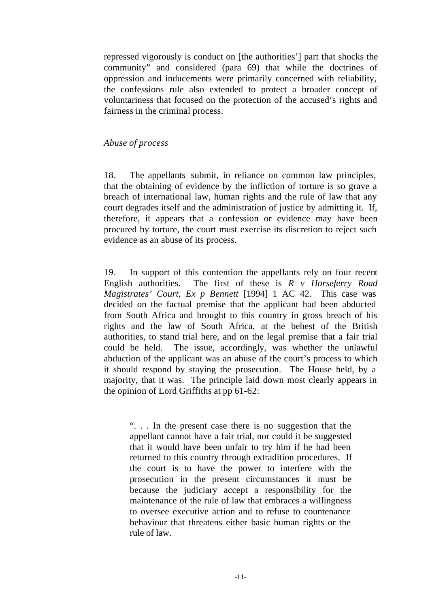repressed vigorously is conduct on [the authorities'] part that shocks the community" and considered (para 69) that while the doctrines of oppression and inducements were primarily concerned with reliability, the confessions rule also extended to protect a broader concept of voluntariness that focused on the protection of the accused's rights and fairness in the criminal process.

## *Abuse of process*

18. The appellants submit, in reliance on common law principles, that the obtaining of evidence by the infliction of torture is so grave a breach of international law, human rights and the rule of law that any court degrades itself and the administration of justice by admitting it. If, therefore, it appears that a confession or evidence may have been procured by torture, the court must exercise its discretion to reject such evidence as an abuse of its process.

19. In support of this contention the appellants rely on four recent English authorities. The first of these is *R v Horseferry Road Magistrates' Court, Ex p Bennett* [1994] 1 AC 42. This case was decided on the factual premise that the applicant had been abducted from South Africa and brought to this country in gross breach of his rights and the law of South Africa, at the behest of the British authorities, to stand trial here, and on the legal premise that a fair trial could be held. The issue, accordingly, was whether the unlawful abduction of the applicant was an abuse of the court's process to which it should respond by staying the prosecution. The House held, by a majority, that it was. The principle laid down most clearly appears in the opinion of Lord Griffiths at pp 61-62:

". . . In the present case there is no suggestion that the appellant cannot have a fair trial, nor could it be suggested that it would have been unfair to try him if he had been returned to this country through extradition procedures. If the court is to have the power to interfere with the prosecution in the present circumstances it must be because the judiciary accept a responsibility for the maintenance of the rule of law that embraces a willingness to oversee executive action and to refuse to countenance behaviour that threatens either basic human rights or the rule of law.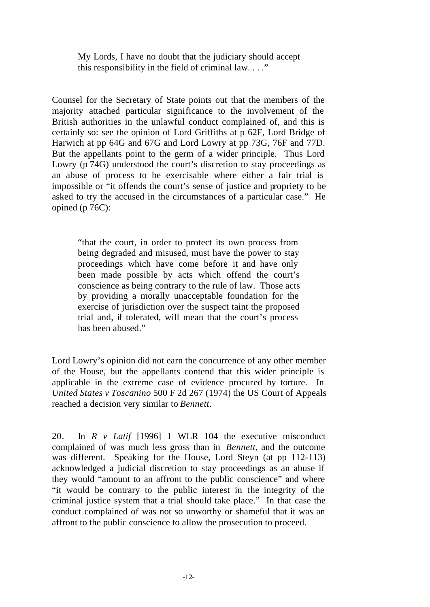My Lords, I have no doubt that the judiciary should accept this responsibility in the field of criminal law.  $\ldots$ ."

Counsel for the Secretary of State points out that the members of the majority attached particular significance to the involvement of the British authorities in the unlawful conduct complained of, and this is certainly so: see the opinion of Lord Griffiths at p 62F, Lord Bridge of Harwich at pp 64G and 67G and Lord Lowry at pp 73G, 76F and 77D. But the appellants point to the germ of a wider principle. Thus Lord Lowry (p 74G) understood the court's discretion to stay proceedings as an abuse of process to be exercisable where either a fair trial is impossible or "it offends the court's sense of justice and propriety to be asked to try the accused in the circumstances of a particular case." He opined (p 76C):

"that the court, in order to protect its own process from being degraded and misused, must have the power to stay proceedings which have come before it and have only been made possible by acts which offend the court's conscience as being contrary to the rule of law. Those acts by providing a morally unacceptable foundation for the exercise of jurisdiction over the suspect taint the proposed trial and, if tolerated, will mean that the court's process has been abused."

Lord Lowry's opinion did not earn the concurrence of any other member of the House, but the appellants contend that this wider principle is applicable in the extreme case of evidence procured by torture. In *United States v Toscanino* 500 F 2d 267 (1974) the US Court of Appeals reached a decision very similar to *Bennett*.

20. In *R v Latif* [1996] 1 WLR 104 the executive misconduct complained of was much less gross than in *Bennett,* and the outcome was different. Speaking for the House, Lord Steyn (at pp 112-113) acknowledged a judicial discretion to stay proceedings as an abuse if they would "amount to an affront to the public conscience" and where "it would be contrary to the public interest in the integrity of the criminal justice system that a trial should take place." In that case the conduct complained of was not so unworthy or shameful that it was an affront to the public conscience to allow the prosecution to proceed.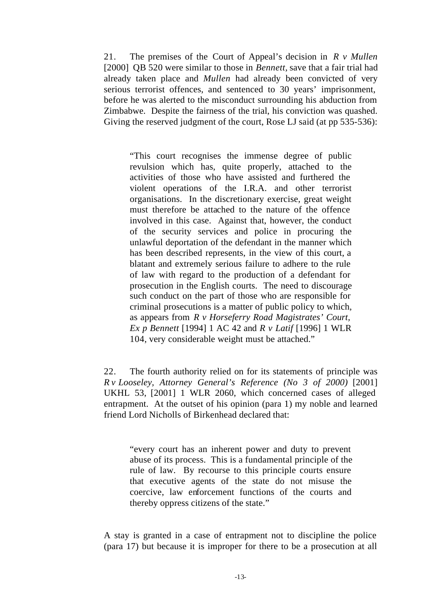21. The premises of the Court of Appeal's decision in *R v Mullen* [2000] QB 520 were similar to those in *Bennett*, save that a fair trial had already taken place and *Mullen* had already been convicted of very serious terrorist offences, and sentenced to 30 years' imprisonment, before he was alerted to the misconduct surrounding his abduction from Zimbabwe. Despite the fairness of the trial, his conviction was quashed. Giving the reserved judgment of the court, Rose LJ said (at pp 535-536):

"This court recognises the immense degree of public revulsion which has, quite properly, attached to the activities of those who have assisted and furthered the violent operations of the I.R.A. and other terrorist organisations. In the discretionary exercise, great weight must therefore be attached to the nature of the offence involved in this case. Against that, however, the conduct of the security services and police in procuring the unlawful deportation of the defendant in the manner which has been described represents, in the view of this court, a blatant and extremely serious failure to adhere to the rule of law with regard to the production of a defendant for prosecution in the English courts. The need to discourage such conduct on the part of those who are responsible for criminal prosecutions is a matter of public policy to which, as appears from *R v Horseferry Road Magistrates' Court, Ex p Bennett* [1994] 1 AC 42 and *R v Latif* [1996] 1 WLR 104, very considerable weight must be attached."

22. The fourth authority relied on for its statements of principle was *R v Looseley, Attorney General's Reference (No 3 of 2000)* [2001] UKHL 53, [2001] 1 WLR 2060, which concerned cases of alleged entrapment. At the outset of his opinion (para 1) my noble and learned friend Lord Nicholls of Birkenhead declared that:

"every court has an inherent power and duty to prevent abuse of its process. This is a fundamental principle of the rule of law. By recourse to this principle courts ensure that executive agents of the state do not misuse the coercive, law enforcement functions of the courts and thereby oppress citizens of the state."

A stay is granted in a case of entrapment not to discipline the police (para 17) but because it is improper for there to be a prosecution at all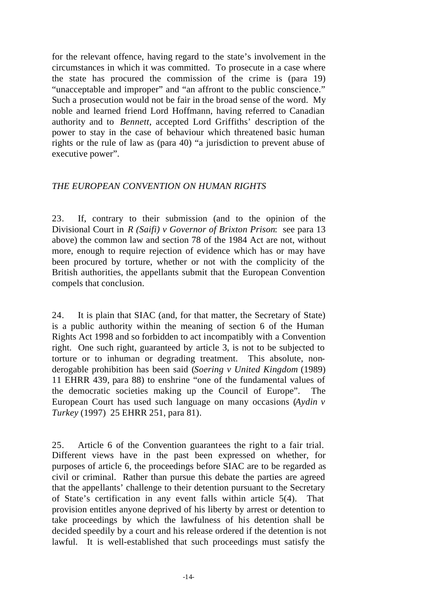for the relevant offence, having regard to the state's involvement in the circumstances in which it was committed. To prosecute in a case where the state has procured the commission of the crime is (para 19) "unacceptable and improper" and "an affront to the public conscience." Such a prosecution would not be fair in the broad sense of the word. My noble and learned friend Lord Hoffmann, having referred to Canadian authority and to *Bennett*, accepted Lord Griffiths' description of the power to stay in the case of behaviour which threatened basic human rights or the rule of law as (para 40) "a jurisdiction to prevent abuse of executive power".

#### *THE EUROPEAN CONVENTION ON HUMAN RIGHTS*

23. If, contrary to their submission (and to the opinion of the Divisional Court in *R (Saifi) v Governor of Brixton Prison*: see para 13 above) the common law and section 78 of the 1984 Act are not, without more, enough to require rejection of evidence which has or may have been procured by torture, whether or not with the complicity of the British authorities, the appellants submit that the European Convention compels that conclusion.

24. It is plain that SIAC (and, for that matter, the Secretary of State) is a public authority within the meaning of section 6 of the Human Rights Act 1998 and so forbidden to act incompatibly with a Convention right. One such right, guaranteed by article 3, is not to be subjected to torture or to inhuman or degrading treatment. This absolute, nonderogable prohibition has been said (*Soering v United Kingdom* (1989) 11 EHRR 439, para 88) to enshrine "one of the fundamental values of the democratic societies making up the Council of Europe". The European Court has used such language on many occasions (*Aydin v Turkey* (1997) 25 EHRR 251, para 81).

25. Article 6 of the Convention guarantees the right to a fair trial. Different views have in the past been expressed on whether, for purposes of article 6, the proceedings before SIAC are to be regarded as civil or criminal. Rather than pursue this debate the parties are agreed that the appellants' challenge to their detention pursuant to the Secretary of State's certification in any event falls within article 5(4). That provision entitles anyone deprived of his liberty by arrest or detention to take proceedings by which the lawfulness of his detention shall be decided speedily by a court and his release ordered if the detention is not lawful. It is well-established that such proceedings must satisfy the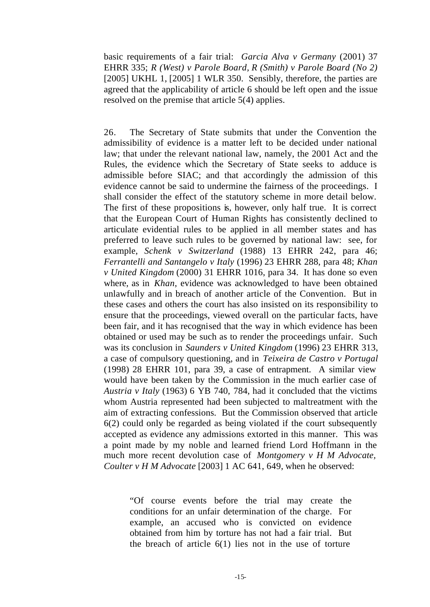basic requirements of a fair trial: *Garcia Alva v Germany* (2001) 37 EHRR 335; *R (West) v Parole Board, R (Smith) v Parole Board (No 2)* [2005] UKHL 1, [2005] 1 WLR 350. Sensibly, therefore, the parties are agreed that the applicability of article 6 should be left open and the issue resolved on the premise that article 5(4) applies.

26. The Secretary of State submits that under the Convention the admissibility of evidence is a matter left to be decided under national law; that under the relevant national law, namely, the 2001 Act and the Rules, the evidence which the Secretary of State seeks to adduce is admissible before SIAC; and that accordingly the admission of this evidence cannot be said to undermine the fairness of the proceedings. I shall consider the effect of the statutory scheme in more detail below. The first of these propositions is, however, only half true. It is correct that the European Court of Human Rights has consistently declined to articulate evidential rules to be applied in all member states and has preferred to leave such rules to be governed by national law: see, for example, *Schenk v Switzerland* (1988) 13 EHRR 242, para 46; *Ferrantelli and Santangelo v Italy* (1996) 23 EHRR 288, para 48; *Khan v United Kingdom* (2000) 31 EHRR 1016, para 34. It has done so even where, as in *Khan*, evidence was acknowledged to have been obtained unlawfully and in breach of another article of the Convention. But in these cases and others the court has also insisted on its responsibility to ensure that the proceedings, viewed overall on the particular facts, have been fair, and it has recognised that the way in which evidence has been obtained or used may be such as to render the proceedings unfair. Such was its conclusion in *Saunders v United Kingdom* (1996) 23 EHRR 313, a case of compulsory questioning, and in *Teixeira de Castro v Portugal* (1998) 28 EHRR 101, para 39, a case of entrapment. A similar view would have been taken by the Commission in the much earlier case of *Austria v Italy* (1963) 6 YB 740, 784, had it concluded that the victims whom Austria represented had been subjected to maltreatment with the aim of extracting confessions. But the Commission observed that article 6(2) could only be regarded as being violated if the court subsequently accepted as evidence any admissions extorted in this manner. This was a point made by my noble and learned friend Lord Hoffmann in the much more recent devolution case of *Montgomery v H M Advocate, Coulter v H M Advocate* [2003] 1 AC 641, 649, when he observed:

"Of course events before the trial may create the conditions for an unfair determination of the charge. For example, an accused who is convicted on evidence obtained from him by torture has not had a fair trial. But the breach of article  $6(1)$  lies not in the use of torture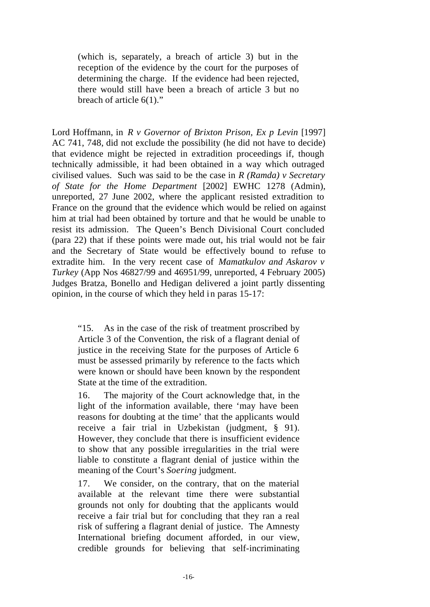(which is, separately, a breach of article 3) but in the reception of the evidence by the court for the purposes of determining the charge. If the evidence had been rejected, there would still have been a breach of article 3 but no breach of article 6(1)."

Lord Hoffmann, in *R v Governor of Brixton Prison, Ex p Levin* [1997] AC 741, 748, did not exclude the possibility (he did not have to decide) that evidence might be rejected in extradition proceedings if, though technically admissible, it had been obtained in a way which outraged civilised values. Such was said to be the case in *R (Ramda) v Secretary of State for the Home Department* [2002] EWHC 1278 (Admin), unreported, 27 June 2002, where the applicant resisted extradition to France on the ground that the evidence which would be relied on against him at trial had been obtained by torture and that he would be unable to resist its admission. The Queen's Bench Divisional Court concluded (para 22) that if these points were made out, his trial would not be fair and the Secretary of State would be effectively bound to refuse to extradite him. In the very recent case of *Mamatkulov and Askarov v Turkey* (App Nos 46827/99 and 46951/99, unreported, 4 February 2005) Judges Bratza, Bonello and Hedigan delivered a joint partly dissenting opinion, in the course of which they held in paras 15-17:

"15. As in the case of the risk of treatment proscribed by Article 3 of the Convention, the risk of a flagrant denial of justice in the receiving State for the purposes of Article 6 must be assessed primarily by reference to the facts which were known or should have been known by the respondent State at the time of the extradition.

16. The majority of the Court acknowledge that, in the light of the information available, there 'may have been reasons for doubting at the time' that the applicants would receive a fair trial in Uzbekistan (judgment, § 91). However, they conclude that there is insufficient evidence to show that any possible irregularities in the trial were liable to constitute a flagrant denial of justice within the meaning of the Court's *Soering* judgment.

17. We consider, on the contrary, that on the material available at the relevant time there were substantial grounds not only for doubting that the applicants would receive a fair trial but for concluding that they ran a real risk of suffering a flagrant denial of justice. The Amnesty International briefing document afforded, in our view, credible grounds for believing that self-incriminating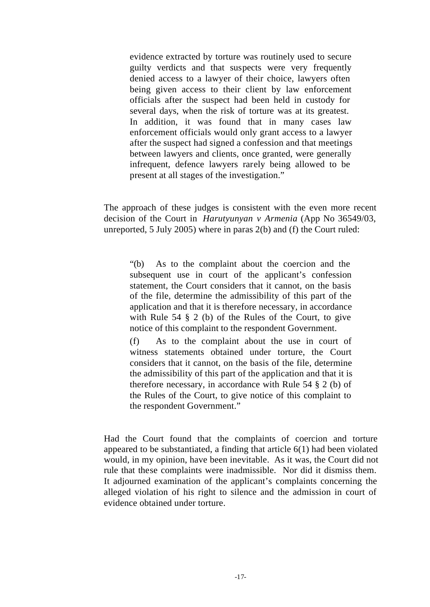evidence extracted by torture was routinely used to secure guilty verdicts and that suspects were very frequently denied access to a lawyer of their choice, lawyers often being given access to their client by law enforcement officials after the suspect had been held in custody for several days, when the risk of torture was at its greatest. In addition, it was found that in many cases law enforcement officials would only grant access to a lawyer after the suspect had signed a confession and that meetings between lawyers and clients, once granted, were generally infrequent, defence lawyers rarely being allowed to be present at all stages of the investigation."

The approach of these judges is consistent with the even more recent decision of the Court in *Harutyunyan v Armenia* (App No 36549/03, unreported, 5 July 2005) where in paras 2(b) and (f) the Court ruled:

"(b) As to the complaint about the coercion and the subsequent use in court of the applicant's confession statement, the Court considers that it cannot, on the basis of the file, determine the admissibility of this part of the application and that it is therefore necessary, in accordance with Rule 54 § 2 (b) of the Rules of the Court, to give notice of this complaint to the respondent Government.

(f) As to the complaint about the use in court of witness statements obtained under torture, the Court considers that it cannot, on the basis of the file, determine the admissibility of this part of the application and that it is therefore necessary, in accordance with Rule 54 § 2 (b) of the Rules of the Court, to give notice of this complaint to the respondent Government."

Had the Court found that the complaints of coercion and torture appeared to be substantiated, a finding that article 6(1) had been violated would, in my opinion, have been inevitable. As it was, the Court did not rule that these complaints were inadmissible. Nor did it dismiss them. It adjourned examination of the applicant's complaints concerning the alleged violation of his right to silence and the admission in court of evidence obtained under torture.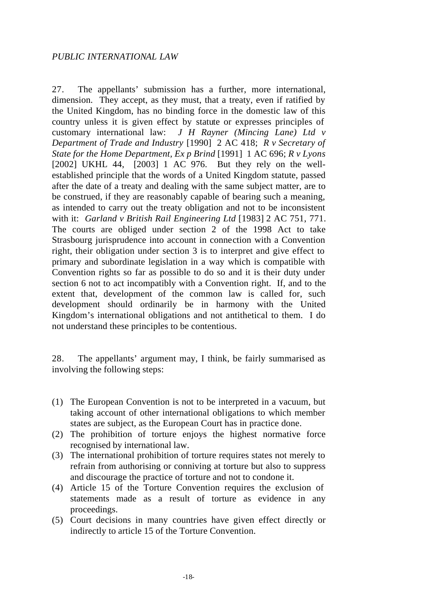## *PUBLIC INTERNATIONAL LAW*

27. The appellants' submission has a further, more international, dimension. They accept, as they must, that a treaty, even if ratified by the United Kingdom, has no binding force in the domestic law of this country unless it is given effect by statute or expresses principles of customary international law: *J H Rayner (Mincing Lane) Ltd v Department of Trade and Industry* [1990] 2 AC 418; *R v Secretary of State for the Home Department, Ex p Brind* [1991] 1 AC 696; *R v Lyons* [2002] UKHL 44, [2003] 1 AC 976. But they rely on the wellestablished principle that the words of a United Kingdom statute, passed after the date of a treaty and dealing with the same subject matter, are to be construed, if they are reasonably capable of bearing such a meaning, as intended to carry out the treaty obligation and not to be inconsistent with it: *Garland v British Rail Engineering Ltd* [1983] 2 AC 751, 771. The courts are obliged under section 2 of the 1998 Act to take Strasbourg jurisprudence into account in connection with a Convention right, their obligation under section 3 is to interpret and give effect to primary and subordinate legislation in a way which is compatible with Convention rights so far as possible to do so and it is their duty under section 6 not to act incompatibly with a Convention right. If, and to the extent that, development of the common law is called for, such development should ordinarily be in harmony with the United Kingdom's international obligations and not antithetical to them. I do not understand these principles to be contentious.

28. The appellants' argument may, I think, be fairly summarised as involving the following steps:

- (1) The European Convention is not to be interpreted in a vacuum, but taking account of other international obligations to which member states are subject, as the European Court has in practice done.
- (2) The prohibition of torture enjoys the highest normative force recognised by international law.
- (3) The international prohibition of torture requires states not merely to refrain from authorising or conniving at torture but also to suppress and discourage the practice of torture and not to condone it.
- (4) Article 15 of the Torture Convention requires the exclusion of statements made as a result of torture as evidence in any proceedings.
- (5) Court decisions in many countries have given effect directly or indirectly to article 15 of the Torture Convention.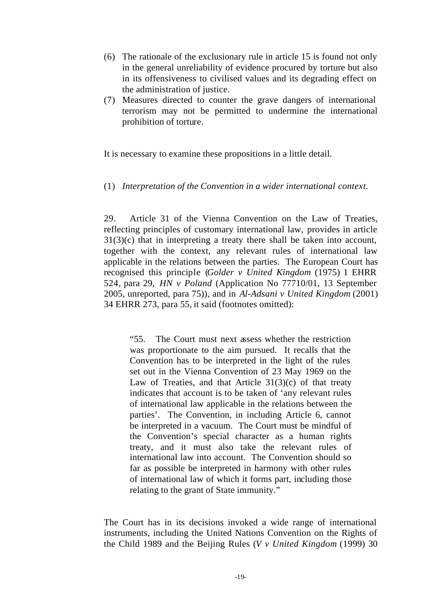- (6) The rationale of the exclusionary rule in article 15 is found not only in the general unreliability of evidence procured by torture but also in its offensiveness to civilised values and its degrading effect on the administration of justice.
- (7) Measures directed to counter the grave dangers of international terrorism may not be permitted to undermine the international prohibition of torture.

It is necessary to examine these propositions in a little detail.

## (1) *Interpretation of the Convention in a wider international context.*

29. Article 31 of the Vienna Convention on the Law of Treaties, reflecting principles of customary international law, provides in article 31(3)(c) that in interpreting a treaty there shall be taken into account, together with the context, any relevant rules of international law applicable in the relations between the parties. The European Court has recognised this principle (*Golder v United Kingdom* (1975) 1 EHRR 524, para 29, *HN v Poland* (Application No 77710/01, 13 September 2005, unreported, para 75)), and in *Al-Adsani v United Kingdom* (2001) 34 EHRR 273, para 55, it said (footnotes omitted):

"55. The Court must next assess whether the restriction was proportionate to the aim pursued. It recalls that the Convention has to be interpreted in the light of the rules set out in the Vienna Convention of 23 May 1969 on the Law of Treaties, and that Article  $31(3)(c)$  of that treaty indicates that account is to be taken of 'any relevant rules of international law applicable in the relations between the parties'. The Convention, in including Article 6, cannot be interpreted in a vacuum. The Court must be mindful of the Convention's special character as a human rights treaty, and it must also take the relevant rules of international law into account. The Convention should so far as possible be interpreted in harmony with other rules of international law of which it forms part, including those relating to the grant of State immunity."

The Court has in its decisions invoked a wide range of international instruments, including the United Nations Convention on the Rights of the Child 1989 and the Beijing Rules (*V v United Kingdom* (1999) 30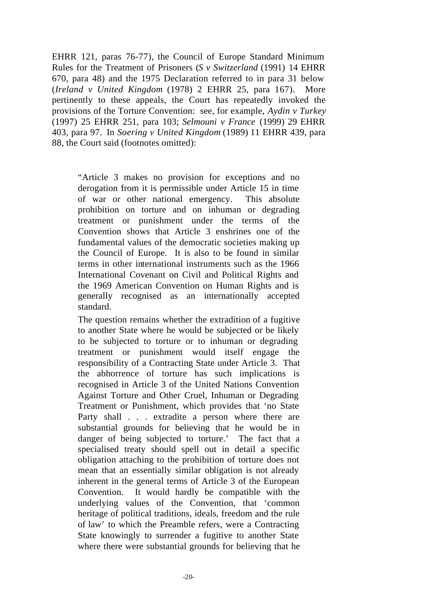EHRR 121, paras 76-77), the Council of Europe Standard Minimum Rules for the Treatment of Prisoners (*S v Switzerland* (1991) 14 EHRR 670, para 48) and the 1975 Declaration referred to in para 31 below (*Ireland v United Kingdom* (1978) 2 EHRR 25, para 167). More pertinently to these appeals, the Court has repeatedly invoked the provisions of the Torture Convention: see, for example, *Aydin v Turkey* (1997) 25 EHRR 251, para 103; *Selmouni v France* (1999) 29 EHRR 403, para 97. In *Soering v United Kingdom* (1989) 11 EHRR 439, para 88, the Court said (footnotes omitted):

"Article 3 makes no provision for exceptions and no derogation from it is permissible under Article 15 in time of war or other national emergency. This absolute prohibition on torture and on inhuman or degrading treatment or punishment under the terms of the Convention shows that Article 3 enshrines one of the fundamental values of the democratic societies making up the Council of Europe. It is also to be found in similar terms in other international instruments such as the 1966 International Covenant on Civil and Political Rights and the 1969 American Convention on Human Rights and is generally recognised as an internationally accepted standard.

The question remains whether the extradition of a fugitive to another State where he would be subjected or be likely to be subjected to torture or to inhuman or degrading treatment or punishment would itself engage the responsibility of a Contracting State under Article 3. That the abhorrence of torture has such implications is recognised in Article 3 of the United Nations Convention Against Torture and Other Cruel, Inhuman or Degrading Treatment or Punishment, which provides that 'no State Party shall . . . extradite a person where there are substantial grounds for believing that he would be in danger of being subjected to torture.' The fact that a specialised treaty should spell out in detail a specific obligation attaching to the prohibition of torture does not mean that an essentially similar obligation is not already inherent in the general terms of Article 3 of the European Convention. It would hardly be compatible with the underlying values of the Convention, that 'common heritage of political traditions, ideals, freedom and the rule of law' to which the Preamble refers, were a Contracting State knowingly to surrender a fugitive to another State where there were substantial grounds for believing that he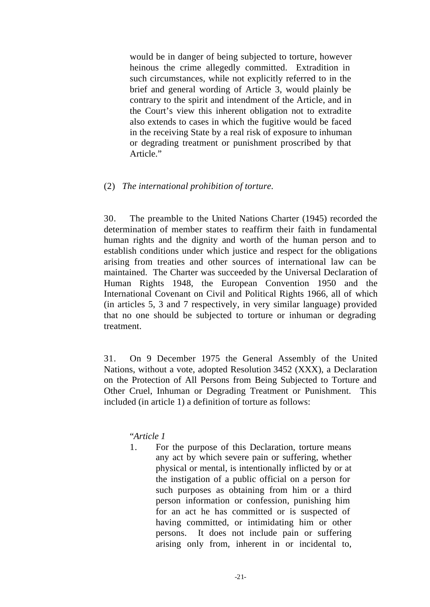would be in danger of being subjected to torture, however heinous the crime allegedly committed. Extradition in such circumstances, while not explicitly referred to in the brief and general wording of Article 3, would plainly be contrary to the spirit and intendment of the Article, and in the Court's view this inherent obligation not to extradite also extends to cases in which the fugitive would be faced in the receiving State by a real risk of exposure to inhuman or degrading treatment or punishment proscribed by that Article."

#### (2) *The international prohibition of torture.*

30. The preamble to the United Nations Charter (1945) recorded the determination of member states to reaffirm their faith in fundamental human rights and the dignity and worth of the human person and to establish conditions under which justice and respect for the obligations arising from treaties and other sources of international law can be maintained. The Charter was succeeded by the Universal Declaration of Human Rights 1948, the European Convention 1950 and the International Covenant on Civil and Political Rights 1966, all of which (in articles 5, 3 and 7 respectively, in very similar language) provided that no one should be subjected to torture or inhuman or degrading treatment.

31. On 9 December 1975 the General Assembly of the United Nations, without a vote, adopted Resolution 3452 (XXX), a Declaration on the Protection of All Persons from Being Subjected to Torture and Other Cruel, Inhuman or Degrading Treatment or Punishment. This included (in article 1) a definition of torture as follows:

## "*Article 1*

1. For the purpose of this Declaration, torture means any act by which severe pain or suffering, whether physical or mental, is intentionally inflicted by or at the instigation of a public official on a person for such purposes as obtaining from him or a third person information or confession, punishing him for an act he has committed or is suspected of having committed, or intimidating him or other persons. It does not include pain or suffering arising only from, inherent in or incidental to,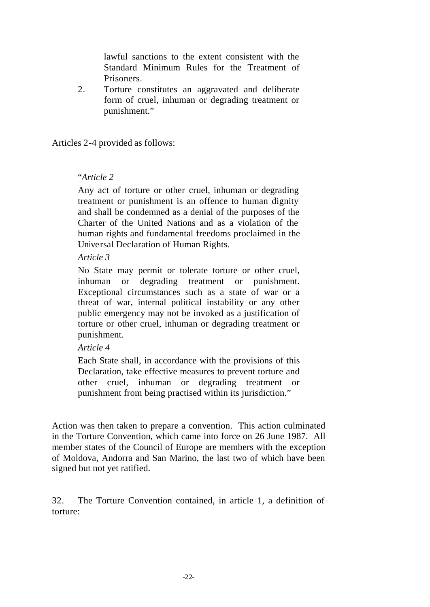lawful sanctions to the extent consistent with the Standard Minimum Rules for the Treatment of Prisoners.

2. Torture constitutes an aggravated and deliberate form of cruel, inhuman or degrading treatment or punishment."

Articles 2-4 provided as follows:

## "*Article 2*

Any act of torture or other cruel, inhuman or degrading treatment or punishment is an offence to human dignity and shall be condemned as a denial of the purposes of the Charter of the United Nations and as a violation of the human rights and fundamental freedoms proclaimed in the Universal Declaration of Human Rights.

## *Article 3*

No State may permit or tolerate torture or other cruel, inhuman or degrading treatment or punishment. Exceptional circumstances such as a state of war or a threat of war, internal political instability or any other public emergency may not be invoked as a justification of torture or other cruel, inhuman or degrading treatment or punishment.

## *Article 4*

Each State shall, in accordance with the provisions of this Declaration, take effective measures to prevent torture and other cruel, inhuman or degrading treatment or punishment from being practised within its jurisdiction."

Action was then taken to prepare a convention. This action culminated in the Torture Convention, which came into force on 26 June 1987. All member states of the Council of Europe are members with the exception of Moldova, Andorra and San Marino, the last two of which have been signed but not yet ratified.

32. The Torture Convention contained, in article 1, a definition of torture: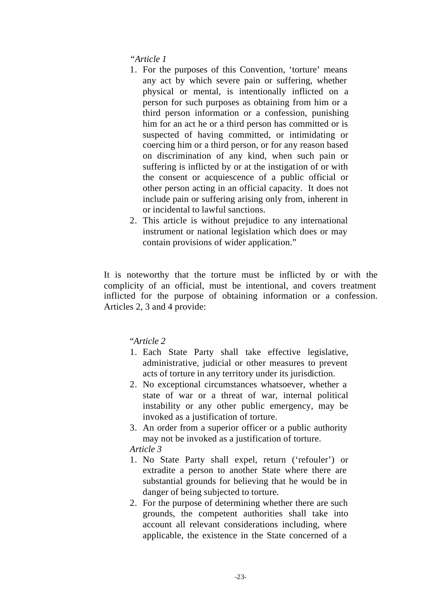#### *"Article 1*

- 1. For the purposes of this Convention, 'torture' means any act by which severe pain or suffering, whether physical or mental, is intentionally inflicted on a person for such purposes as obtaining from him or a third person information or a confession, punishing him for an act he or a third person has committed or is suspected of having committed, or intimidating or coercing him or a third person, or for any reason based on discrimination of any kind, when such pain or suffering is inflicted by or at the instigation of or with the consent or acquiescence of a public official or other person acting in an official capacity. It does not include pain or suffering arising only from, inherent in or incidental to lawful sanctions.
- 2. This article is without prejudice to any international instrument or national legislation which does or may contain provisions of wider application."

It is noteworthy that the torture must be inflicted by or with the complicity of an official, must be intentional, and covers treatment inflicted for the purpose of obtaining information or a confession. Articles 2, 3 and 4 provide:

## "*Article 2*

- 1. Each State Party shall take effective legislative, administrative, judicial or other measures to prevent acts of torture in any territory under its jurisdiction.
- 2. No exceptional circumstances whatsoever, whether a state of war or a threat of war, internal political instability or any other public emergency, may be invoked as a justification of torture.
- 3. An order from a superior officer or a public authority may not be invoked as a justification of torture. *Article 3*
- 1. No State Party shall expel, return ('refouler') or extradite a person to another State where there are substantial grounds for believing that he would be in danger of being subjected to torture.
- 2. For the purpose of determining whether there are such grounds, the competent authorities shall take into account all relevant considerations including, where applicable, the existence in the State concerned of a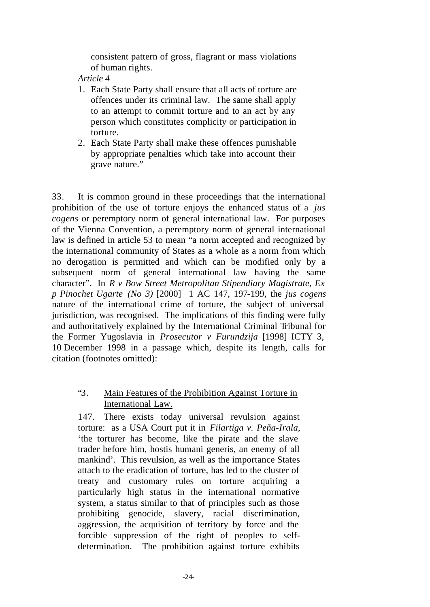consistent pattern of gross, flagrant or mass violations of human rights.

*Article 4*

- 1. Each State Party shall ensure that all acts of torture are offences under its criminal law. The same shall apply to an attempt to commit torture and to an act by any person which constitutes complicity or participation in torture.
- 2. Each State Party shall make these offences punishable by appropriate penalties which take into account their grave nature."

33. It is common ground in these proceedings that the international prohibition of the use of torture enjoys the enhanced status of a *jus cogens* or peremptory norm of general international law. For purposes of the Vienna Convention, a peremptory norm of general international law is defined in article 53 to mean "a norm accepted and recognized by the international community of States as a whole as a norm from which no derogation is permitted and which can be modified only by a subsequent norm of general international law having the same character". In *R v Bow Street Metropolitan Stipendiary Magistrate, Ex p Pinochet Ugarte (No 3)* [2000] 1 AC 147, 197-199, the *jus cogens* nature of the international crime of torture, the subject of universal jurisdiction, was recognised. The implications of this finding were fully and authoritatively explained by the International Criminal Tribunal for the Former Yugoslavia in *Prosecutor v Furundzija* [1998] ICTY 3, 10 December 1998 in a passage which, despite its length, calls for citation (footnotes omitted):

# "3. Main Features of the Prohibition Against Torture in International Law.

147. There exists today universal revulsion against torture: as a USA Court put it in *Filartiga v. Peña-Irala*, 'the torturer has become, like the pirate and the slave trader before him, hostis humani generis, an enemy of all mankind'. This revulsion, as well as the importance States attach to the eradication of torture, has led to the cluster of treaty and customary rules on torture acquiring a particularly high status in the international normative system, a status similar to that of principles such as those prohibiting genocide, slavery, racial discrimination, aggression, the acquisition of territory by force and the forcible suppression of the right of peoples to selfdetermination. The prohibition against torture exhibits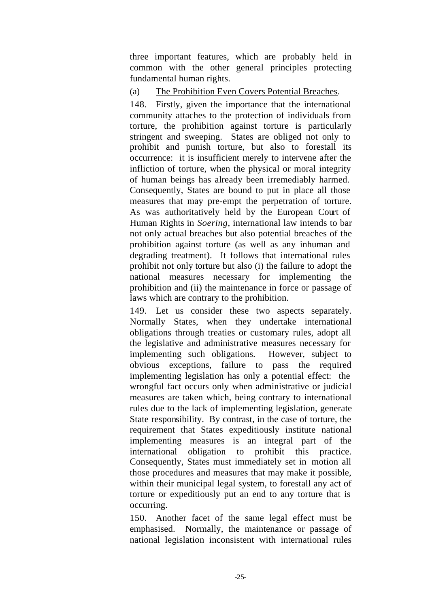three important features, which are probably held in common with the other general principles protecting fundamental human rights.

## (a) The Prohibition Even Covers Potential Breaches.

148. Firstly, given the importance that the international community attaches to the protection of individuals from torture, the prohibition against torture is particularly stringent and sweeping. States are obliged not only to prohibit and punish torture, but also to forestall its occurrence: it is insufficient merely to intervene after the infliction of torture, when the physical or moral integrity of human beings has already been irremediably harmed. Consequently, States are bound to put in place all those measures that may pre-empt the perpetration of torture. As was authoritatively held by the European Court of Human Rights in *Soering*, international law intends to bar not only actual breaches but also potential breaches of the prohibition against torture (as well as any inhuman and degrading treatment). It follows that international rules prohibit not only torture but also (i) the failure to adopt the national measures necessary for implementing the prohibition and (ii) the maintenance in force or passage of laws which are contrary to the prohibition.

149. Let us consider these two aspects separately. Normally States, when they undertake international obligations through treaties or customary rules, adopt all the legislative and administrative measures necessary for implementing such obligations. However, subject to obvious exceptions, failure to pass the required implementing legislation has only a potential effect: the wrongful fact occurs only when administrative or judicial measures are taken which, being contrary to international rules due to the lack of implementing legislation, generate State responsibility. By contrast, in the case of torture, the requirement that States expeditiously institute national implementing measures is an integral part of the international obligation to prohibit this practice. Consequently, States must immediately set in motion all those procedures and measures that may make it possible, within their municipal legal system, to forestall any act of torture or expeditiously put an end to any torture that is occurring.

150. Another facet of the same legal effect must be emphasised. Normally, the maintenance or passage of national legislation inconsistent with international rules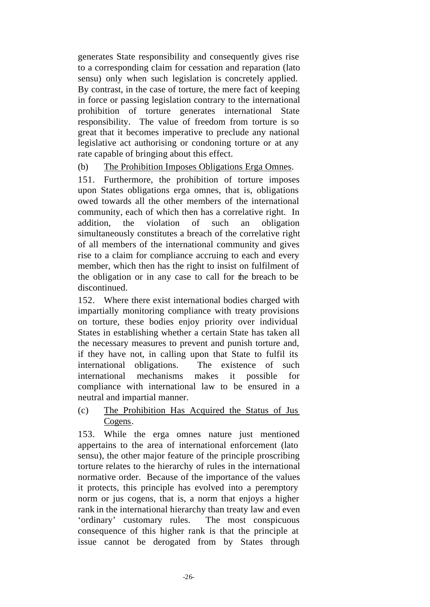generates State responsibility and consequently gives rise to a corresponding claim for cessation and reparation (lato sensu) only when such legislation is concretely applied. By contrast, in the case of torture, the mere fact of keeping in force or passing legislation contrary to the international prohibition of torture generates international State responsibility. The value of freedom from torture is so great that it becomes imperative to preclude any national legislative act authorising or condoning torture or at any rate capable of bringing about this effect.

## (b) The Prohibition Imposes Obligations Erga Omnes.

151. Furthermore, the prohibition of torture imposes upon States obligations erga omnes, that is, obligations owed towards all the other members of the international community, each of which then has a correlative right. In addition, the violation of such an obligation simultaneously constitutes a breach of the correlative right of all members of the international community and gives rise to a claim for compliance accruing to each and every member, which then has the right to insist on fulfilment of the obligation or in any case to call for the breach to be discontinued.

152. Where there exist international bodies charged with impartially monitoring compliance with treaty provisions on torture, these bodies enjoy priority over individual States in establishing whether a certain State has taken all the necessary measures to prevent and punish torture and, if they have not, in calling upon that State to fulfil its international obligations. The existence of such international mechanisms makes it possible for compliance with international law to be ensured in a neutral and impartial manner.

# (c) The Prohibition Has Acquired the Status of Jus Cogens.

153. While the erga omnes nature just mentioned appertains to the area of international enforcement (lato sensu), the other major feature of the principle proscribing torture relates to the hierarchy of rules in the international normative order. Because of the importance of the values it protects, this principle has evolved into a peremptory norm or jus cogens, that is, a norm that enjoys a higher rank in the international hierarchy than treaty law and even 'ordinary' customary rules. The most conspicuous consequence of this higher rank is that the principle at issue cannot be derogated from by States through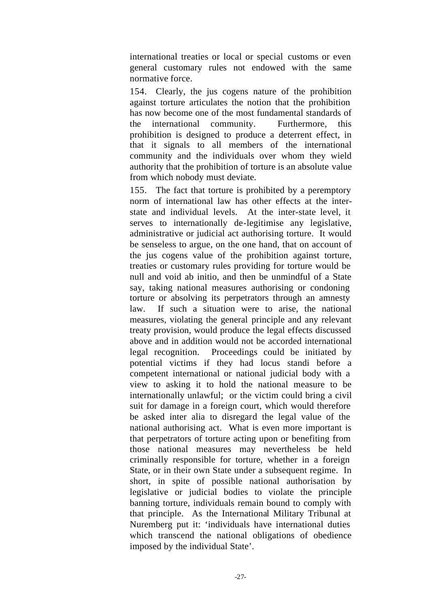international treaties or local or special customs or even general customary rules not endowed with the same normative force.

154. Clearly, the jus cogens nature of the prohibition against torture articulates the notion that the prohibition has now become one of the most fundamental standards of the international community. Furthermore, this prohibition is designed to produce a deterrent effect, in that it signals to all members of the international community and the individuals over whom they wield authority that the prohibition of torture is an absolute value from which nobody must deviate.

155. The fact that torture is prohibited by a peremptory norm of international law has other effects at the interstate and individual levels. At the inter-state level, it serves to internationally de-legitimise any legislative, administrative or judicial act authorising torture. It would be senseless to argue, on the one hand, that on account of the jus cogens value of the prohibition against torture, treaties or customary rules providing for torture would be null and void ab initio, and then be unmindful of a State say, taking national measures authorising or condoning torture or absolving its perpetrators through an amnesty law. If such a situation were to arise, the national measures, violating the general principle and any relevant treaty provision, would produce the legal effects discussed above and in addition would not be accorded international legal recognition. Proceedings could be initiated by potential victims if they had locus standi before a competent international or national judicial body with a view to asking it to hold the national measure to be internationally unlawful; or the victim could bring a civil suit for damage in a foreign court, which would therefore be asked inter alia to disregard the legal value of the national authorising act. What is even more important is that perpetrators of torture acting upon or benefiting from those national measures may nevertheless be held criminally responsible for torture, whether in a foreign State, or in their own State under a subsequent regime. In short, in spite of possible national authorisation by legislative or judicial bodies to violate the principle banning torture, individuals remain bound to comply with that principle. As the International Military Tribunal at Nuremberg put it: 'individuals have international duties which transcend the national obligations of obedience imposed by the individual State'.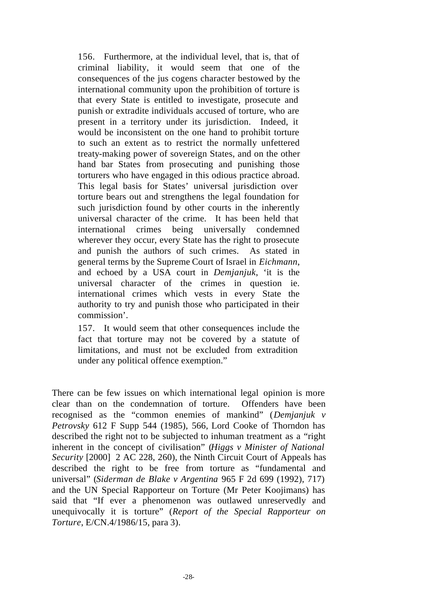156. Furthermore, at the individual level, that is, that of criminal liability, it would seem that one of the consequences of the jus cogens character bestowed by the international community upon the prohibition of torture is that every State is entitled to investigate, prosecute and punish or extradite individuals accused of torture, who are present in a territory under its jurisdiction. Indeed, it would be inconsistent on the one hand to prohibit torture to such an extent as to restrict the normally unfettered treaty-making power of sovereign States, and on the other hand bar States from prosecuting and punishing those torturers who have engaged in this odious practice abroad. This legal basis for States' universal jurisdiction over torture bears out and strengthens the legal foundation for such jurisdiction found by other courts in the inherently universal character of the crime. It has been held that international crimes being universally condemned wherever they occur, every State has the right to prosecute and punish the authors of such crimes. As stated in general terms by the Supreme Court of Israel in *Eichmann*, and echoed by a USA court in *Demjanjuk*, 'it is the universal character of the crimes in question ie. international crimes which vests in every State the authority to try and punish those who participated in their commission'.

157. It would seem that other consequences include the fact that torture may not be covered by a statute of limitations, and must not be excluded from extradition under any political offence exemption."

There can be few issues on which international legal opinion is more clear than on the condemnation of torture. Offenders have been recognised as the "common enemies of mankind" (*Demjanjuk v Petrovsky* 612 F Supp 544 (1985), 566, Lord Cooke of Thorndon has described the right not to be subjected to inhuman treatment as a "right inherent in the concept of civilisation" (*Higgs v Minister of National Security* [2000] 2 AC 228, 260), the Ninth Circuit Court of Appeals has described the right to be free from torture as "fundamental and universal" (*Siderman de Blake v Argentina* 965 F 2d 699 (1992), 717) and the UN Special Rapporteur on Torture (Mr Peter Koojimans) has said that "If ever a phenomenon was outlawed unreservedly and unequivocally it is torture" (*Report of the Special Rapporteur on Torture*, E/CN.4/1986/15, para 3).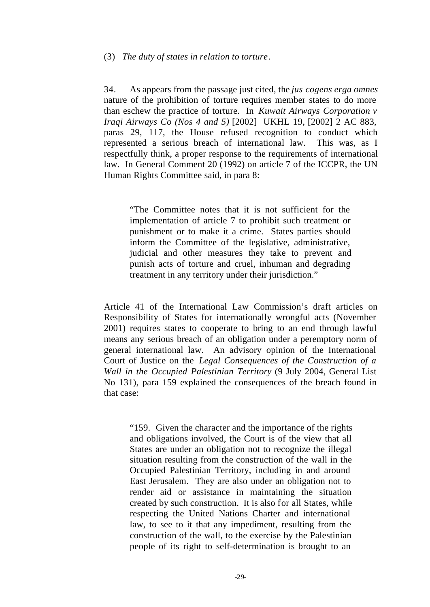#### (3) *The duty of states in relation to torture*.

34. As appears from the passage just cited, the *jus cogens erga omnes* nature of the prohibition of torture requires member states to do more than eschew the practice of torture. In *Kuwait Airways Corporation v Iraqi Airways Co (Nos 4 and 5)* [2002] UKHL 19, [2002] 2 AC 883, paras 29, 117, the House refused recognition to conduct which represented a serious breach of international law. This was, as I respectfully think, a proper response to the requirements of international law. In General Comment 20 (1992) on article 7 of the ICCPR, the UN Human Rights Committee said, in para 8:

"The Committee notes that it is not sufficient for the implementation of article 7 to prohibit such treatment or punishment or to make it a crime. States parties should inform the Committee of the legislative, administrative, judicial and other measures they take to prevent and punish acts of torture and cruel, inhuman and degrading treatment in any territory under their jurisdiction."

Article 41 of the International Law Commission's draft articles on Responsibility of States for internationally wrongful acts (November 2001) requires states to cooperate to bring to an end through lawful means any serious breach of an obligation under a peremptory norm of general international law. An advisory opinion of the International Court of Justice on the *Legal Consequences of the Construction of a Wall in the Occupied Palestinian Territory* (9 July 2004, General List No 131), para 159 explained the consequences of the breach found in that case:

"159. Given the character and the importance of the rights and obligations involved, the Court is of the view that all States are under an obligation not to recognize the illegal situation resulting from the construction of the wall in the Occupied Palestinian Territory, including in and around East Jerusalem. They are also under an obligation not to render aid or assistance in maintaining the situation created by such construction. It is also for all States, while respecting the United Nations Charter and international law, to see to it that any impediment, resulting from the construction of the wall, to the exercise by the Palestinian people of its right to self-determination is brought to an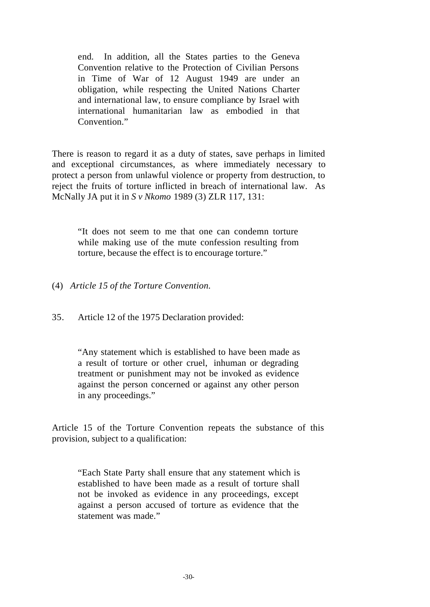end. In addition, all the States parties to the Geneva Convention relative to the Protection of Civilian Persons in Time of War of 12 August 1949 are under an obligation, while respecting the United Nations Charter and international law, to ensure compliance by Israel with international humanitarian law as embodied in that Convention."

There is reason to regard it as a duty of states, save perhaps in limited and exceptional circumstances, as where immediately necessary to protect a person from unlawful violence or property from destruction, to reject the fruits of torture inflicted in breach of international law. As McNally JA put it in *S v Nkomo* 1989 (3) ZLR 117, 131:

"It does not seem to me that one can condemn torture while making use of the mute confession resulting from torture, because the effect is to encourage torture."

- (4) *Article 15 of the Torture Convention.*
- 35. Article 12 of the 1975 Declaration provided:

"Any statement which is established to have been made as a result of torture or other cruel, inhuman or degrading treatment or punishment may not be invoked as evidence against the person concerned or against any other person in any proceedings."

Article 15 of the Torture Convention repeats the substance of this provision, subject to a qualification:

"Each State Party shall ensure that any statement which is established to have been made as a result of torture shall not be invoked as evidence in any proceedings, except against a person accused of torture as evidence that the statement was made."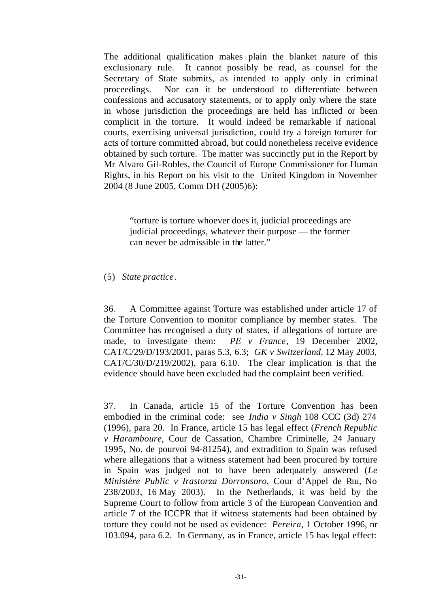The additional qualification makes plain the blanket nature of this exclusionary rule. It cannot possibly be read, as counsel for the Secretary of State submits, as intended to apply only in criminal proceedings. Nor can it be understood to differentiate between confessions and accusatory statements, or to apply only where the state in whose jurisdiction the proceedings are held has inflicted or been complicit in the torture. It would indeed be remarkable if national courts, exercising universal jurisdiction, could try a foreign torturer for acts of torture committed abroad, but could nonetheless receive evidence obtained by such torture. The matter was succinctly put in the Report by Mr Alvaro Gil-Robles, the Council of Europe Commissioner for Human Rights, in his Report on his visit to the United Kingdom in November 2004 (8 June 2005, Comm DH (2005)6):

"torture is torture whoever does it, judicial proceedings are judicial proceedings, whatever their purpose — the former can never be admissible in the latter."

## (5) *State practice*.

36. A Committee against Torture was established under article 17 of the Torture Convention to monitor compliance by member states. The Committee has recognised a duty of states, if allegations of torture are made, to investigate them: *PE v France*, 19 December 2002, CAT/C/29/D/193/2001, paras 5.3, 6.3; *GK v Switzerland*, 12 May 2003, CAT/C/30/D/219/2002), para 6.10. The clear implication is that the evidence should have been excluded had the complaint been verified.

37. In Canada, article 15 of the Torture Convention has been embodied in the criminal code: see *India v Singh* 108 CCC (3d) 274 (1996), para 20. In France, article 15 has legal effect (*French Republic v Haramboure*, Cour de Cassation, Chambre Criminelle, 24 January 1995, No. de pourvoi 94-81254), and extradition to Spain was refused where allegations that a witness statement had been procured by torture in Spain was judged not to have been adequately answered (*Le Ministère Public v Irastorza Dorronsoro*, Cour d'Appel de Pau, No 238/2003, 16 May 2003). In the Netherlands, it was held by the Supreme Court to follow from article 3 of the European Convention and article 7 of the ICCPR that if witness statements had been obtained by torture they could not be used as evidence: *Pereira*, 1 October 1996, nr 103.094, para 6.2. In Germany, as in France, article 15 has legal effect: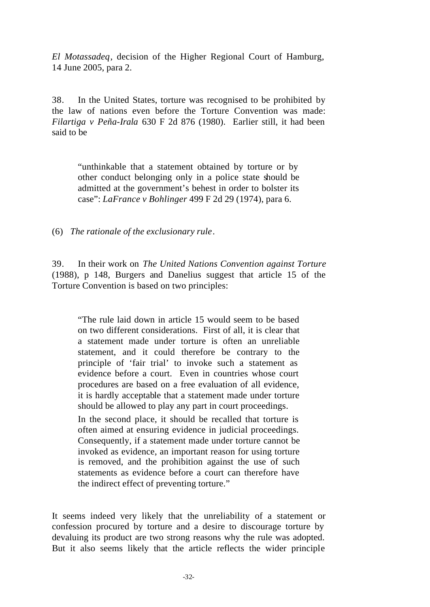*El Motassadeq*, decision of the Higher Regional Court of Hamburg, 14 June 2005, para 2.

38. In the United States, torture was recognised to be prohibited by the law of nations even before the Torture Convention was made: *Filartiga v Peña-Irala* 630 F 2d 876 (1980). Earlier still, it had been said to be

"unthinkable that a statement obtained by torture or by other conduct belonging only in a police state should be admitted at the government's behest in order to bolster its case": *LaFrance v Bohlinger* 499 F 2d 29 (1974), para 6.

(6) *The rationale of the exclusionary rule*.

39. In their work on *The United Nations Convention against Torture* (1988), p 148, Burgers and Danelius suggest that article 15 of the Torture Convention is based on two principles:

"The rule laid down in article 15 would seem to be based on two different considerations. First of all, it is clear that a statement made under torture is often an unreliable statement, and it could therefore be contrary to the principle of 'fair trial' to invoke such a statement as evidence before a court. Even in countries whose court procedures are based on a free evaluation of all evidence, it is hardly acceptable that a statement made under torture should be allowed to play any part in court proceedings.

In the second place, it should be recalled that torture is often aimed at ensuring evidence in judicial proceedings. Consequently, if a statement made under torture cannot be invoked as evidence, an important reason for using torture is removed, and the prohibition against the use of such statements as evidence before a court can therefore have the indirect effect of preventing torture."

It seems indeed very likely that the unreliability of a statement or confession procured by torture and a desire to discourage torture by devaluing its product are two strong reasons why the rule was adopted. But it also seems likely that the article reflects the wider principle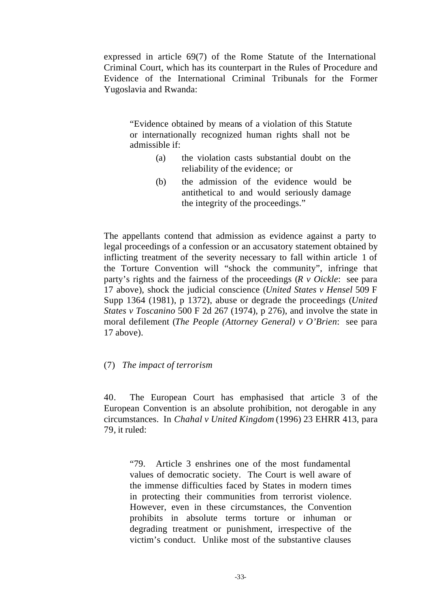expressed in article 69(7) of the Rome Statute of the International Criminal Court, which has its counterpart in the Rules of Procedure and Evidence of the International Criminal Tribunals for the Former Yugoslavia and Rwanda:

"Evidence obtained by means of a violation of this Statute or internationally recognized human rights shall not be admissible if:

- (a) the violation casts substantial doubt on the reliability of the evidence; or
- (b) the admission of the evidence would be antithetical to and would seriously damage the integrity of the proceedings."

The appellants contend that admission as evidence against a party to legal proceedings of a confession or an accusatory statement obtained by inflicting treatment of the severity necessary to fall within article 1 of the Torture Convention will "shock the community", infringe that party's rights and the fairness of the proceedings (*R v Oickle*: see para 17 above), shock the judicial conscience (*United States v Hensel* 509 F Supp 1364 (1981), p 1372), abuse or degrade the proceedings (*United States v Toscanino* 500 F 2d 267 (1974), p 276), and involve the state in moral defilement (*The People (Attorney General) v O'Brien*: see para 17 above).

# (7) *The impact of terrorism*

40. The European Court has emphasised that article 3 of the European Convention is an absolute prohibition, not derogable in any circumstances. In *Chahal v United Kingdom* (1996) 23 EHRR 413, para 79, it ruled:

"79. Article 3 enshrines one of the most fundamental values of democratic society. The Court is well aware of the immense difficulties faced by States in modern times in protecting their communities from terrorist violence. However, even in these circumstances, the Convention prohibits in absolute terms torture or inhuman or degrading treatment or punishment, irrespective of the victim's conduct. Unlike most of the substantive clauses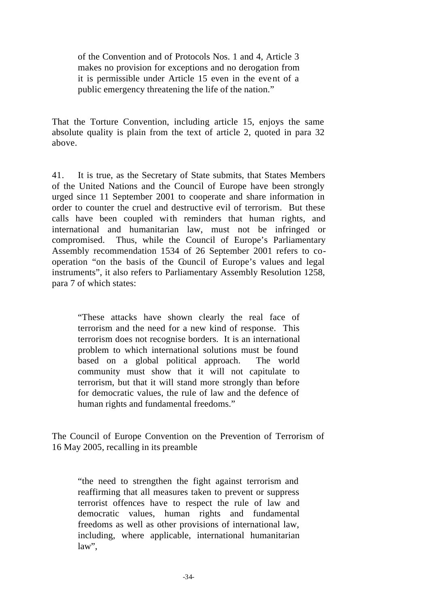of the Convention and of Protocols Nos. 1 and 4, Article 3 makes no provision for exceptions and no derogation from it is permissible under Article 15 even in the event of a public emergency threatening the life of the nation."

That the Torture Convention, including article 15, enjoys the same absolute quality is plain from the text of article 2, quoted in para 32 above.

41. It is true, as the Secretary of State submits, that States Members of the United Nations and the Council of Europe have been strongly urged since 11 September 2001 to cooperate and share information in order to counter the cruel and destructive evil of terrorism. But these calls have been coupled with reminders that human rights, and international and humanitarian law, must not be infringed or compromised. Thus, while the Council of Europe's Parliamentary Assembly recommendation 1534 of 26 September 2001 refers to cooperation "on the basis of the Council of Europe's values and legal instruments", it also refers to Parliamentary Assembly Resolution 1258, para 7 of which states:

"These attacks have shown clearly the real face of terrorism and the need for a new kind of response. This terrorism does not recognise borders. It is an international problem to which international solutions must be found based on a global political approach. The world community must show that it will not capitulate to terrorism, but that it will stand more strongly than before for democratic values, the rule of law and the defence of human rights and fundamental freedoms."

The Council of Europe Convention on the Prevention of Terrorism of 16 May 2005, recalling in its preamble

"the need to strengthen the fight against terrorism and reaffirming that all measures taken to prevent or suppress terrorist offences have to respect the rule of law and democratic values, human rights and fundamental freedoms as well as other provisions of international law, including, where applicable, international humanitarian law",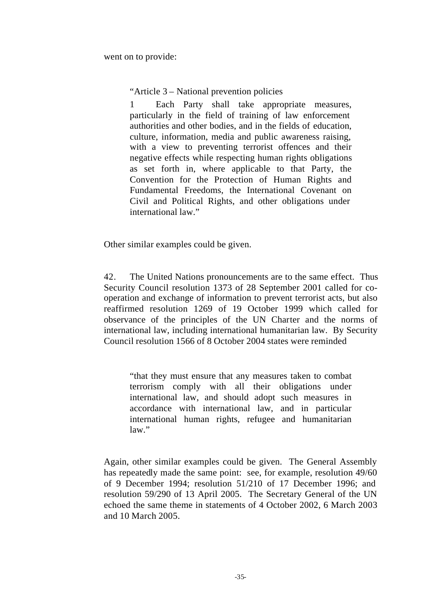"Article 3 – National prevention policies

1 Each Party shall take appropriate measures, particularly in the field of training of law enforcement authorities and other bodies, and in the fields of education, culture, information, media and public awareness raising, with a view to preventing terrorist offences and their negative effects while respecting human rights obligations as set forth in, where applicable to that Party, the Convention for the Protection of Human Rights and Fundamental Freedoms, the International Covenant on Civil and Political Rights, and other obligations under international law."

Other similar examples could be given.

42. The United Nations pronouncements are to the same effect. Thus Security Council resolution 1373 of 28 September 2001 called for cooperation and exchange of information to prevent terrorist acts, but also reaffirmed resolution 1269 of 19 October 1999 which called for observance of the principles of the UN Charter and the norms of international law, including international humanitarian law. By Security Council resolution 1566 of 8 October 2004 states were reminded

"that they must ensure that any measures taken to combat terrorism comply with all their obligations under international law, and should adopt such measures in accordance with international law, and in particular international human rights, refugee and humanitarian law."

Again, other similar examples could be given. The General Assembly has repeatedly made the same point: see, for example, resolution 49/60 of 9 December 1994; resolution 51/210 of 17 December 1996; and resolution 59/290 of 13 April 2005. The Secretary General of the UN echoed the same theme in statements of 4 October 2002, 6 March 2003 and 10 March 2005.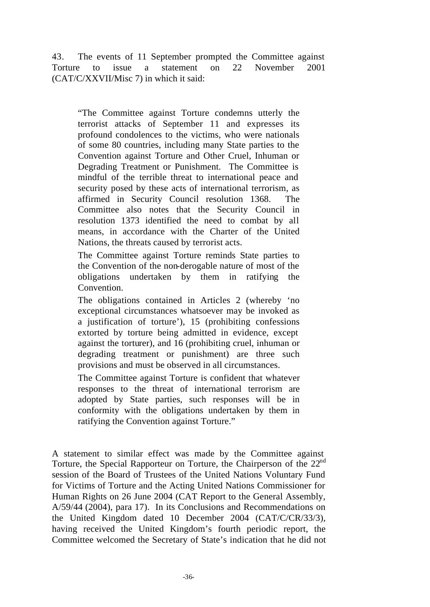43. The events of 11 September prompted the Committee against Torture to issue a statement on 22 November 2001 (CAT/C/XXVII/Misc 7) in which it said:

"The Committee against Torture condemns utterly the terrorist attacks of September 11 and expresses its profound condolences to the victims, who were nationals of some 80 countries, including many State parties to the Convention against Torture and Other Cruel, Inhuman or Degrading Treatment or Punishment. The Committee is mindful of the terrible threat to international peace and security posed by these acts of international terrorism, as affirmed in Security Council resolution 1368. The Committee also notes that the Security Council in resolution 1373 identified the need to combat by all means, in accordance with the Charter of the United Nations, the threats caused by terrorist acts.

The Committee against Torture reminds State parties to the Convention of the non-derogable nature of most of the obligations undertaken by them in ratifying the Convention.

The obligations contained in Articles 2 (whereby 'no exceptional circumstances whatsoever may be invoked as a justification of torture'), 15 (prohibiting confessions extorted by torture being admitted in evidence, except against the torturer), and 16 (prohibiting cruel, inhuman or degrading treatment or punishment) are three such provisions and must be observed in all circumstances.

The Committee against Torture is confident that whatever responses to the threat of international terrorism are adopted by State parties, such responses will be in conformity with the obligations undertaken by them in ratifying the Convention against Torture."

A statement to similar effect was made by the Committee against Torture, the Special Rapporteur on Torture, the Chairperson of the 22<sup>nd</sup> session of the Board of Trustees of the United Nations Voluntary Fund for Victims of Torture and the Acting United Nations Commissioner for Human Rights on 26 June 2004 (CAT Report to the General Assembly, A/59/44 (2004), para 17). In its Conclusions and Recommendations on the United Kingdom dated 10 December 2004 (CAT/C/CR/33/3), having received the United Kingdom's fourth periodic report, the Committee welcomed the Secretary of State's indication that he did not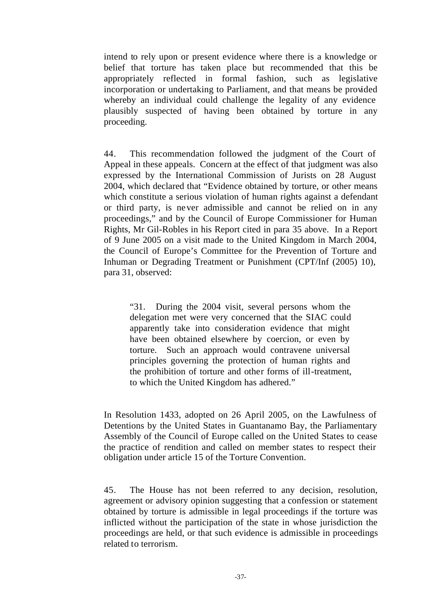intend to rely upon or present evidence where there is a knowledge or belief that torture has taken place but recommended that this be appropriately reflected in formal fashion, such as legislative incorporation or undertaking to Parliament, and that means be provided whereby an individual could challenge the legality of any evidence plausibly suspected of having been obtained by torture in any proceeding.

44. This recommendation followed the judgment of the Court of Appeal in these appeals. Concern at the effect of that judgment was also expressed by the International Commission of Jurists on 28 August 2004, which declared that "Evidence obtained by torture, or other means which constitute a serious violation of human rights against a defendant or third party, is never admissible and cannot be relied on in any proceedings," and by the Council of Europe Commissioner for Human Rights, Mr Gil-Robles in his Report cited in para 35 above. In a Report of 9 June 2005 on a visit made to the United Kingdom in March 2004, the Council of Europe's Committee for the Prevention of Torture and Inhuman or Degrading Treatment or Punishment (CPT/Inf (2005) 10), para 31, observed:

"31. During the 2004 visit, several persons whom the delegation met were very concerned that the SIAC could apparently take into consideration evidence that might have been obtained elsewhere by coercion, or even by torture. Such an approach would contravene universal principles governing the protection of human rights and the prohibition of torture and other forms of ill-treatment, to which the United Kingdom has adhered."

In Resolution 1433, adopted on 26 April 2005, on the Lawfulness of Detentions by the United States in Guantanamo Bay, the Parliamentary Assembly of the Council of Europe called on the United States to cease the practice of rendition and called on member states to respect their obligation under article 15 of the Torture Convention.

45. The House has not been referred to any decision, resolution, agreement or advisory opinion suggesting that a confession or statement obtained by torture is admissible in legal proceedings if the torture was inflicted without the participation of the state in whose jurisdiction the proceedings are held, or that such evidence is admissible in proceedings related to terrorism.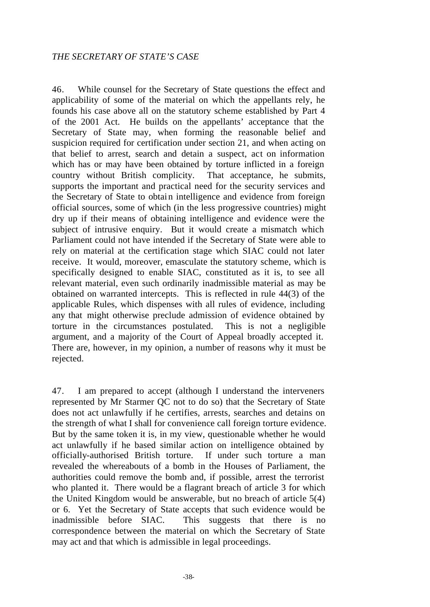### *THE SECRETARY OF STATE'S CASE*

46. While counsel for the Secretary of State questions the effect and applicability of some of the material on which the appellants rely, he founds his case above all on the statutory scheme established by Part 4 of the 2001 Act. He builds on the appellants' acceptance that the Secretary of State may, when forming the reasonable belief and suspicion required for certification under section 21, and when acting on that belief to arrest, search and detain a suspect, act on information which has or may have been obtained by torture inflicted in a foreign country without British complicity. That acceptance, he submits, supports the important and practical need for the security services and the Secretary of State to obtain intelligence and evidence from foreign official sources, some of which (in the less progressive countries) might dry up if their means of obtaining intelligence and evidence were the subject of intrusive enquiry. But it would create a mismatch which Parliament could not have intended if the Secretary of State were able to rely on material at the certification stage which SIAC could not later receive. It would, moreover, emasculate the statutory scheme, which is specifically designed to enable SIAC, constituted as it is, to see all relevant material, even such ordinarily inadmissible material as may be obtained on warranted intercepts. This is reflected in rule 44(3) of the applicable Rules, which dispenses with all rules of evidence, including any that might otherwise preclude admission of evidence obtained by torture in the circumstances postulated. This is not a negligible argument, and a majority of the Court of Appeal broadly accepted it. There are, however, in my opinion, a number of reasons why it must be rejected.

47. I am prepared to accept (although I understand the interveners represented by Mr Starmer QC not to do so) that the Secretary of State does not act unlawfully if he certifies, arrests, searches and detains on the strength of what I shall for convenience call foreign torture evidence. But by the same token it is, in my view, questionable whether he would act unlawfully if he based similar action on intelligence obtained by officially-authorised British torture. If under such torture a man revealed the whereabouts of a bomb in the Houses of Parliament, the authorities could remove the bomb and, if possible, arrest the terrorist who planted it. There would be a flagrant breach of article 3 for which the United Kingdom would be answerable, but no breach of article 5(4) or 6. Yet the Secretary of State accepts that such evidence would be inadmissible before SIAC. This suggests that there is no correspondence between the material on which the Secretary of State may act and that which is admissible in legal proceedings.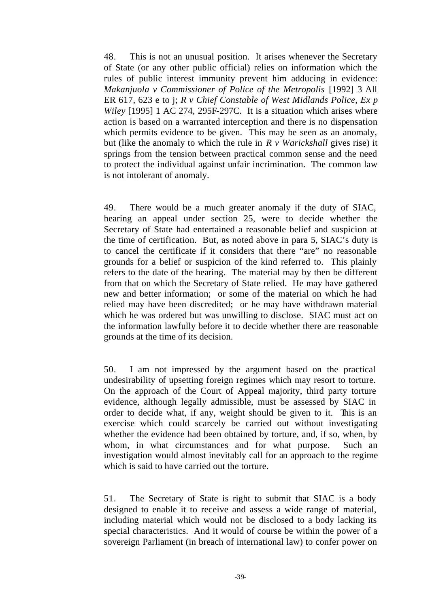48. This is not an unusual position. It arises whenever the Secretary of State (or any other public official) relies on information which the rules of public interest immunity prevent him adducing in evidence: *Makanjuola v Commissioner of Police of the Metropolis* [1992] 3 All ER 617, 623 e to j; *R v Chief Constable of West Midlands Police, Ex p Wiley* [1995] 1 AC 274, 295F-297C. It is a situation which arises where action is based on a warranted interception and there is no dispensation which permits evidence to be given. This may be seen as an anomaly, but (like the anomaly to which the rule in *R v Warickshall* gives rise) it springs from the tension between practical common sense and the need to protect the individual against unfair incrimination. The common law is not intolerant of anomaly.

49. There would be a much greater anomaly if the duty of SIAC, hearing an appeal under section 25, were to decide whether the Secretary of State had entertained a reasonable belief and suspicion at the time of certification. But, as noted above in para 5, SIAC's duty is to cancel the certificate if it considers that there "are" no reasonable grounds for a belief or suspicion of the kind referred to. This plainly refers to the date of the hearing. The material may by then be different from that on which the Secretary of State relied. He may have gathered new and better information; or some of the material on which he had relied may have been discredited; or he may have withdrawn material which he was ordered but was unwilling to disclose. SIAC must act on the information lawfully before it to decide whether there are reasonable grounds at the time of its decision.

50. I am not impressed by the argument based on the practical undesirability of upsetting foreign regimes which may resort to torture. On the approach of the Court of Appeal majority, third party torture evidence, although legally admissible, must be assessed by SIAC in order to decide what, if any, weight should be given to it. This is an exercise which could scarcely be carried out without investigating whether the evidence had been obtained by torture, and, if so, when, by whom, in what circumstances and for what purpose. Such an investigation would almost inevitably call for an approach to the regime which is said to have carried out the torture.

51. The Secretary of State is right to submit that SIAC is a body designed to enable it to receive and assess a wide range of material, including material which would not be disclosed to a body lacking its special characteristics. And it would of course be within the power of a sovereign Parliament (in breach of international law) to confer power on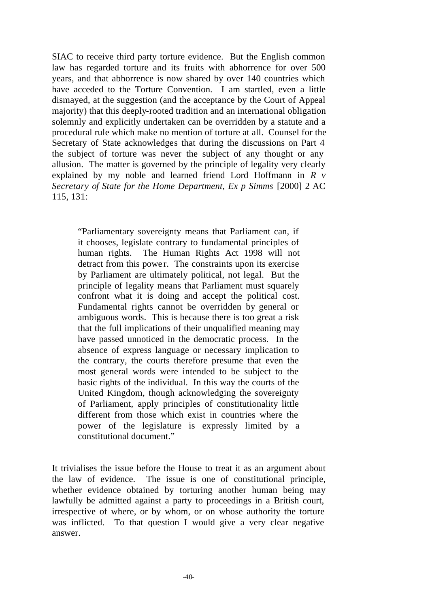SIAC to receive third party torture evidence. But the English common law has regarded torture and its fruits with abhorrence for over 500 years, and that abhorrence is now shared by over 140 countries which have acceded to the Torture Convention. I am startled, even a little dismayed, at the suggestion (and the acceptance by the Court of Appeal majority) that this deeply-rooted tradition and an international obligation solemnly and explicitly undertaken can be overridden by a statute and a procedural rule which make no mention of torture at all. Counsel for the Secretary of State acknowledges that during the discussions on Part 4 the subject of torture was never the subject of any thought or any allusion. The matter is governed by the principle of legality very clearly explained by my noble and learned friend Lord Hoffmann in *R v Secretary of State for the Home Department, Ex p Simms* [2000] 2 AC 115, 131:

"Parliamentary sovereignty means that Parliament can, if it chooses, legislate contrary to fundamental principles of human rights. The Human Rights Act 1998 will not detract from this power. The constraints upon its exercise by Parliament are ultimately political, not legal. But the principle of legality means that Parliament must squarely confront what it is doing and accept the political cost. Fundamental rights cannot be overridden by general or ambiguous words. This is because there is too great a risk that the full implications of their unqualified meaning may have passed unnoticed in the democratic process. In the absence of express language or necessary implication to the contrary, the courts therefore presume that even the most general words were intended to be subject to the basic rights of the individual. In this way the courts of the United Kingdom, though acknowledging the sovereignty of Parliament, apply principles of constitutionality little different from those which exist in countries where the power of the legislature is expressly limited by a constitutional document."

It trivialises the issue before the House to treat it as an argument about the law of evidence. The issue is one of constitutional principle, whether evidence obtained by torturing another human being may lawfully be admitted against a party to proceedings in a British court, irrespective of where, or by whom, or on whose authority the torture was inflicted. To that question I would give a very clear negative answer.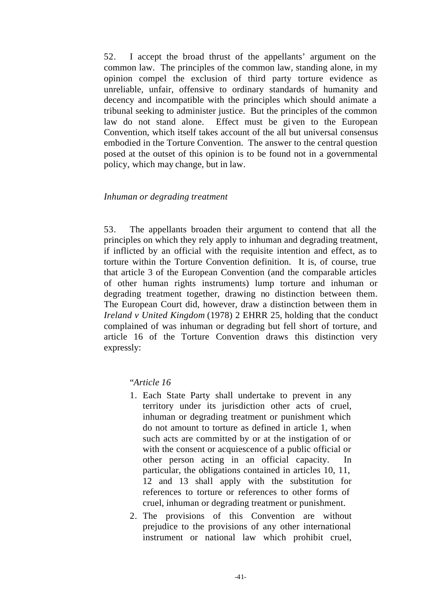52. I accept the broad thrust of the appellants' argument on the common law. The principles of the common law, standing alone, in my opinion compel the exclusion of third party torture evidence as unreliable, unfair, offensive to ordinary standards of humanity and decency and incompatible with the principles which should animate a tribunal seeking to administer justice. But the principles of the common law do not stand alone. Effect must be given to the European Convention, which itself takes account of the all but universal consensus embodied in the Torture Convention. The answer to the central question posed at the outset of this opinion is to be found not in a governmental policy, which may change, but in law.

### *Inhuman or degrading treatment*

53. The appellants broaden their argument to contend that all the principles on which they rely apply to inhuman and degrading treatment, if inflicted by an official with the requisite intention and effect, as to torture within the Torture Convention definition. It is, of course, true that article 3 of the European Convention (and the comparable articles of other human rights instruments) lump torture and inhuman or degrading treatment together, drawing no distinction between them. The European Court did, however, draw a distinction between them in *Ireland v United Kingdom* (1978) 2 EHRR 25, holding that the conduct complained of was inhuman or degrading but fell short of torture, and article 16 of the Torture Convention draws this distinction very expressly:

# "*Article 16*

- 1. Each State Party shall undertake to prevent in any territory under its jurisdiction other acts of cruel, inhuman or degrading treatment or punishment which do not amount to torture as defined in article 1, when such acts are committed by or at the instigation of or with the consent or acquiescence of a public official or other person acting in an official capacity. In particular, the obligations contained in articles 10, 11, 12 and 13 shall apply with the substitution for references to torture or references to other forms of cruel, inhuman or degrading treatment or punishment.
- 2. The provisions of this Convention are without prejudice to the provisions of any other international instrument or national law which prohibit cruel,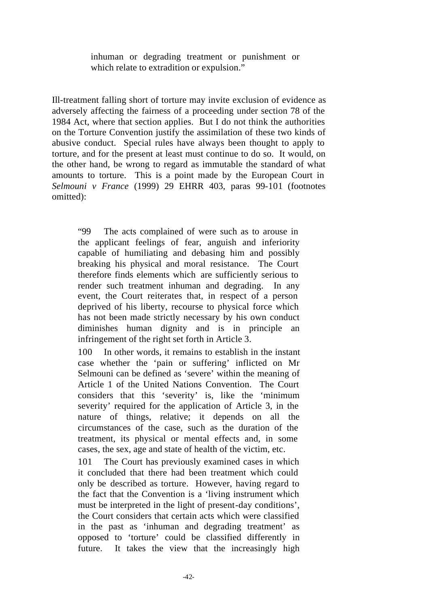inhuman or degrading treatment or punishment or which relate to extradition or expulsion."

Ill-treatment falling short of torture may invite exclusion of evidence as adversely affecting the fairness of a proceeding under section 78 of the 1984 Act, where that section applies. But I do not think the authorities on the Torture Convention justify the assimilation of these two kinds of abusive conduct. Special rules have always been thought to apply to torture, and for the present at least must continue to do so. It would, on the other hand, be wrong to regard as immutable the standard of what amounts to torture. This is a point made by the European Court in *Selmouni v France* (1999) 29 EHRR 403, paras 99-101 (footnotes omitted):

"99 The acts complained of were such as to arouse in the applicant feelings of fear, anguish and inferiority capable of humiliating and debasing him and possibly breaking his physical and moral resistance. The Court therefore finds elements which are sufficiently serious to render such treatment inhuman and degrading. In any event, the Court reiterates that, in respect of a person deprived of his liberty, recourse to physical force which has not been made strictly necessary by his own conduct diminishes human dignity and is in principle an infringement of the right set forth in Article 3.

100 In other words, it remains to establish in the instant case whether the 'pain or suffering' inflicted on Mr Selmouni can be defined as 'severe' within the meaning of Article 1 of the United Nations Convention. The Court considers that this 'severity' is, like the 'minimum severity' required for the application of Article 3, in the nature of things, relative; it depends on all the circumstances of the case, such as the duration of the treatment, its physical or mental effects and, in some cases, the sex, age and state of health of the victim, etc.

101 The Court has previously examined cases in which it concluded that there had been treatment which could only be described as torture. However, having regard to the fact that the Convention is a 'living instrument which must be interpreted in the light of present-day conditions', the Court considers that certain acts which were classified in the past as 'inhuman and degrading treatment' as opposed to 'torture' could be classified differently in future. It takes the view that the increasingly high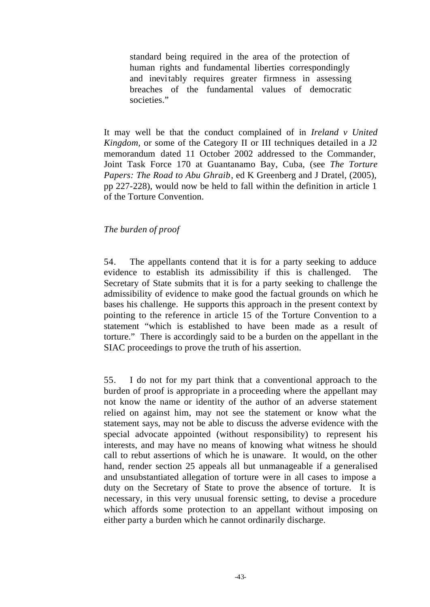standard being required in the area of the protection of human rights and fundamental liberties correspondingly and inevitably requires greater firmness in assessing breaches of the fundamental values of democratic societies."

It may well be that the conduct complained of in *Ireland v United Kingdom,* or some of the Category II or III techniques detailed in a J2 memorandum dated 11 October 2002 addressed to the Commander, Joint Task Force 170 at Guantanamo Bay, Cuba, (see *The Torture Papers: The Road to Abu Ghraib*, ed K Greenberg and J Dratel, (2005), pp 227-228), would now be held to fall within the definition in article 1 of the Torture Convention.

# *The burden of proof*

54. The appellants contend that it is for a party seeking to adduce evidence to establish its admissibility if this is challenged. The Secretary of State submits that it is for a party seeking to challenge the admissibility of evidence to make good the factual grounds on which he bases his challenge. He supports this approach in the present context by pointing to the reference in article 15 of the Torture Convention to a statement "which is established to have been made as a result of torture." There is accordingly said to be a burden on the appellant in the SIAC proceedings to prove the truth of his assertion.

55. I do not for my part think that a conventional approach to the burden of proof is appropriate in a proceeding where the appellant may not know the name or identity of the author of an adverse statement relied on against him, may not see the statement or know what the statement says, may not be able to discuss the adverse evidence with the special advocate appointed (without responsibility) to represent his interests, and may have no means of knowing what witness he should call to rebut assertions of which he is unaware. It would, on the other hand, render section 25 appeals all but unmanageable if a generalised and unsubstantiated allegation of torture were in all cases to impose a duty on the Secretary of State to prove the absence of torture. It is necessary, in this very unusual forensic setting, to devise a procedure which affords some protection to an appellant without imposing on either party a burden which he cannot ordinarily discharge.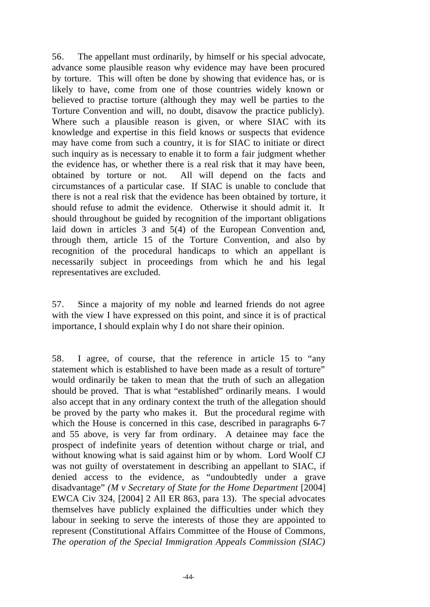56. The appellant must ordinarily, by himself or his special advocate, advance some plausible reason why evidence may have been procured by torture. This will often be done by showing that evidence has, or is likely to have, come from one of those countries widely known or believed to practise torture (although they may well be parties to the Torture Convention and will, no doubt, disavow the practice publicly). Where such a plausible reason is given, or where SIAC with its knowledge and expertise in this field knows or suspects that evidence may have come from such a country, it is for SIAC to initiate or direct such inquiry as is necessary to enable it to form a fair judgment whether the evidence has, or whether there is a real risk that it may have been, obtained by torture or not. All will depend on the facts and circumstances of a particular case. If SIAC is unable to conclude that there is not a real risk that the evidence has been obtained by torture, it should refuse to admit the evidence. Otherwise it should admit it. It should throughout be guided by recognition of the important obligations laid down in articles 3 and 5(4) of the European Convention and, through them, article 15 of the Torture Convention, and also by recognition of the procedural handicaps to which an appellant is necessarily subject in proceedings from which he and his legal representatives are excluded.

57. Since a majority of my noble and learned friends do not agree with the view I have expressed on this point, and since it is of practical importance, I should explain why I do not share their opinion.

58. I agree, of course, that the reference in article 15 to "any statement which is established to have been made as a result of torture" would ordinarily be taken to mean that the truth of such an allegation should be proved. That is what "established" ordinarily means. I would also accept that in any ordinary context the truth of the allegation should be proved by the party who makes it. But the procedural regime with which the House is concerned in this case, described in paragraphs 6-7 and 55 above, is very far from ordinary. A detainee may face the prospect of indefinite years of detention without charge or trial, and without knowing what is said against him or by whom. Lord Woolf CJ was not guilty of overstatement in describing an appellant to SIAC, if denied access to the evidence, as "undoubtedly under a grave disadvantage" *(M v Secretary of State for the Home Department* [2004] EWCA Civ 324, [2004] 2 All ER 863, para 13). The special advocates themselves have publicly explained the difficulties under which they labour in seeking to serve the interests of those they are appointed to represent (Constitutional Affairs Committee of the House of Commons, *The operation of the Special Immigration Appeals Commission (SIAC)*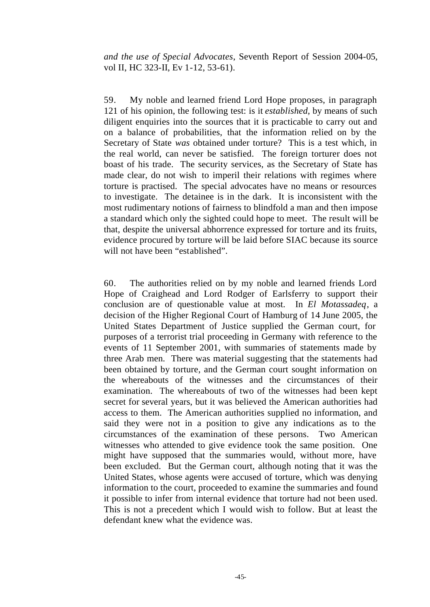*and the use of Special Advocates*, Seventh Report of Session 2004-05, vol II, HC 323-II, Ev 1-12, 53-61).

59. My noble and learned friend Lord Hope proposes, in paragraph 121 of his opinion, the following test: is it *established*, by means of such diligent enquiries into the sources that it is practicable to carry out and on a balance of probabilities, that the information relied on by the Secretary of State *was* obtained under torture? This is a test which, in the real world, can never be satisfied. The foreign torturer does not boast of his trade. The security services, as the Secretary of State has made clear, do not wish to imperil their relations with regimes where torture is practised. The special advocates have no means or resources to investigate. The detainee is in the dark. It is inconsistent with the most rudimentary notions of fairness to blindfold a man and then impose a standard which only the sighted could hope to meet. The result will be that, despite the universal abhorrence expressed for torture and its fruits, evidence procured by torture will be laid before SIAC because its source will not have been "established".

60. The authorities relied on by my noble and learned friends Lord Hope of Craighead and Lord Rodger of Earlsferry to support their conclusion are of questionable value at most. In *El Motassadeq*, a decision of the Higher Regional Court of Hamburg of 14 June 2005, the United States Department of Justice supplied the German court, for purposes of a terrorist trial proceeding in Germany with reference to the events of 11 September 2001, with summaries of statements made by three Arab men. There was material suggesting that the statements had been obtained by torture, and the German court sought information on the whereabouts of the witnesses and the circumstances of their examination. The whereabouts of two of the witnesses had been kept secret for several years, but it was believed the American authorities had access to them. The American authorities supplied no information, and said they were not in a position to give any indications as to the circumstances of the examination of these persons. Two American witnesses who attended to give evidence took the same position. One might have supposed that the summaries would, without more, have been excluded. But the German court, although noting that it was the United States, whose agents were accused of torture, which was denying information to the court, proceeded to examine the summaries and found it possible to infer from internal evidence that torture had not been used. This is not a precedent which I would wish to follow. But at least the defendant knew what the evidence was.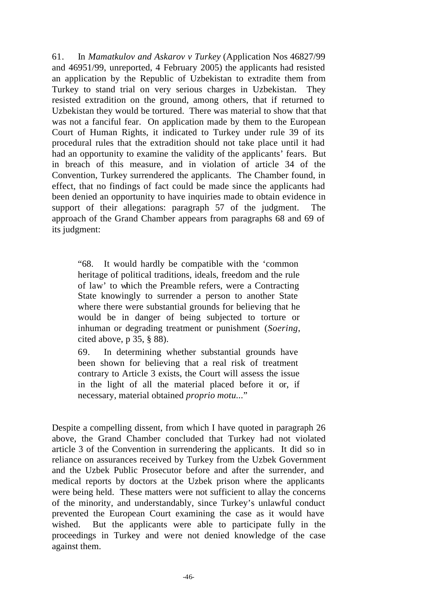61. In *Mamatkulov and Askarov v Turkey* (Application Nos 46827/99 and 46951/99, unreported, 4 February 2005) the applicants had resisted an application by the Republic of Uzbekistan to extradite them from Turkey to stand trial on very serious charges in Uzbekistan. They resisted extradition on the ground, among others, that if returned to Uzbekistan they would be tortured. There was material to show that that was not a fanciful fear. On application made by them to the European Court of Human Rights, it indicated to Turkey under rule 39 of its procedural rules that the extradition should not take place until it had had an opportunity to examine the validity of the applicants' fears. But in breach of this measure, and in violation of article 34 of the Convention, Turkey surrendered the applicants. The Chamber found, in effect, that no findings of fact could be made since the applicants had been denied an opportunity to have inquiries made to obtain evidence in support of their allegations: paragraph 57 of the judgment. The approach of the Grand Chamber appears from paragraphs 68 and 69 of its judgment:

"68. It would hardly be compatible with the 'common heritage of political traditions, ideals, freedom and the rule of law' to which the Preamble refers, were a Contracting State knowingly to surrender a person to another State where there were substantial grounds for believing that he would be in danger of being subjected to torture or inhuman or degrading treatment or punishment (*Soering*, cited above, p 35, § 88).

69. In determining whether substantial grounds have been shown for believing that a real risk of treatment contrary to Article 3 exists, the Court will assess the issue in the light of all the material placed before it or, if necessary, material obtained *proprio motu...*"

Despite a compelling dissent, from which I have quoted in paragraph 26 above, the Grand Chamber concluded that Turkey had not violated article 3 of the Convention in surrendering the applicants. It did so in reliance on assurances received by Turkey from the Uzbek Government and the Uzbek Public Prosecutor before and after the surrender, and medical reports by doctors at the Uzbek prison where the applicants were being held. These matters were not sufficient to allay the concerns of the minority, and understandably, since Turkey's unlawful conduct prevented the European Court examining the case as it would have wished. But the applicants were able to participate fully in the proceedings in Turkey and were not denied knowledge of the case against them.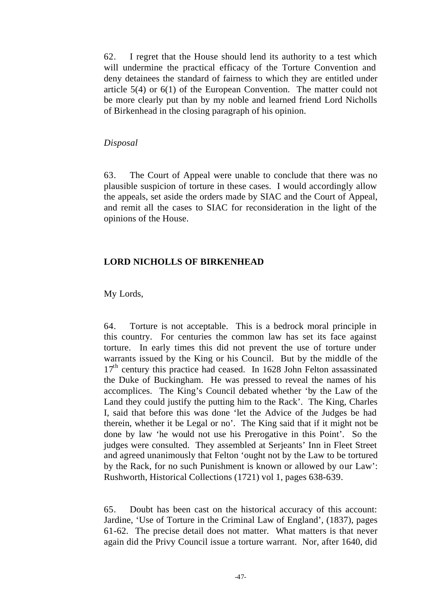62. I regret that the House should lend its authority to a test which will undermine the practical efficacy of the Torture Convention and deny detainees the standard of fairness to which they are entitled under article 5(4) or 6(1) of the European Convention. The matter could not be more clearly put than by my noble and learned friend Lord Nicholls of Birkenhead in the closing paragraph of his opinion.

### *Disposal*

63. The Court of Appeal were unable to conclude that there was no plausible suspicion of torture in these cases. I would accordingly allow the appeals, set aside the orders made by SIAC and the Court of Appeal, and remit all the cases to SIAC for reconsideration in the light of the opinions of the House.

### **LORD NICHOLLS OF BIRKENHEAD**

### My Lords,

64. Torture is not acceptable. This is a bedrock moral principle in this country. For centuries the common law has set its face against torture. In early times this did not prevent the use of torture under warrants issued by the King or his Council. But by the middle of the  $17<sup>th</sup>$  century this practice had ceased. In 1628 John Felton assassinated the Duke of Buckingham. He was pressed to reveal the names of his accomplices. The King's Council debated whether 'by the Law of the Land they could justify the putting him to the Rack'. The King, Charles I, said that before this was done 'let the Advice of the Judges be had therein, whether it be Legal or no'. The King said that if it might not be done by law 'he would not use his Prerogative in this Point'. So the judges were consulted. They assembled at Serjeants' Inn in Fleet Street and agreed unanimously that Felton 'ought not by the Law to be tortured by the Rack, for no such Punishment is known or allowed by our Law': Rushworth, Historical Collections (1721) vol 1, pages 638-639.

65. Doubt has been cast on the historical accuracy of this account: Jardine, 'Use of Torture in the Criminal Law of England', (1837), pages 61-62. The precise detail does not matter. What matters is that never again did the Privy Council issue a torture warrant. Nor, after 1640, did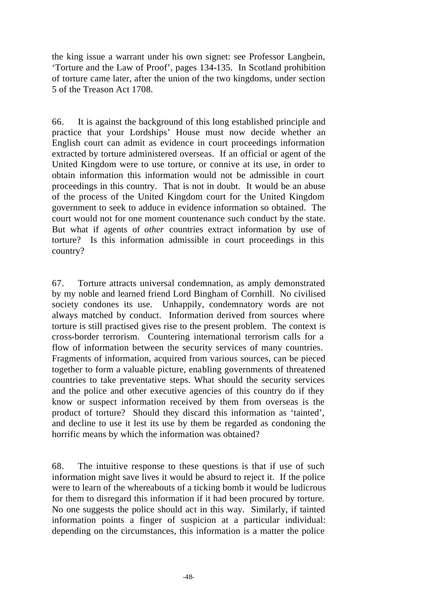the king issue a warrant under his own signet: see Professor Langbein, 'Torture and the Law of Proof', pages 134-135. In Scotland prohibition of torture came later, after the union of the two kingdoms, under section 5 of the Treason Act 1708.

66. It is against the background of this long established principle and practice that your Lordships' House must now decide whether an English court can admit as evidence in court proceedings information extracted by torture administered overseas. If an official or agent of the United Kingdom were to use torture, or connive at its use, in order to obtain information this information would not be admissible in court proceedings in this country. That is not in doubt. It would be an abuse of the process of the United Kingdom court for the United Kingdom government to seek to adduce in evidence information so obtained. The court would not for one moment countenance such conduct by the state. But what if agents of *other* countries extract information by use of torture? Is this information admissible in court proceedings in this country?

67. Torture attracts universal condemnation, as amply demonstrated by my noble and learned friend Lord Bingham of Cornhill. No civilised society condones its use. Unhappily, condemnatory words are not always matched by conduct. Information derived from sources where torture is still practised gives rise to the present problem. The context is cross-border terrorism. Countering international terrorism calls for a flow of information between the security services of many countries. Fragments of information, acquired from various sources, can be pieced together to form a valuable picture, enabling governments of threatened countries to take preventative steps. What should the security services and the police and other executive agencies of this country do if they know or suspect information received by them from overseas is the product of torture? Should they discard this information as 'tainted', and decline to use it lest its use by them be regarded as condoning the horrific means by which the information was obtained?

68. The intuitive response to these questions is that if use of such information might save lives it would be absurd to reject it. If the police were to learn of the whereabouts of a ticking bomb it would be ludicrous for them to disregard this information if it had been procured by torture. No one suggests the police should act in this way. Similarly, if tainted information points a finger of suspicion at a particular individual: depending on the circumstances, this information is a matter the police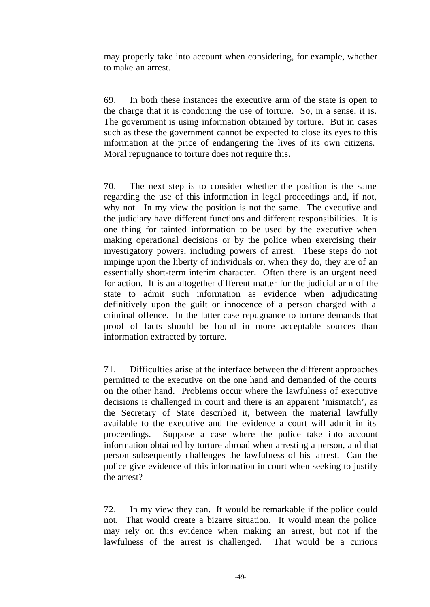may properly take into account when considering, for example, whether to make an arrest.

69. In both these instances the executive arm of the state is open to the charge that it is condoning the use of torture. So, in a sense, it is. The government is using information obtained by torture. But in cases such as these the government cannot be expected to close its eyes to this information at the price of endangering the lives of its own citizens. Moral repugnance to torture does not require this.

70. The next step is to consider whether the position is the same regarding the use of this information in legal proceedings and, if not, why not. In my view the position is not the same. The executive and the judiciary have different functions and different responsibilities. It is one thing for tainted information to be used by the executive when making operational decisions or by the police when exercising their investigatory powers, including powers of arrest. These steps do not impinge upon the liberty of individuals or, when they do, they are of an essentially short-term interim character. Often there is an urgent need for action. It is an altogether different matter for the judicial arm of the state to admit such information as evidence when adjudicating definitively upon the guilt or innocence of a person charged with a criminal offence. In the latter case repugnance to torture demands that proof of facts should be found in more acceptable sources than information extracted by torture.

71. Difficulties arise at the interface between the different approaches permitted to the executive on the one hand and demanded of the courts on the other hand. Problems occur where the lawfulness of executive decisions is challenged in court and there is an apparent 'mismatch', as the Secretary of State described it, between the material lawfully available to the executive and the evidence a court will admit in its proceedings. Suppose a case where the police take into account information obtained by torture abroad when arresting a person, and that person subsequently challenges the lawfulness of his arrest. Can the police give evidence of this information in court when seeking to justify the arrest?

72. In my view they can. It would be remarkable if the police could not. That would create a bizarre situation. It would mean the police may rely on this evidence when making an arrest, but not if the lawfulness of the arrest is challenged. That would be a curious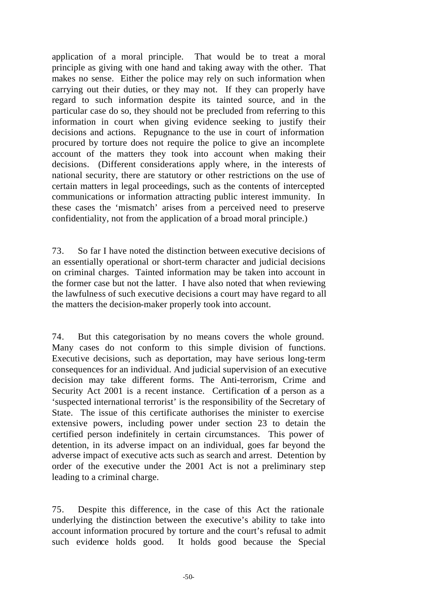application of a moral principle. That would be to treat a moral principle as giving with one hand and taking away with the other. That makes no sense. Either the police may rely on such information when carrying out their duties, or they may not. If they can properly have regard to such information despite its tainted source, and in the particular case do so, they should not be precluded from referring to this information in court when giving evidence seeking to justify their decisions and actions. Repugnance to the use in court of information procured by torture does not require the police to give an incomplete account of the matters they took into account when making their decisions. (Different considerations apply where, in the interests of national security, there are statutory or other restrictions on the use of certain matters in legal proceedings, such as the contents of intercepted communications or information attracting public interest immunity. In these cases the 'mismatch' arises from a perceived need to preserve confidentiality, not from the application of a broad moral principle.)

73. So far I have noted the distinction between executive decisions of an essentially operational or short-term character and judicial decisions on criminal charges. Tainted information may be taken into account in the former case but not the latter. I have also noted that when reviewing the lawfulness of such executive decisions a court may have regard to all the matters the decision-maker properly took into account.

74. But this categorisation by no means covers the whole ground. Many cases do not conform to this simple division of functions. Executive decisions, such as deportation, may have serious long-term consequences for an individual. And judicial supervision of an executive decision may take different forms. The Anti-terrorism, Crime and Security Act 2001 is a recent instance. Certification of a person as a 'suspected international terrorist' is the responsibility of the Secretary of State. The issue of this certificate authorises the minister to exercise extensive powers, including power under section 23 to detain the certified person indefinitely in certain circumstances. This power of detention, in its adverse impact on an individual, goes far beyond the adverse impact of executive acts such as search and arrest. Detention by order of the executive under the 2001 Act is not a preliminary step leading to a criminal charge.

75. Despite this difference, in the case of this Act the rationale underlying the distinction between the executive's ability to take into account information procured by torture and the court's refusal to admit such evidence holds good. It holds good because the Special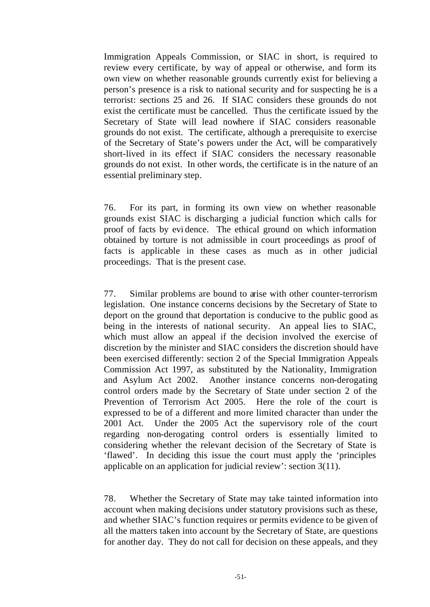Immigration Appeals Commission, or SIAC in short, is required to review every certificate, by way of appeal or otherwise, and form its own view on whether reasonable grounds currently exist for believing a person's presence is a risk to national security and for suspecting he is a terrorist: sections 25 and 26. If SIAC considers these grounds do not exist the certificate must be cancelled. Thus the certificate issued by the Secretary of State will lead nowhere if SIAC considers reasonable grounds do not exist. The certificate, although a prerequisite to exercise of the Secretary of State's powers under the Act, will be comparatively short-lived in its effect if SIAC considers the necessary reasonable grounds do not exist. In other words, the certificate is in the nature of an essential preliminary step.

76. For its part, in forming its own view on whether reasonable grounds exist SIAC is discharging a judicial function which calls for proof of facts by evi dence. The ethical ground on which information obtained by torture is not admissible in court proceedings as proof of facts is applicable in these cases as much as in other judicial proceedings. That is the present case.

77. Similar problems are bound to arise with other counter-terrorism legislation. One instance concerns decisions by the Secretary of State to deport on the ground that deportation is conducive to the public good as being in the interests of national security. An appeal lies to SIAC, which must allow an appeal if the decision involved the exercise of discretion by the minister and SIAC considers the discretion should have been exercised differently: section 2 of the Special Immigration Appeals Commission Act 1997, as substituted by the Nationality, Immigration and Asylum Act 2002. Another instance concerns non-derogating control orders made by the Secretary of State under section 2 of the Prevention of Terrorism Act 2005. Here the role of the court is expressed to be of a different and more limited character than under the 2001 Act. Under the 2005 Act the supervisory role of the court regarding non-derogating control orders is essentially limited to considering whether the relevant decision of the Secretary of State is 'flawed'. In deciding this issue the court must apply the 'principles applicable on an application for judicial review': section 3(11).

78. Whether the Secretary of State may take tainted information into account when making decisions under statutory provisions such as these, and whether SIAC's function requires or permits evidence to be given of all the matters taken into account by the Secretary of State, are questions for another day. They do not call for decision on these appeals, and they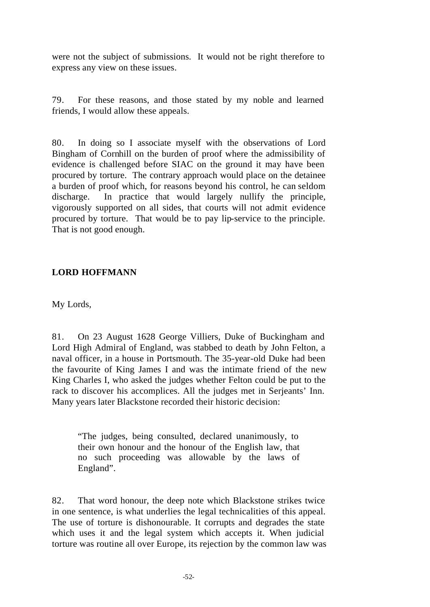were not the subject of submissions. It would not be right therefore to express any view on these issues.

79. For these reasons, and those stated by my noble and learned friends, I would allow these appeals.

80. In doing so I associate myself with the observations of Lord Bingham of Cornhill on the burden of proof where the admissibility of evidence is challenged before SIAC on the ground it may have been procured by torture. The contrary approach would place on the detainee a burden of proof which, for reasons beyond his control, he can seldom discharge. In practice that would largely nullify the principle, vigorously supported on all sides, that courts will not admit evidence procured by torture. That would be to pay lip-service to the principle. That is not good enough.

# **LORD HOFFMANN**

My Lords,

81. On 23 August 1628 George Villiers, Duke of Buckingham and Lord High Admiral of England, was stabbed to death by John Felton, a naval officer, in a house in Portsmouth. The 35-year-old Duke had been the favourite of King James I and was the intimate friend of the new King Charles I, who asked the judges whether Felton could be put to the rack to discover his accomplices. All the judges met in Serjeants' Inn. Many years later Blackstone recorded their historic decision:

"The judges, being consulted, declared unanimously, to their own honour and the honour of the English law, that no such proceeding was allowable by the laws of England".

82. That word honour, the deep note which Blackstone strikes twice in one sentence, is what underlies the legal technicalities of this appeal. The use of torture is dishonourable. It corrupts and degrades the state which uses it and the legal system which accepts it. When judicial torture was routine all over Europe, its rejection by the common law was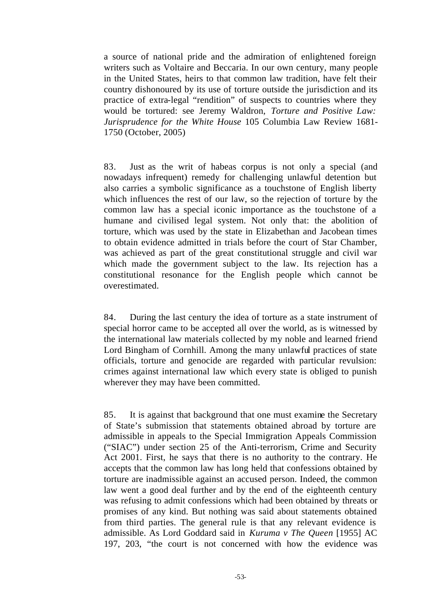a source of national pride and the admiration of enlightened foreign writers such as Voltaire and Beccaria. In our own century, many people in the United States, heirs to that common law tradition, have felt their country dishonoured by its use of torture outside the jurisdiction and its practice of extra-legal "rendition" of suspects to countries where they would be tortured: see Jeremy Waldron, *Torture and Positive Law: Jurisprudence for the White House* 105 Columbia Law Review 1681- 1750 (October, 2005)

83. Just as the writ of habeas corpus is not only a special (and nowadays infrequent) remedy for challenging unlawful detention but also carries a symbolic significance as a touchstone of English liberty which influences the rest of our law, so the rejection of torture by the common law has a special iconic importance as the touchstone of a humane and civilised legal system. Not only that: the abolition of torture, which was used by the state in Elizabethan and Jacobean times to obtain evidence admitted in trials before the court of Star Chamber, was achieved as part of the great constitutional struggle and civil war which made the government subject to the law. Its rejection has a constitutional resonance for the English people which cannot be overestimated.

84. During the last century the idea of torture as a state instrument of special horror came to be accepted all over the world, as is witnessed by the international law materials collected by my noble and learned friend Lord Bingham of Cornhill. Among the many unlawful practices of state officials, torture and genocide are regarded with particular revulsion: crimes against international law which every state is obliged to punish wherever they may have been committed.

85. It is against that background that one must examine the Secretary of State's submission that statements obtained abroad by torture are admissible in appeals to the Special Immigration Appeals Commission ("SIAC") under section 25 of the Anti-terrorism, Crime and Security Act 2001. First, he says that there is no authority to the contrary. He accepts that the common law has long held that confessions obtained by torture are inadmissible against an accused person. Indeed, the common law went a good deal further and by the end of the eighteenth century was refusing to admit confessions which had been obtained by threats or promises of any kind. But nothing was said about statements obtained from third parties. The general rule is that any relevant evidence is admissible. As Lord Goddard said in *Kuruma v The Queen* [1955] AC 197, 203, "the court is not concerned with how the evidence was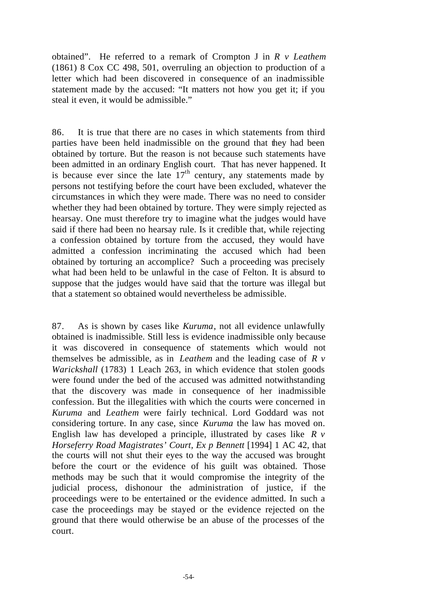obtained". He referred to a remark of Crompton J in *R v Leathem* (1861) 8 Cox CC 498, 501, overruling an objection to production of a letter which had been discovered in consequence of an inadmissible statement made by the accused: "It matters not how you get it; if you steal it even, it would be admissible."

86. It is true that there are no cases in which statements from third parties have been held inadmissible on the ground that they had been obtained by torture. But the reason is not because such statements have been admitted in an ordinary English court. That has never happened. It is because ever since the late  $17<sup>th</sup>$  century, any statements made by persons not testifying before the court have been excluded, whatever the circumstances in which they were made. There was no need to consider whether they had been obtained by torture. They were simply rejected as hearsay. One must therefore try to imagine what the judges would have said if there had been no hearsay rule. Is it credible that, while rejecting a confession obtained by torture from the accused, they would have admitted a confession incriminating the accused which had been obtained by torturing an accomplice? Such a proceeding was precisely what had been held to be unlawful in the case of Felton. It is absurd to suppose that the judges would have said that the torture was illegal but that a statement so obtained would nevertheless be admissible.

87. As is shown by cases like *Kuruma*, not all evidence unlawfully obtained is inadmissible. Still less is evidence inadmissible only because it was discovered in consequence of statements which would not themselves be admissible, as in *Leathem* and the leading case of *R v Warickshall* (1783) 1 Leach 263, in which evidence that stolen goods were found under the bed of the accused was admitted notwithstanding that the discovery was made in consequence of her inadmissible confession. But the illegalities with which the courts were concerned in *Kuruma* and *Leathem* were fairly technical. Lord Goddard was not considering torture. In any case, since *Kuruma* the law has moved on. English law has developed a principle, illustrated by cases like *R v Horseferry Road Magistrates' Court, Ex p Bennett* [1994] 1 AC 42, that the courts will not shut their eyes to the way the accused was brought before the court or the evidence of his guilt was obtained. Those methods may be such that it would compromise the integrity of the judicial process, dishonour the administration of justice, if the proceedings were to be entertained or the evidence admitted. In such a case the proceedings may be stayed or the evidence rejected on the ground that there would otherwise be an abuse of the processes of the court.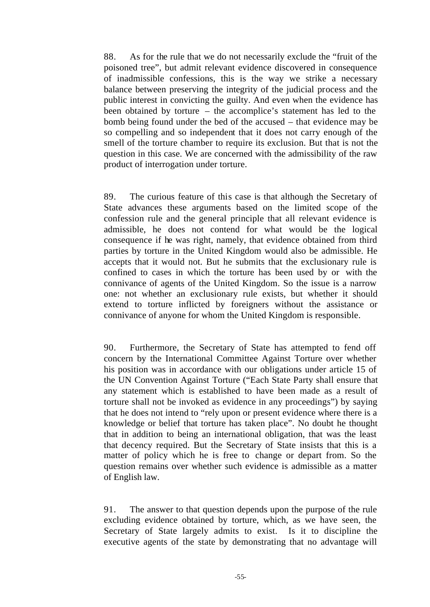88. As for the rule that we do not necessarily exclude the "fruit of the poisoned tree", but admit relevant evidence discovered in consequence of inadmissible confessions, this is the way we strike a necessary balance between preserving the integrity of the judicial process and the public interest in convicting the guilty. And even when the evidence has been obtained by torture – the accomplice's statement has led to the bomb being found under the bed of the accused – that evidence may be so compelling and so independent that it does not carry enough of the smell of the torture chamber to require its exclusion. But that is not the question in this case. We are concerned with the admissibility of the raw product of interrogation under torture.

89. The curious feature of this case is that although the Secretary of State advances these arguments based on the limited scope of the confession rule and the general principle that all relevant evidence is admissible, he does not contend for what would be the logical consequence if he was right, namely, that evidence obtained from third parties by torture in the United Kingdom would also be admissible. He accepts that it would not. But he submits that the exclusionary rule is confined to cases in which the torture has been used by or with the connivance of agents of the United Kingdom. So the issue is a narrow one: not whether an exclusionary rule exists, but whether it should extend to torture inflicted by foreigners without the assistance or connivance of anyone for whom the United Kingdom is responsible.

90. Furthermore, the Secretary of State has attempted to fend off concern by the International Committee Against Torture over whether his position was in accordance with our obligations under article 15 of the UN Convention Against Torture ("Each State Party shall ensure that any statement which is established to have been made as a result of torture shall not be invoked as evidence in any proceedings") by saying that he does not intend to "rely upon or present evidence where there is a knowledge or belief that torture has taken place". No doubt he thought that in addition to being an international obligation, that was the least that decency required. But the Secretary of State insists that this is a matter of policy which he is free to change or depart from. So the question remains over whether such evidence is admissible as a matter of English law.

91. The answer to that question depends upon the purpose of the rule excluding evidence obtained by torture, which, as we have seen, the Secretary of State largely admits to exist. Is it to discipline the executive agents of the state by demonstrating that no advantage will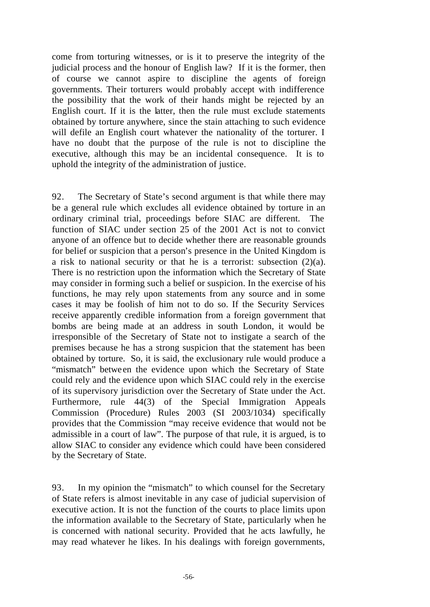come from torturing witnesses, or is it to preserve the integrity of the judicial process and the honour of English law? If it is the former, then of course we cannot aspire to discipline the agents of foreign governments. Their torturers would probably accept with indifference the possibility that the work of their hands might be rejected by an English court. If it is the latter, then the rule must exclude statements obtained by torture anywhere, since the stain attaching to such evidence will defile an English court whatever the nationality of the torturer. I have no doubt that the purpose of the rule is not to discipline the executive, although this may be an incidental consequence. It is to uphold the integrity of the administration of justice.

92. The Secretary of State's second argument is that while there may be a general rule which excludes all evidence obtained by torture in an ordinary criminal trial, proceedings before SIAC are different. The function of SIAC under section 25 of the 2001 Act is not to convict anyone of an offence but to decide whether there are reasonable grounds for belief or suspicion that a person's presence in the United Kingdom is a risk to national security or that he is a terrorist: subsection (2)(a). There is no restriction upon the information which the Secretary of State may consider in forming such a belief or suspicion. In the exercise of his functions, he may rely upon statements from any source and in some cases it may be foolish of him not to do so. If the Security Services receive apparently credible information from a foreign government that bombs are being made at an address in south London, it would be irresponsible of the Secretary of State not to instigate a search of the premises because he has a strong suspicion that the statement has been obtained by torture. So, it is said, the exclusionary rule would produce a "mismatch" betwe en the evidence upon which the Secretary of State could rely and the evidence upon which SIAC could rely in the exercise of its supervisory jurisdiction over the Secretary of State under the Act. Furthermore, rule 44(3) of the Special Immigration Appeals Commission (Procedure) Rules 2003 (SI 2003/1034) specifically provides that the Commission "may receive evidence that would not be admissible in a court of law". The purpose of that rule, it is argued, is to allow SIAC to consider any evidence which could have been considered by the Secretary of State.

93. In my opinion the "mismatch" to which counsel for the Secretary of State refers is almost inevitable in any case of judicial supervision of executive action. It is not the function of the courts to place limits upon the information available to the Secretary of State, particularly when he is concerned with national security. Provided that he acts lawfully, he may read whatever he likes. In his dealings with foreign governments,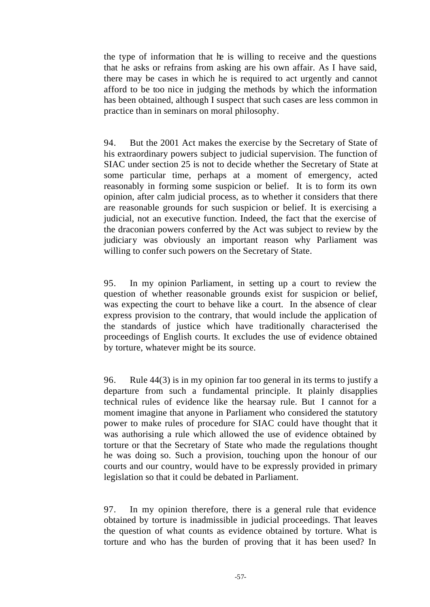the type of information that he is willing to receive and the questions that he asks or refrains from asking are his own affair. As I have said, there may be cases in which he is required to act urgently and cannot afford to be too nice in judging the methods by which the information has been obtained, although I suspect that such cases are less common in practice than in seminars on moral philosophy.

94. But the 2001 Act makes the exercise by the Secretary of State of his extraordinary powers subject to judicial supervision. The function of SIAC under section 25 is not to decide whether the Secretary of State at some particular time, perhaps at a moment of emergency, acted reasonably in forming some suspicion or belief. It is to form its own opinion, after calm judicial process, as to whether it considers that there are reasonable grounds for such suspicion or belief. It is exercising a judicial, not an executive function. Indeed, the fact that the exercise of the draconian powers conferred by the Act was subject to review by the judiciary was obviously an important reason why Parliament was willing to confer such powers on the Secretary of State.

95. In my opinion Parliament, in setting up a court to review the question of whether reasonable grounds exist for suspicion or belief, was expecting the court to behave like a court. In the absence of clear express provision to the contrary, that would include the application of the standards of justice which have traditionally characterised the proceedings of English courts. It excludes the use of evidence obtained by torture, whatever might be its source.

96. Rule 44(3) is in my opinion far too general in its terms to justify a departure from such a fundamental principle. It plainly disapplies technical rules of evidence like the hearsay rule. But I cannot for a moment imagine that anyone in Parliament who considered the statutory power to make rules of procedure for SIAC could have thought that it was authorising a rule which allowed the use of evidence obtained by torture or that the Secretary of State who made the regulations thought he was doing so. Such a provision, touching upon the honour of our courts and our country, would have to be expressly provided in primary legislation so that it could be debated in Parliament.

97. In my opinion therefore, there is a general rule that evidence obtained by torture is inadmissible in judicial proceedings. That leaves the question of what counts as evidence obtained by torture. What is torture and who has the burden of proving that it has been used? In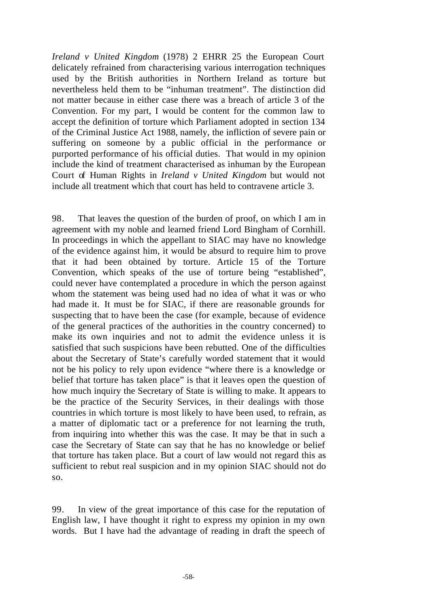*Ireland v United Kingdom* (1978) 2 EHRR 25 the European Court delicately refrained from characterising various interrogation techniques used by the British authorities in Northern Ireland as torture but nevertheless held them to be "inhuman treatment". The distinction did not matter because in either case there was a breach of article 3 of the Convention. For my part, I would be content for the common law to accept the definition of torture which Parliament adopted in section 134 of the Criminal Justice Act 1988, namely, the infliction of severe pain or suffering on someone by a public official in the performance or purported performance of his official duties. That would in my opinion include the kind of treatment characterised as inhuman by the European Court of Human Rights in *Ireland v United Kingdom* but would not include all treatment which that court has held to contravene article 3.

98. That leaves the question of the burden of proof, on which I am in agreement with my noble and learned friend Lord Bingham of Cornhill. In proceedings in which the appellant to SIAC may have no knowledge of the evidence against him, it would be absurd to require him to prove that it had been obtained by torture. Article 15 of the Torture Convention, which speaks of the use of torture being "established", could never have contemplated a procedure in which the person against whom the statement was being used had no idea of what it was or who had made it. It must be for SIAC, if there are reasonable grounds for suspecting that to have been the case (for example, because of evidence of the general practices of the authorities in the country concerned) to make its own inquiries and not to admit the evidence unless it is satisfied that such suspicions have been rebutted. One of the difficulties about the Secretary of State's carefully worded statement that it would not be his policy to rely upon evidence "where there is a knowledge or belief that torture has taken place" is that it leaves open the question of how much inquiry the Secretary of State is willing to make. It appears to be the practice of the Security Services, in their dealings with those countries in which torture is most likely to have been used, to refrain, as a matter of diplomatic tact or a preference for not learning the truth, from inquiring into whether this was the case. It may be that in such a case the Secretary of State can say that he has no knowledge or belief that torture has taken place. But a court of law would not regard this as sufficient to rebut real suspicion and in my opinion SIAC should not do so.

99. In view of the great importance of this case for the reputation of English law, I have thought it right to express my opinion in my own words. But I have had the advantage of reading in draft the speech of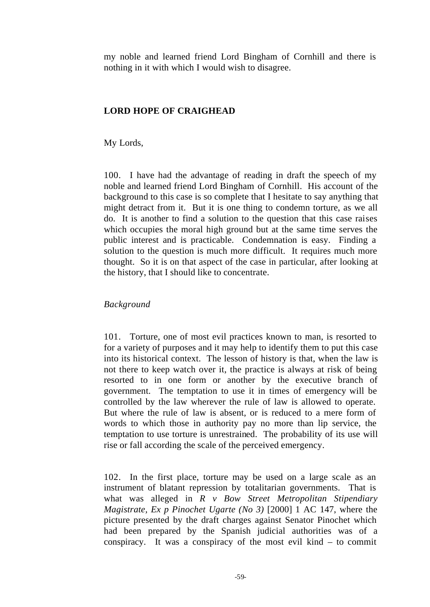my noble and learned friend Lord Bingham of Cornhill and there is nothing in it with which I would wish to disagree.

# **LORD HOPE OF CRAIGHEAD**

My Lords,

100. I have had the advantage of reading in draft the speech of my noble and learned friend Lord Bingham of Cornhill. His account of the background to this case is so complete that I hesitate to say anything that might detract from it. But it is one thing to condemn torture, as we all do. It is another to find a solution to the question that this case raises which occupies the moral high ground but at the same time serves the public interest and is practicable. Condemnation is easy. Finding a solution to the question is much more difficult. It requires much more thought. So it is on that aspect of the case in particular, after looking at the history, that I should like to concentrate.

# *Background*

101. Torture, one of most evil practices known to man, is resorted to for a variety of purposes and it may help to identify them to put this case into its historical context. The lesson of history is that, when the law is not there to keep watch over it, the practice is always at risk of being resorted to in one form or another by the executive branch of government. The temptation to use it in times of emergency will be controlled by the law wherever the rule of law is allowed to operate. But where the rule of law is absent, or is reduced to a mere form of words to which those in authority pay no more than lip service, the temptation to use torture is unrestrained. The probability of its use will rise or fall according the scale of the perceived emergency.

102. In the first place, torture may be used on a large scale as an instrument of blatant repression by totalitarian governments. That is what was alleged in *R v Bow Street Metropolitan Stipendiary Magistrate, Ex p Pinochet Ugarte (No 3)* [2000] 1 AC 147, where the picture presented by the draft charges against Senator Pinochet which had been prepared by the Spanish judicial authorities was of a conspiracy. It was a conspiracy of the most evil kind – to commit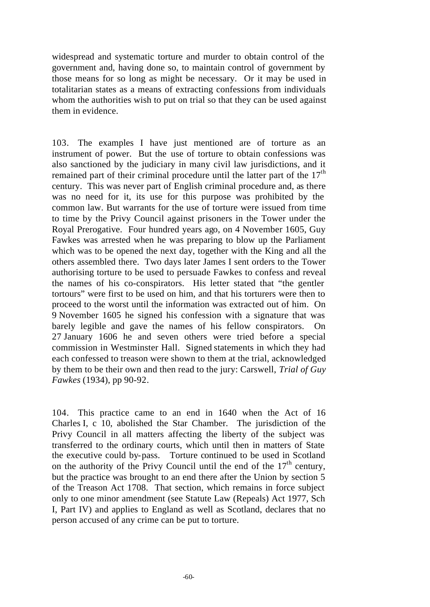widespread and systematic torture and murder to obtain control of the government and, having done so, to maintain control of government by those means for so long as might be necessary. Or it may be used in totalitarian states as a means of extracting confessions from individuals whom the authorities wish to put on trial so that they can be used against them in evidence.

103. The examples I have just mentioned are of torture as an instrument of power. But the use of torture to obtain confessions was also sanctioned by the judiciary in many civil law jurisdictions, and it remained part of their criminal procedure until the latter part of the  $17<sup>th</sup>$ century. This was never part of English criminal procedure and, as there was no need for it, its use for this purpose was prohibited by the common law. But warrants for the use of torture were issued from time to time by the Privy Council against prisoners in the Tower under the Royal Prerogative. Four hundred years ago, on 4 November 1605, Guy Fawkes was arrested when he was preparing to blow up the Parliament which was to be opened the next day, together with the King and all the others assembled there. Two days later James I sent orders to the Tower authorising torture to be used to persuade Fawkes to confess and reveal the names of his co-conspirators. His letter stated that "the gentler tortours" were first to be used on him, and that his torturers were then to proceed to the worst until the information was extracted out of him. On 9 November 1605 he signed his confession with a signature that was barely legible and gave the names of his fellow conspirators. On 27 January 1606 he and seven others were tried before a special commission in Westminster Hall. Signed statements in which they had each confessed to treason were shown to them at the trial, acknowledged by them to be their own and then read to the jury: Carswell, *Trial of Guy Fawkes* (1934), pp 90-92.

104. This practice came to an end in 1640 when the Act of 16 Charles I, c 10, abolished the Star Chamber. The jurisdiction of the Privy Council in all matters affecting the liberty of the subject was transferred to the ordinary courts, which until then in matters of State the executive could by-pass. Torture continued to be used in Scotland on the authority of the Privy Council until the end of the  $17<sup>th</sup>$  century, but the practice was brought to an end there after the Union by section 5 of the Treason Act 1708. That section, which remains in force subject only to one minor amendment (see Statute Law (Repeals) Act 1977, Sch I, Part IV) and applies to England as well as Scotland, declares that no person accused of any crime can be put to torture.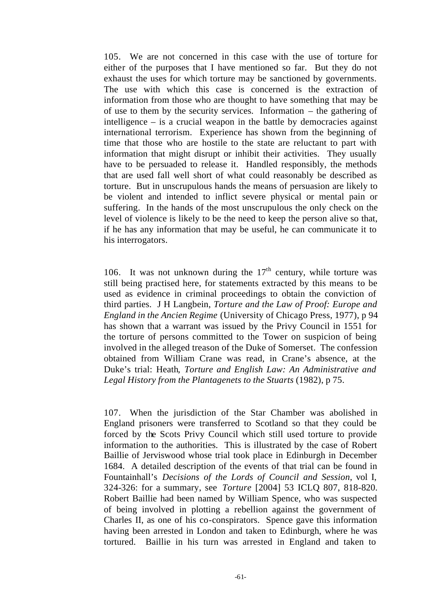105. We are not concerned in this case with the use of torture for either of the purposes that I have mentioned so far. But they do not exhaust the uses for which torture may be sanctioned by governments. The use with which this case is concerned is the extraction of information from those who are thought to have something that may be of use to them by the security services. Information – the gathering of intelligence – is a crucial weapon in the battle by democracies against international terrorism. Experience has shown from the beginning of time that those who are hostile to the state are reluctant to part with information that might disrupt or inhibit their activities. They usually have to be persuaded to release it. Handled responsibly, the methods that are used fall well short of what could reasonably be described as torture. But in unscrupulous hands the means of persuasion are likely to be violent and intended to inflict severe physical or mental pain or suffering. In the hands of the most unscrupulous the only check on the level of violence is likely to be the need to keep the person alive so that, if he has any information that may be useful, he can communicate it to his interrogators.

106. It was not unknown during the  $17<sup>th</sup>$  century, while torture was still being practised here, for statements extracted by this means to be used as evidence in criminal proceedings to obtain the conviction of third parties. J H Langbein, *Torture and the Law of Proof: Europe and England in the Ancien Regime* (University of Chicago Press, 1977), p 94 has shown that a warrant was issued by the Privy Council in 1551 for the torture of persons committed to the Tower on suspicion of being involved in the alleged treason of the Duke of Somerset. The confession obtained from William Crane was read, in Crane's absence, at the Duke's trial: Heath, *Torture and English Law: An Administrative and Legal History from the Plantagenets to the Stuarts* (1982), p 75.

107. When the jurisdiction of the Star Chamber was abolished in England prisoners were transferred to Scotland so that they could be forced by the Scots Privy Council which still used torture to provide information to the authorities. This is illustrated by the case of Robert Baillie of Jerviswood whose trial took place in Edinburgh in December 1684. A detailed description of the events of that trial can be found in Fountainhall's *Decisions of the Lords of Council and Session*, vol I, 324-326: for a summary, see *Torture* [2004] 53 ICLQ 807, 818-820. Robert Baillie had been named by William Spence, who was suspected of being involved in plotting a rebellion against the government of Charles II, as one of his co-conspirators. Spence gave this information having been arrested in London and taken to Edinburgh, where he was tortured. Baillie in his turn was arrested in England and taken to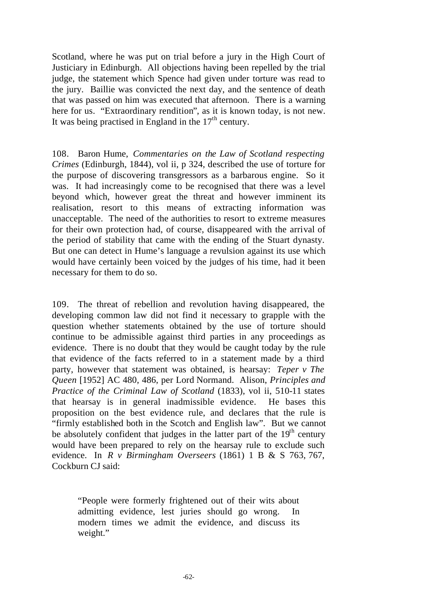Scotland, where he was put on trial before a jury in the High Court of Justiciary in Edinburgh. All objections having been repelled by the trial judge, the statement which Spence had given under torture was read to the jury. Baillie was convicted the next day, and the sentence of death that was passed on him was executed that afternoon. There is a warning here for us. "Extraordinary rendition", as it is known today, is not new. It was being practised in England in the  $17<sup>th</sup>$  century.

108. Baron Hume, *Commentaries on the Law of Scotland respecting Crimes* (Edinburgh, 1844), vol ii, p 324, described the use of torture for the purpose of discovering transgressors as a barbarous engine. So it was. It had increasingly come to be recognised that there was a level beyond which, however great the threat and however imminent its realisation, resort to this means of extracting information was unacceptable. The need of the authorities to resort to extreme measures for their own protection had, of course, disappeared with the arrival of the period of stability that came with the ending of the Stuart dynasty. But one can detect in Hume's language a revulsion against its use which would have certainly been voiced by the judges of his time, had it been necessary for them to do so.

109. The threat of rebellion and revolution having disappeared, the developing common law did not find it necessary to grapple with the question whether statements obtained by the use of torture should continue to be admissible against third parties in any proceedings as evidence. There is no doubt that they would be caught today by the rule that evidence of the facts referred to in a statement made by a third party, however that statement was obtained, is hearsay: *Teper v The Queen* [1952] AC 480, 486, per Lord Normand. Alison, *Principles and Practice of the Criminal Law of Scotland* (1833), vol ii, 510-11 states that hearsay is in general inadmissible evidence. He bases this proposition on the best evidence rule, and declares that the rule is "firmly established both in the Scotch and English law". But we cannot be absolutely confident that judges in the latter part of the  $19<sup>th</sup>$  century would have been prepared to rely on the hearsay rule to exclude such evidence. In *R v Birmingham Overseers* (1861) 1 B & S 763, 767, Cockburn CJ said:

"People were formerly frightened out of their wits about admitting evidence, lest juries should go wrong. modern times we admit the evidence, and discuss its weight."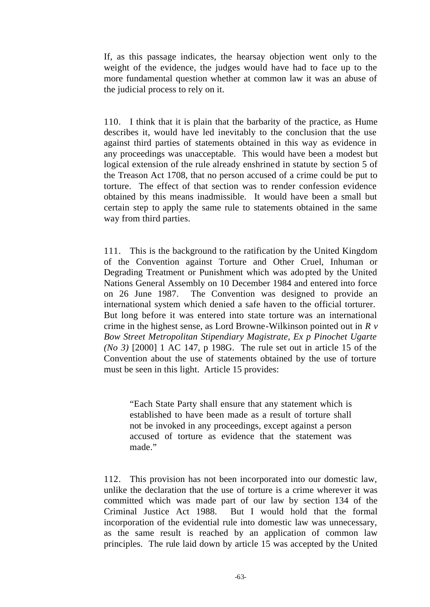If, as this passage indicates, the hearsay objection went only to the weight of the evidence, the judges would have had to face up to the more fundamental question whether at common law it was an abuse of the judicial process to rely on it.

110. I think that it is plain that the barbarity of the practice, as Hume describes it, would have led inevitably to the conclusion that the use against third parties of statements obtained in this way as evidence in any proceedings was unacceptable. This would have been a modest but logical extension of the rule already enshrined in statute by section 5 of the Treason Act 1708, that no person accused of a crime could be put to torture. The effect of that section was to render confession evidence obtained by this means inadmissible. It would have been a small but certain step to apply the same rule to statements obtained in the same way from third parties.

111. This is the background to the ratification by the United Kingdom of the Convention against Torture and Other Cruel, Inhuman or Degrading Treatment or Punishment which was adopted by the United Nations General Assembly on 10 December 1984 and entered into force on 26 June 1987. The Convention was designed to provide an international system which denied a safe haven to the official torturer. But long before it was entered into state torture was an international crime in the highest sense, as Lord Browne-Wilkinson pointed out in *R v Bow Street Metropolitan Stipendiary Magistrate, Ex p Pinochet Ugarte (No 3)* [2000] 1 AC 147, p 198G. The rule set out in article 15 of the Convention about the use of statements obtained by the use of torture must be seen in this light. Article 15 provides:

"Each State Party shall ensure that any statement which is established to have been made as a result of torture shall not be invoked in any proceedings, except against a person accused of torture as evidence that the statement was made."

112. This provision has not been incorporated into our domestic law, unlike the declaration that the use of torture is a crime wherever it was committed which was made part of our law by section 134 of the Criminal Justice Act 1988. But I would hold that the formal incorporation of the evidential rule into domestic law was unnecessary, as the same result is reached by an application of common law principles. The rule laid down by article 15 was accepted by the United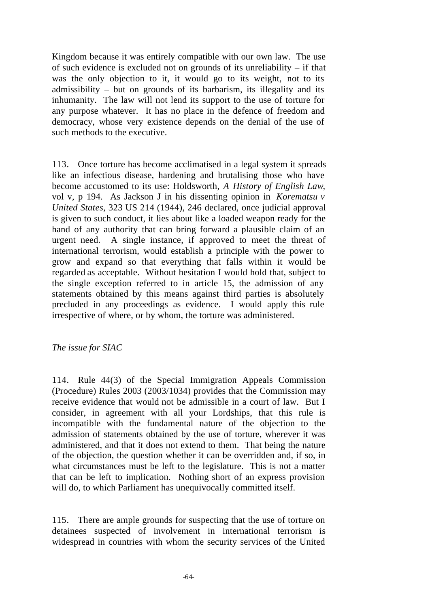Kingdom because it was entirely compatible with our own law. The use of such evidence is excluded not on grounds of its unreliability – if that was the only objection to it, it would go to its weight, not to its admissibility – but on grounds of its barbarism, its illegality and its inhumanity. The law will not lend its support to the use of torture for any purpose whatever. It has no place in the defence of freedom and democracy, whose very existence depends on the denial of the use of such methods to the executive.

113. Once torture has become acclimatised in a legal system it spreads like an infectious disease, hardening and brutalising those who have become accustomed to its use: Holdsworth, *A History of English Law*, vol v, p 194. As Jackson J in his dissenting opinion in *Korematsu v United States*, 323 US 214 (1944), 246 declared, once judicial approval is given to such conduct, it lies about like a loaded weapon ready for the hand of any authority that can bring forward a plausible claim of an urgent need. A single instance, if approved to meet the threat of international terrorism, would establish a principle with the power to grow and expand so that everything that falls within it would be regarded as acceptable. Without hesitation I would hold that, subject to the single exception referred to in article 15, the admission of any statements obtained by this means against third parties is absolutely precluded in any proceedings as evidence. I would apply this rule irrespective of where, or by whom, the torture was administered.

# *The issue for SIAC*

114. Rule 44(3) of the Special Immigration Appeals Commission (Procedure) Rules 2003 (2003/1034) provides that the Commission may receive evidence that would not be admissible in a court of law. But I consider, in agreement with all your Lordships, that this rule is incompatible with the fundamental nature of the objection to the admission of statements obtained by the use of torture, wherever it was administered, and that it does not extend to them. That being the nature of the objection, the question whether it can be overridden and, if so, in what circumstances must be left to the legislature. This is not a matter that can be left to implication. Nothing short of an express provision will do, to which Parliament has unequivocally committed itself.

115. There are ample grounds for suspecting that the use of torture on detainees suspected of involvement in international terrorism is widespread in countries with whom the security services of the United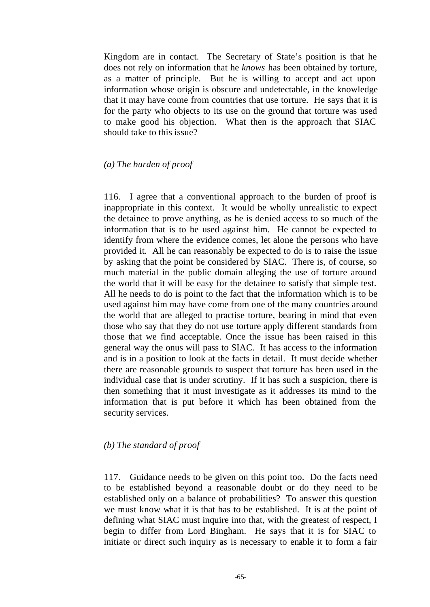Kingdom are in contact. The Secretary of State's position is that he does not rely on information that he *knows* has been obtained by torture, as a matter of principle. But he is willing to accept and act upon information whose origin is obscure and undetectable, in the knowledge that it may have come from countries that use torture. He says that it is for the party who objects to its use on the ground that torture was used to make good his objection. What then is the approach that SIAC should take to this issue?

### *(a) The burden of proof*

116. I agree that a conventional approach to the burden of proof is inappropriate in this context. It would be wholly unrealistic to expect the detainee to prove anything, as he is denied access to so much of the information that is to be used against him. He cannot be expected to identify from where the evidence comes, let alone the persons who have provided it. All he can reasonably be expected to do is to raise the issue by asking that the point be considered by SIAC. There is, of course, so much material in the public domain alleging the use of torture around the world that it will be easy for the detainee to satisfy that simple test. All he needs to do is point to the fact that the information which is to be used against him may have come from one of the many countries around the world that are alleged to practise torture, bearing in mind that even those who say that they do not use torture apply different standards from those that we find acceptable. Once the issue has been raised in this general way the onus will pass to SIAC. It has access to the information and is in a position to look at the facts in detail. It must decide whether there are reasonable grounds to suspect that torture has been used in the individual case that is under scrutiny. If it has such a suspicion, there is then something that it must investigate as it addresses its mind to the information that is put before it which has been obtained from the security services.

### *(b) The standard of proof*

117. Guidance needs to be given on this point too. Do the facts need to be established beyond a reasonable doubt or do they need to be established only on a balance of probabilities? To answer this question we must know what it is that has to be established. It is at the point of defining what SIAC must inquire into that, with the greatest of respect, I begin to differ from Lord Bingham. He says that it is for SIAC to initiate or direct such inquiry as is necessary to enable it to form a fair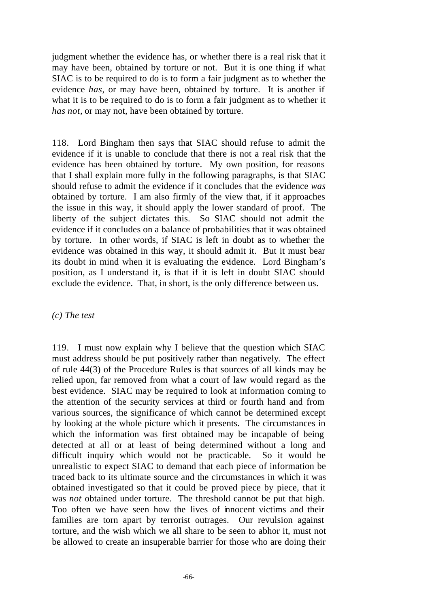judgment whether the evidence has, or whether there is a real risk that it may have been, obtained by torture or not. But it is one thing if what SIAC is to be required to do is to form a fair judgment as to whether the evidence *has*, or may have been, obtained by torture. It is another if what it is to be required to do is to form a fair judgment as to whether it *has not,* or may not, have been obtained by torture.

118. Lord Bingham then says that SIAC should refuse to admit the evidence if it is unable to conclude that there is not a real risk that the evidence has been obtained by torture. My own position, for reasons that I shall explain more fully in the following paragraphs, is that SIAC should refuse to admit the evidence if it concludes that the evidence *was* obtained by torture. I am also firmly of the view that, if it approaches the issue in this way, it should apply the lower standard of proof. The liberty of the subject dictates this. So SIAC should not admit the evidence if it concludes on a balance of probabilities that it was obtained by torture. In other words, if SIAC is left in doubt as to whether the evidence was obtained in this way, it should admit it. But it must bear its doubt in mind when it is evaluating the evidence. Lord Bingham's position, as I understand it, is that if it is left in doubt SIAC should exclude the evidence. That, in short, is the only difference between us.

# *(c) The test*

119. I must now explain why I believe that the question which SIAC must address should be put positively rather than negatively. The effect of rule 44(3) of the Procedure Rules is that sources of all kinds may be relied upon, far removed from what a court of law would regard as the best evidence. SIAC may be required to look at information coming to the attention of the security services at third or fourth hand and from various sources, the significance of which cannot be determined except by looking at the whole picture which it presents. The circumstances in which the information was first obtained may be incapable of being detected at all or at least of being determined without a long and difficult inquiry which would not be practicable. So it would be unrealistic to expect SIAC to demand that each piece of information be traced back to its ultimate source and the circumstances in which it was obtained investigated so that it could be proved piece by piece, that it was *not* obtained under torture. The threshold cannot be put that high. Too often we have seen how the lives of innocent victims and their families are torn apart by terrorist outrages. Our revulsion against torture, and the wish which we all share to be seen to abhor it, must not be allowed to create an insuperable barrier for those who are doing their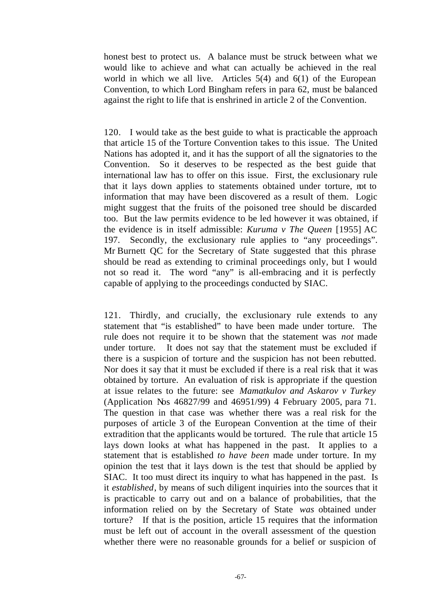honest best to protect us. A balance must be struck between what we would like to achieve and what can actually be achieved in the real world in which we all live. Articles 5(4) and 6(1) of the European Convention, to which Lord Bingham refers in para 62, must be balanced against the right to life that is enshrined in article 2 of the Convention.

120. I would take as the best guide to what is practicable the approach that article 15 of the Torture Convention takes to this issue. The United Nations has adopted it, and it has the support of all the signatories to the Convention. So it deserves to be respected as the best guide that international law has to offer on this issue. First, the exclusionary rule that it lays down applies to statements obtained under torture, not to information that may have been discovered as a result of them. Logic might suggest that the fruits of the poisoned tree should be discarded too. But the law permits evidence to be led however it was obtained, if the evidence is in itself admissible: *Kuruma v The Queen* [1955] AC 197. Secondly, the exclusionary rule applies to "any proceedings". Mr Burnett QC for the Secretary of State suggested that this phrase should be read as extending to criminal proceedings only, but I would not so read it. The word "any" is all-embracing and it is perfectly capable of applying to the proceedings conducted by SIAC.

121. Thirdly, and crucially, the exclusionary rule extends to any statement that "is established" to have been made under torture. The rule does not require it to be shown that the statement was *not* made under torture. It does not say that the statement must be excluded if there is a suspicion of torture and the suspicion has not been rebutted. Nor does it say that it must be excluded if there is a real risk that it was obtained by torture. An evaluation of risk is appropriate if the question at issue relates to the future: see *Mamatkulov and Askarov v Turkey*  (Application Nos 46827/99 and 46951/99) 4 February 2005, para 71. The question in that case was whether there was a real risk for the purposes of article 3 of the European Convention at the time of their extradition that the applicants would be tortured. The rule that article 15 lays down looks at what has happened in the past. It applies to a statement that is established *to have been* made under torture. In my opinion the test that it lays down is the test that should be applied by SIAC. It too must direct its inquiry to what has happened in the past. Is it *established*, by means of such diligent inquiries into the sources that it is practicable to carry out and on a balance of probabilities, that the information relied on by the Secretary of State *was* obtained under torture? If that is the position, article 15 requires that the information must be left out of account in the overall assessment of the question whether there were no reasonable grounds for a belief or suspicion of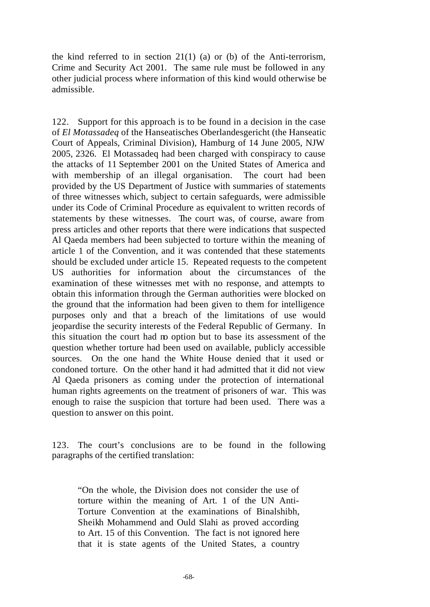the kind referred to in section  $21(1)$  (a) or (b) of the Anti-terrorism, Crime and Security Act 2001. The same rule must be followed in any other judicial process where information of this kind would otherwise be admissible.

122. Support for this approach is to be found in a decision in the case of *El Motassadeq* of the Hanseatisches Oberlandesgericht (the Hanseatic Court of Appeals, Criminal Division), Hamburg of 14 June 2005, NJW 2005, 2326. El Motassadeq had been charged with conspiracy to cause the attacks of 11 September 2001 on the United States of America and with membership of an illegal organisation. The court had been provided by the US Department of Justice with summaries of statements of three witnesses which, subject to certain safeguards, were admissible under its Code of Criminal Procedure as equivalent to written records of statements by these witnesses. The court was, of course, aware from press articles and other reports that there were indications that suspected Al Qaeda members had been subjected to torture within the meaning of article 1 of the Convention, and it was contended that these statements should be excluded under article 15. Repeated requests to the competent US authorities for information about the circumstances of the examination of these witnesses met with no response, and attempts to obtain this information through the German authorities were blocked on the ground that the information had been given to them for intelligence purposes only and that a breach of the limitations of use would jeopardise the security interests of the Federal Republic of Germany. In this situation the court had no option but to base its assessment of the question whether torture had been used on available, publicly accessible sources. On the one hand the White House denied that it used or condoned torture. On the other hand it had admitted that it did not view Al Qaeda prisoners as coming under the protection of international human rights agreements on the treatment of prisoners of war. This was enough to raise the suspicion that torture had been used. There was a question to answer on this point.

123. The court's conclusions are to be found in the following paragraphs of the certified translation:

"On the whole, the Division does not consider the use of torture within the meaning of Art. 1 of the UN Anti-Torture Convention at the examinations of Binalshibh, Sheikh Mohammend and Ould Slahi as proved according to Art. 15 of this Convention. The fact is not ignored here that it is state agents of the United States, a country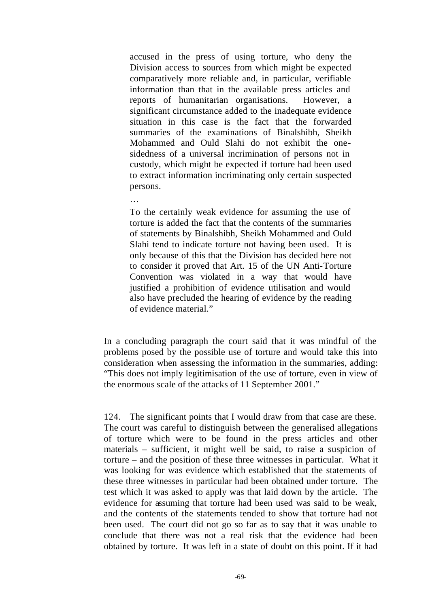accused in the press of using torture, who deny the Division access to sources from which might be expected comparatively more reliable and, in particular, verifiable information than that in the available press articles and reports of humanitarian organisations. However, a significant circumstance added to the inadequate evidence situation in this case is the fact that the forwarded summaries of the examinations of Binalshibh, Sheikh Mohammed and Ould Slahi do not exhibit the onesidedness of a universal incrimination of persons not in custody, which might be expected if torture had been used to extract information incriminating only certain suspected persons.

To the certainly weak evidence for assuming the use of torture is added the fact that the contents of the summaries of statements by Binalshibh, Sheikh Mohammed and Ould Slahi tend to indicate torture not having been used. It is only because of this that the Division has decided here not to consider it proved that Art. 15 of the UN Anti-Torture Convention was violated in a way that would have justified a prohibition of evidence utilisation and would also have precluded the hearing of evidence by the reading of evidence material."

…

In a concluding paragraph the court said that it was mindful of the problems posed by the possible use of torture and would take this into consideration when assessing the information in the summaries, adding: "This does not imply legitimisation of the use of torture, even in view of the enormous scale of the attacks of 11 September 2001."

124. The significant points that I would draw from that case are these. The court was careful to distinguish between the generalised allegations of torture which were to be found in the press articles and other materials – sufficient, it might well be said, to raise a suspicion of torture – and the position of these three witnesses in particular. What it was looking for was evidence which established that the statements of these three witnesses in particular had been obtained under torture. The test which it was asked to apply was that laid down by the article. The evidence for assuming that torture had been used was said to be weak, and the contents of the statements tended to show that torture had not been used. The court did not go so far as to say that it was unable to conclude that there was not a real risk that the evidence had been obtained by torture. It was left in a state of doubt on this point. If it had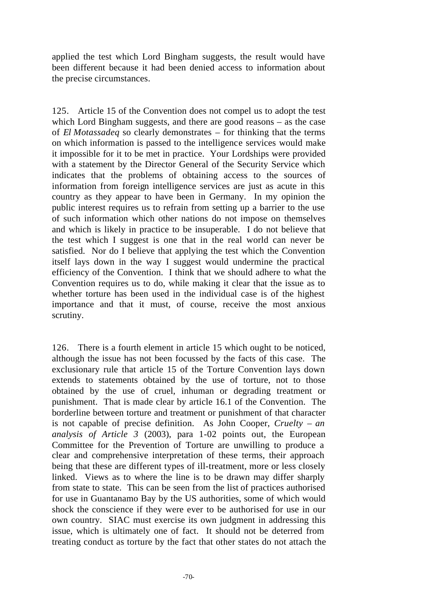applied the test which Lord Bingham suggests, the result would have been different because it had been denied access to information about the precise circumstances.

125. Article 15 of the Convention does not compel us to adopt the test which Lord Bingham suggests, and there are good reasons – as the case of *El Motassadeq* so clearly demonstrates – for thinking that the terms on which information is passed to the intelligence services would make it impossible for it to be met in practice. Your Lordships were provided with a statement by the Director General of the Security Service which indicates that the problems of obtaining access to the sources of information from foreign intelligence services are just as acute in this country as they appear to have been in Germany. In my opinion the public interest requires us to refrain from setting up a barrier to the use of such information which other nations do not impose on themselves and which is likely in practice to be insuperable. I do not believe that the test which I suggest is one that in the real world can never be satisfied. Nor do I believe that applying the test which the Convention itself lays down in the way I suggest would undermine the practical efficiency of the Convention. I think that we should adhere to what the Convention requires us to do, while making it clear that the issue as to whether torture has been used in the individual case is of the highest importance and that it must, of course, receive the most anxious scrutiny.

126. There is a fourth element in article 15 which ought to be noticed, although the issue has not been focussed by the facts of this case. The exclusionary rule that article 15 of the Torture Convention lays down extends to statements obtained by the use of torture, not to those obtained by the use of cruel, inhuman or degrading treatment or punishment. That is made clear by article 16.1 of the Convention. The borderline between torture and treatment or punishment of that character is not capable of precise definition. As John Cooper, *Cruelty – an analysis of Article 3* (2003), para 1-02 points out, the European Committee for the Prevention of Torture are unwilling to produce a clear and comprehensive interpretation of these terms, their approach being that these are different types of ill-treatment, more or less closely linked. Views as to where the line is to be drawn may differ sharply from state to state. This can be seen from the list of practices authorised for use in Guantanamo Bay by the US authorities, some of which would shock the conscience if they were ever to be authorised for use in our own country. SIAC must exercise its own judgment in addressing this issue, which is ultimately one of fact. It should not be deterred from treating conduct as torture by the fact that other states do not attach the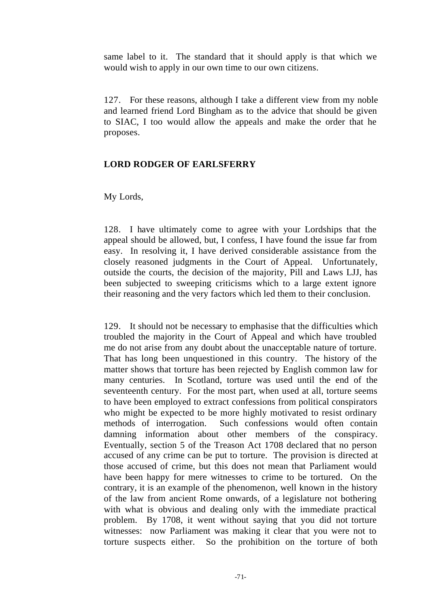same label to it. The standard that it should apply is that which we would wish to apply in our own time to our own citizens.

127. For these reasons, although I take a different view from my noble and learned friend Lord Bingham as to the advice that should be given to SIAC, I too would allow the appeals and make the order that he proposes.

### **LORD RODGER OF EARLSFERRY**

### My Lords,

128. I have ultimately come to agree with your Lordships that the appeal should be allowed, but, I confess, I have found the issue far from easy. In resolving it, I have derived considerable assistance from the closely reasoned judgments in the Court of Appeal. Unfortunately, outside the courts, the decision of the majority, Pill and Laws LJJ, has been subjected to sweeping criticisms which to a large extent ignore their reasoning and the very factors which led them to their conclusion.

129. It should not be necessary to emphasise that the difficulties which troubled the majority in the Court of Appeal and which have troubled me do not arise from any doubt about the unacceptable nature of torture. That has long been unquestioned in this country. The history of the matter shows that torture has been rejected by English common law for many centuries. In Scotland, torture was used until the end of the seventeenth century. For the most part, when used at all, torture seems to have been employed to extract confessions from political conspirators who might be expected to be more highly motivated to resist ordinary methods of interrogation. Such confessions would often contain damning information about other members of the conspiracy. Eventually, section 5 of the Treason Act 1708 declared that no person accused of any crime can be put to torture. The provision is directed at those accused of crime, but this does not mean that Parliament would have been happy for mere witnesses to crime to be tortured. On the contrary, it is an example of the phenomenon, well known in the history of the law from ancient Rome onwards, of a legislature not bothering with what is obvious and dealing only with the immediate practical problem. By 1708, it went without saying that you did not torture witnesses: now Parliament was making it clear that you were not to torture suspects either. So the prohibition on the torture of both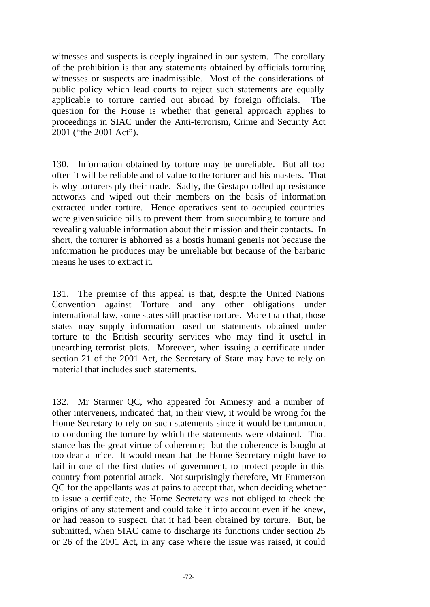witnesses and suspects is deeply ingrained in our system. The corollary of the prohibition is that any stateme nts obtained by officials torturing witnesses or suspects are inadmissible. Most of the considerations of public policy which lead courts to reject such statements are equally applicable to torture carried out abroad by foreign officials. The question for the House is whether that general approach applies to proceedings in SIAC under the Anti-terrorism, Crime and Security Act 2001 ("the 2001 Act").

130. Information obtained by torture may be unreliable. But all too often it will be reliable and of value to the torturer and his masters. That is why torturers ply their trade. Sadly, the Gestapo rolled up resistance networks and wiped out their members on the basis of information extracted under torture. Hence operatives sent to occupied countries were given suicide pills to prevent them from succumbing to torture and revealing valuable information about their mission and their contacts. In short, the torturer is abhorred as a hostis humani generis not because the information he produces may be unreliable but because of the barbaric means he uses to extract it.

131. The premise of this appeal is that, despite the United Nations Convention against Torture and any other obligations under international law, some states still practise torture. More than that, those states may supply information based on statements obtained under torture to the British security services who may find it useful in unearthing terrorist plots. Moreover, when issuing a certificate under section 21 of the 2001 Act, the Secretary of State may have to rely on material that includes such statements.

132. Mr Starmer QC, who appeared for Amnesty and a number of other interveners, indicated that, in their view, it would be wrong for the Home Secretary to rely on such statements since it would be tantamount to condoning the torture by which the statements were obtained. That stance has the great virtue of coherence; but the coherence is bought at too dear a price. It would mean that the Home Secretary might have to fail in one of the first duties of government, to protect people in this country from potential attack. Not surprisingly therefore, Mr Emmerson QC for the appellants was at pains to accept that, when deciding whether to issue a certificate, the Home Secretary was not obliged to check the origins of any statement and could take it into account even if he knew, or had reason to suspect, that it had been obtained by torture. But, he submitted, when SIAC came to discharge its functions under section 25 or 26 of the 2001 Act, in any case where the issue was raised, it could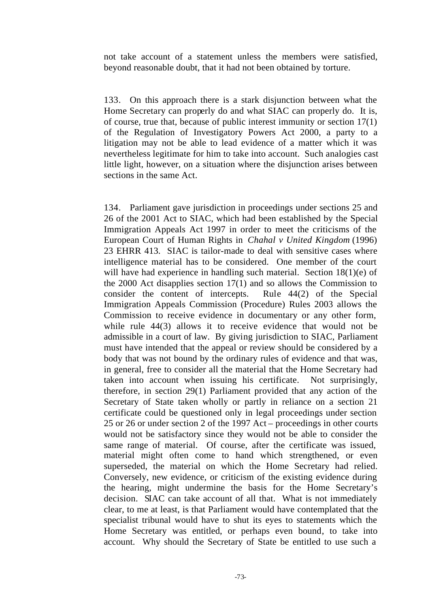not take account of a statement unless the members were satisfied, beyond reasonable doubt, that it had not been obtained by torture.

133. On this approach there is a stark disjunction between what the Home Secretary can properly do and what SIAC can properly do. It is, of course, true that, because of public interest immunity or section 17(1) of the Regulation of Investigatory Powers Act 2000, a party to a litigation may not be able to lead evidence of a matter which it was nevertheless legitimate for him to take into account. Such analogies cast little light, however, on a situation where the disjunction arises between sections in the same Act.

134. Parliament gave jurisdiction in proceedings under sections 25 and 26 of the 2001 Act to SIAC, which had been established by the Special Immigration Appeals Act 1997 in order to meet the criticisms of the European Court of Human Rights in *Chahal v United Kingdom* (1996) 23 EHRR 413. SIAC is tailor-made to deal with sensitive cases where intelligence material has to be considered. One member of the court will have had experience in handling such material. Section 18(1)(e) of the 2000 Act disapplies section 17(1) and so allows the Commission to consider the content of intercepts. Rule 44(2) of the Special Immigration Appeals Commission (Procedure) Rules 2003 allows the Commission to receive evidence in documentary or any other form, while rule 44(3) allows it to receive evidence that would not be admissible in a court of law. By giving jurisdiction to SIAC, Parliament must have intended that the appeal or review should be considered by a body that was not bound by the ordinary rules of evidence and that was, in general, free to consider all the material that the Home Secretary had taken into account when issuing his certificate. Not surprisingly, therefore, in section 29(1) Parliament provided that any action of the Secretary of State taken wholly or partly in reliance on a section 21 certificate could be questioned only in legal proceedings under section 25 or 26 or under section 2 of the 1997 Act – proceedings in other courts would not be satisfactory since they would not be able to consider the same range of material. Of course, after the certificate was issued, material might often come to hand which strengthened, or even superseded, the material on which the Home Secretary had relied. Conversely, new evidence, or criticism of the existing evidence during the hearing, might undermine the basis for the Home Secretary's decision. SIAC can take account of all that. What is not immediately clear, to me at least, is that Parliament would have contemplated that the specialist tribunal would have to shut its eyes to statements which the Home Secretary was entitled, or perhaps even bound, to take into account. Why should the Secretary of State be entitled to use such a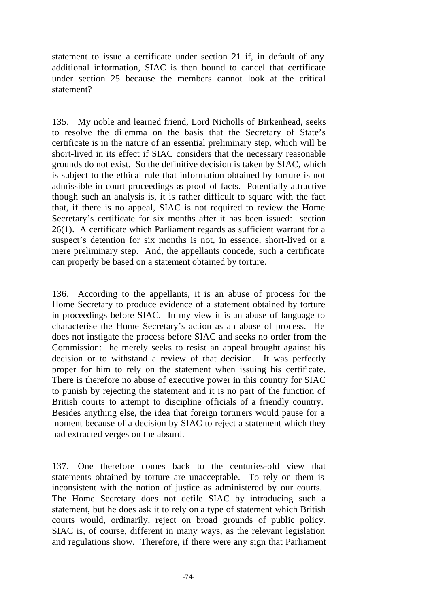statement to issue a certificate under section 21 if, in default of any additional information, SIAC is then bound to cancel that certificate under section 25 because the members cannot look at the critical statement?

135. My noble and learned friend, Lord Nicholls of Birkenhead, seeks to resolve the dilemma on the basis that the Secretary of State's certificate is in the nature of an essential preliminary step, which will be short-lived in its effect if SIAC considers that the necessary reasonable grounds do not exist. So the definitive decision is taken by SIAC, which is subject to the ethical rule that information obtained by torture is not admissible in court proceedings as proof of facts. Potentially attractive though such an analysis is, it is rather difficult to square with the fact that, if there is no appeal, SIAC is not required to review the Home Secretary's certificate for six months after it has been issued: section 26(1). A certificate which Parliament regards as sufficient warrant for a suspect's detention for six months is not, in essence, short-lived or a mere preliminary step. And, the appellants concede, such a certificate can properly be based on a statement obtained by torture.

136. According to the appellants, it is an abuse of process for the Home Secretary to produce evidence of a statement obtained by torture in proceedings before SIAC. In my view it is an abuse of language to characterise the Home Secretary's action as an abuse of process. He does not instigate the process before SIAC and seeks no order from the Commission: he merely seeks to resist an appeal brought against his decision or to withstand a review of that decision. It was perfectly proper for him to rely on the statement when issuing his certificate. There is therefore no abuse of executive power in this country for SIAC to punish by rejecting the statement and it is no part of the function of British courts to attempt to discipline officials of a friendly country. Besides anything else, the idea that foreign torturers would pause for a moment because of a decision by SIAC to reject a statement which they had extracted verges on the absurd.

137. One therefore comes back to the centuries-old view that statements obtained by torture are unacceptable. To rely on them is inconsistent with the notion of justice as administered by our courts. The Home Secretary does not defile SIAC by introducing such a statement, but he does ask it to rely on a type of statement which British courts would, ordinarily, reject on broad grounds of public policy. SIAC is, of course, different in many ways, as the relevant legislation and regulations show. Therefore, if there were any sign that Parliament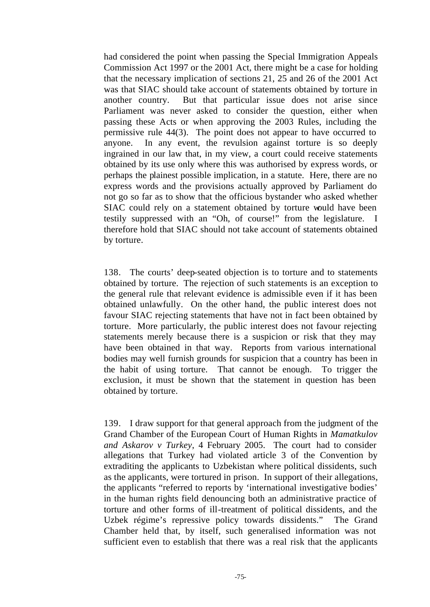had considered the point when passing the Special Immigration Appeals Commission Act 1997 or the 2001 Act, there might be a case for holding that the necessary implication of sections 21, 25 and 26 of the 2001 Act was that SIAC should take account of statements obtained by torture in another country. But that particular issue does not arise since Parliament was never asked to consider the question, either when passing these Acts or when approving the 2003 Rules, including the permissive rule 44(3). The point does not appear to have occurred to anyone. In any event, the revulsion against torture is so deeply ingrained in our law that, in my view, a court could receive statements obtained by its use only where this was authorised by express words, or perhaps the plainest possible implication, in a statute. Here, there are no express words and the provisions actually approved by Parliament do not go so far as to show that the officious bystander who asked whether SIAC could rely on a statement obtained by torture would have been testily suppressed with an "Oh, of course!" from the legislature. I therefore hold that SIAC should not take account of statements obtained by torture.

138. The courts' deep-seated objection is to torture and to statements obtained by torture. The rejection of such statements is an exception to the general rule that relevant evidence is admissible even if it has been obtained unlawfully. On the other hand, the public interest does not favour SIAC rejecting statements that have not in fact been obtained by torture. More particularly, the public interest does not favour rejecting statements merely because there is a suspicion or risk that they may have been obtained in that way. Reports from various international bodies may well furnish grounds for suspicion that a country has been in the habit of using torture. That cannot be enough. To trigger the exclusion, it must be shown that the statement in question has been obtained by torture.

139. I draw support for that general approach from the judgment of the Grand Chamber of the European Court of Human Rights in *Mamatkulov and Askarov v Turkey*, 4 February 2005. The court had to consider allegations that Turkey had violated article 3 of the Convention by extraditing the applicants to Uzbekistan where political dissidents, such as the applicants, were tortured in prison. In support of their allegations, the applicants "referred to reports by 'international investigative bodies' in the human rights field denouncing both an administrative practice of torture and other forms of ill-treatment of political dissidents, and the Uzbek régime's repressive policy towards dissidents." The Grand Chamber held that, by itself, such generalised information was not sufficient even to establish that there was a real risk that the applicants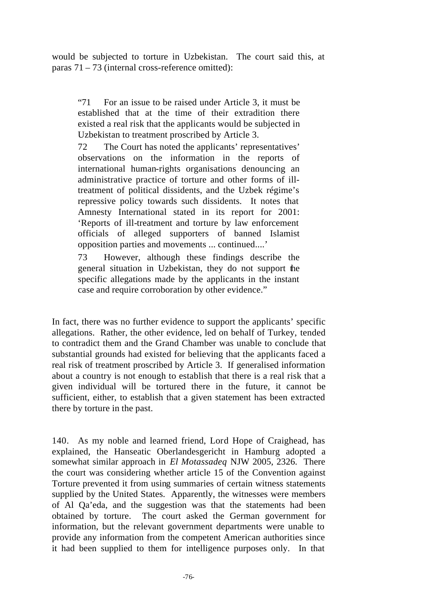would be subjected to torture in Uzbekistan. The court said this, at paras 71 – 73 (internal cross-reference omitted):

"71 For an issue to be raised under Article 3, it must be established that at the time of their extradition there existed a real risk that the applicants would be subjected in Uzbekistan to treatment proscribed by Article 3.

72 The Court has noted the applicants' representatives' observations on the information in the reports of international human-rights organisations denouncing an administrative practice of torture and other forms of illtreatment of political dissidents, and the Uzbek régime's repressive policy towards such dissidents. It notes that Amnesty International stated in its report for 2001: 'Reports of ill-treatment and torture by law enforcement officials of alleged supporters of banned Islamist opposition parties and movements ... continued....'

73 However, although these findings describe the general situation in Uzbekistan, they do not support the specific allegations made by the applicants in the instant case and require corroboration by other evidence."

In fact, there was no further evidence to support the applicants' specific allegations. Rather, the other evidence, led on behalf of Turkey, tended to contradict them and the Grand Chamber was unable to conclude that substantial grounds had existed for believing that the applicants faced a real risk of treatment proscribed by Article 3. If generalised information about a country is not enough to establish that there is a real risk that a given individual will be tortured there in the future, it cannot be sufficient, either, to establish that a given statement has been extracted there by torture in the past.

140. As my noble and learned friend, Lord Hope of Craighead, has explained, the Hanseatic Oberlandesgericht in Hamburg adopted a somewhat similar approach in *El Motassadeq* NJW 2005, 2326. There the court was considering whether article 15 of the Convention against Torture prevented it from using summaries of certain witness statements supplied by the United States. Apparently, the witnesses were members of Al Qa'eda, and the suggestion was that the statements had been obtained by torture. The court asked the German government for information, but the relevant government departments were unable to provide any information from the competent American authorities since it had been supplied to them for intelligence purposes only. In that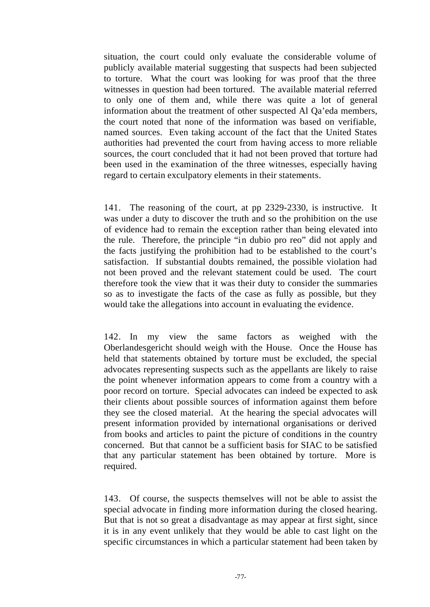situation, the court could only evaluate the considerable volume of publicly available material suggesting that suspects had been subjected to torture. What the court was looking for was proof that the three witnesses in question had been tortured. The available material referred to only one of them and, while there was quite a lot of general information about the treatment of other suspected Al Qa'eda members, the court noted that none of the information was based on verifiable, named sources. Even taking account of the fact that the United States authorities had prevented the court from having access to more reliable sources, the court concluded that it had not been proved that torture had been used in the examination of the three witnesses, especially having regard to certain exculpatory elements in their statements.

141. The reasoning of the court, at pp 2329-2330, is instructive. It was under a duty to discover the truth and so the prohibition on the use of evidence had to remain the exception rather than being elevated into the rule. Therefore, the principle "in dubio pro reo" did not apply and the facts justifying the prohibition had to be established to the court's satisfaction. If substantial doubts remained, the possible violation had not been proved and the relevant statement could be used. The court therefore took the view that it was their duty to consider the summaries so as to investigate the facts of the case as fully as possible, but they would take the allegations into account in evaluating the evidence.

142. In my view the same factors as weighed with the Oberlandesgericht should weigh with the House. Once the House has held that statements obtained by torture must be excluded, the special advocates representing suspects such as the appellants are likely to raise the point whenever information appears to come from a country with a poor record on torture. Special advocates can indeed be expected to ask their clients about possible sources of information against them before they see the closed material. At the hearing the special advocates will present information provided by international organisations or derived from books and articles to paint the picture of conditions in the country concerned. But that cannot be a sufficient basis for SIAC to be satisfied that any particular statement has been obtained by torture. More is required.

143. Of course, the suspects themselves will not be able to assist the special advocate in finding more information during the closed hearing. But that is not so great a disadvantage as may appear at first sight, since it is in any event unlikely that they would be able to cast light on the specific circumstances in which a particular statement had been taken by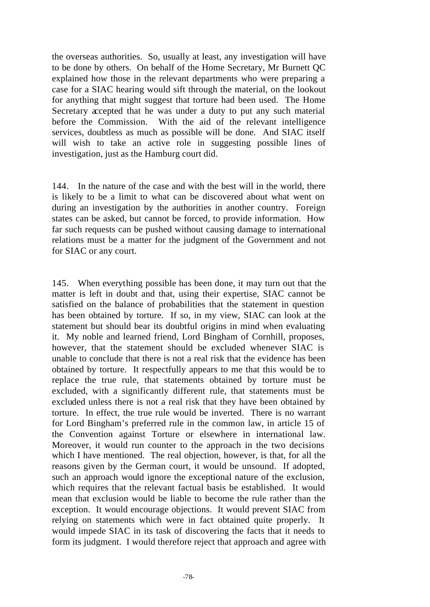the overseas authorities. So, usually at least, any investigation will have to be done by others. On behalf of the Home Secretary, Mr Burnett QC explained how those in the relevant departments who were preparing a case for a SIAC hearing would sift through the material, on the lookout for anything that might suggest that torture had been used. The Home Secretary accepted that he was under a duty to put any such material before the Commission. With the aid of the relevant intelligence services, doubtless as much as possible will be done. And SIAC itself will wish to take an active role in suggesting possible lines of investigation, just as the Hamburg court did.

144. In the nature of the case and with the best will in the world, there is likely to be a limit to what can be discovered about what went on during an investigation by the authorities in another country. Foreign states can be asked, but cannot be forced, to provide information. How far such requests can be pushed without causing damage to international relations must be a matter for the judgment of the Government and not for SIAC or any court.

145. When everything possible has been done, it may turn out that the matter is left in doubt and that, using their expertise, SIAC cannot be satisfied on the balance of probabilities that the statement in question has been obtained by torture. If so, in my view, SIAC can look at the statement but should bear its doubtful origins in mind when evaluating it. My noble and learned friend, Lord Bingham of Cornhill, proposes, however, that the statement should be excluded whenever SIAC is unable to conclude that there is not a real risk that the evidence has been obtained by torture. It respectfully appears to me that this would be to replace the true rule, that statements obtained by torture must be excluded, with a significantly different rule, that statements must be excluded unless there is not a real risk that they have been obtained by torture. In effect, the true rule would be inverted. There is no warrant for Lord Bingham's preferred rule in the common law, in article 15 of the Convention against Torture or elsewhere in international law. Moreover, it would run counter to the approach in the two decisions which I have mentioned. The real objection, however, is that, for all the reasons given by the German court, it would be unsound. If adopted, such an approach would ignore the exceptional nature of the exclusion, which requires that the relevant factual basis be established. It would mean that exclusion would be liable to become the rule rather than the exception. It would encourage objections. It would prevent SIAC from relying on statements which were in fact obtained quite properly. It would impede SIAC in its task of discovering the facts that it needs to form its judgment. I would therefore reject that approach and agree with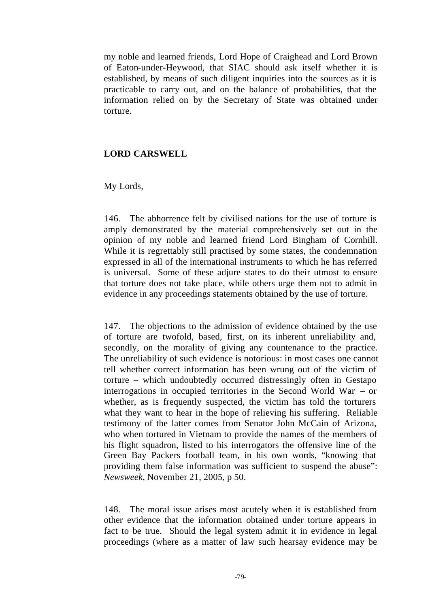my noble and learned friends, Lord Hope of Craighead and Lord Brown of Eaton-under-Heywood, that SIAC should ask itself whether it is established, by means of such diligent inquiries into the sources as it is practicable to carry out, and on the balance of probabilities, that the information relied on by the Secretary of State was obtained under torture.

## **LORD CARSWELL**

My Lords,

146. The abhorrence felt by civilised nations for the use of torture is amply demonstrated by the material comprehensively set out in the opinion of my noble and learned friend Lord Bingham of Cornhill. While it is regrettably still practised by some states, the condemnation expressed in all of the international instruments to which he has referred is universal. Some of these adjure states to do their utmost to ensure that torture does not take place, while others urge them not to admit in evidence in any proceedings statements obtained by the use of torture.

147. The objections to the admission of evidence obtained by the use of torture are twofold, based, first, on its inherent unreliability and, secondly, on the morality of giving any countenance to the practice. The unreliability of such evidence is notorious: in most cases one cannot tell whether correct information has been wrung out of the victim of torture – which undoubtedly occurred distressingly often in Gestapo interrogations in occupied territories in the Second World War – or whether, as is frequently suspected, the victim has told the torturers what they want to hear in the hope of relieving his suffering. Reliable testimony of the latter comes from Senator John McCain of Arizona, who when tortured in Vietnam to provide the names of the members of his flight squadron, listed to his interrogators the offensive line of the Green Bay Packers football team, in his own words, "knowing that providing them false information was sufficient to suspend the abuse": *Newsweek,* November 21, 2005, p 50.

148. The moral issue arises most acutely when it is established from other evidence that the information obtained under torture appears in fact to be true. Should the legal system admit it in evidence in legal proceedings (where as a matter of law such hearsay evidence may be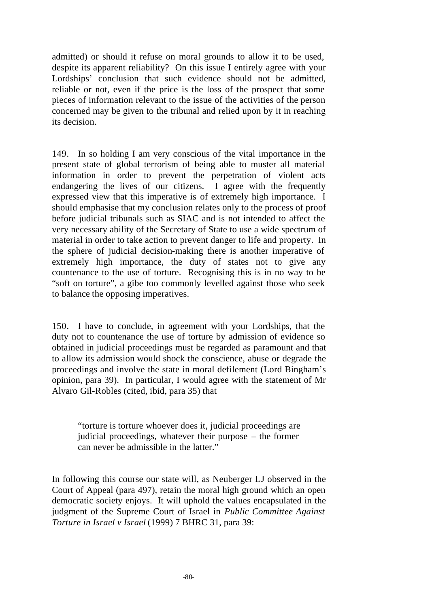admitted) or should it refuse on moral grounds to allow it to be used, despite its apparent reliability? On this issue I entirely agree with your Lordships' conclusion that such evidence should not be admitted, reliable or not, even if the price is the loss of the prospect that some pieces of information relevant to the issue of the activities of the person concerned may be given to the tribunal and relied upon by it in reaching its decision.

149. In so holding I am very conscious of the vital importance in the present state of global terrorism of being able to muster all material information in order to prevent the perpetration of violent acts endangering the lives of our citizens. I agree with the frequently expressed view that this imperative is of extremely high importance. I should emphasise that my conclusion relates only to the process of proof before judicial tribunals such as SIAC and is not intended to affect the very necessary ability of the Secretary of State to use a wide spectrum of material in order to take action to prevent danger to life and property. In the sphere of judicial decision-making there is another imperative of extremely high importance, the duty of states not to give any countenance to the use of torture. Recognising this is in no way to be "soft on torture", a gibe too commonly levelled against those who seek to balance the opposing imperatives.

150. I have to conclude, in agreement with your Lordships, that the duty not to countenance the use of torture by admission of evidence so obtained in judicial proceedings must be regarded as paramount and that to allow its admission would shock the conscience, abuse or degrade the proceedings and involve the state in moral defilement (Lord Bingham's opinion, para 39). In particular, I would agree with the statement of Mr Alvaro Gil-Robles (cited, ibid, para 35) that

"torture is torture whoever does it, judicial proceedings are judicial proceedings, whatever their purpose – the former can never be admissible in the latter."

In following this course our state will, as Neuberger LJ observed in the Court of Appeal (para 497), retain the moral high ground which an open democratic society enjoys. It will uphold the values encapsulated in the judgment of the Supreme Court of Israel in *Public Committee Against Torture in Israel v Israel* (1999) 7 BHRC 31, para 39: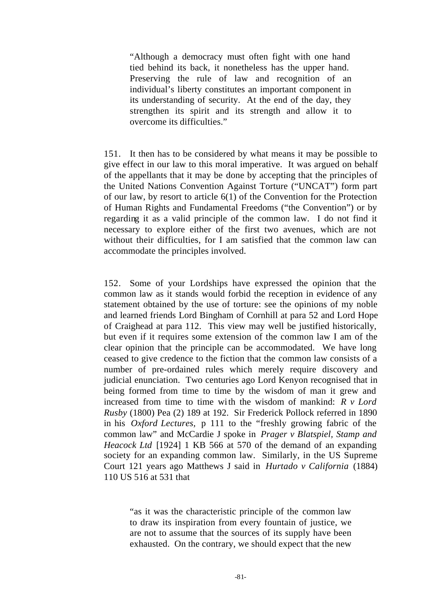"Although a democracy must often fight with one hand tied behind its back, it nonetheless has the upper hand. Preserving the rule of law and recognition of an individual's liberty constitutes an important component in its understanding of security. At the end of the day, they strengthen its spirit and its strength and allow it to overcome its difficulties."

151. It then has to be considered by what means it may be possible to give effect in our law to this moral imperative. It was argued on behalf of the appellants that it may be done by accepting that the principles of the United Nations Convention Against Torture ("UNCAT") form part of our law, by resort to article 6(1) of the Convention for the Protection of Human Rights and Fundamental Freedoms ("the Convention") or by regarding it as a valid principle of the common law. I do not find it necessary to explore either of the first two avenues, which are not without their difficulties, for I am satisfied that the common law can accommodate the principles involved.

152. Some of your Lordships have expressed the opinion that the common law as it stands would forbid the reception in evidence of any statement obtained by the use of torture: see the opinions of my noble and learned friends Lord Bingham of Cornhill at para 52 and Lord Hope of Craighead at para 112. This view may well be justified historically, but even if it requires some extension of the common law I am of the clear opinion that the principle can be accommodated. We have long ceased to give credence to the fiction that the common law consists of a number of pre-ordained rules which merely require discovery and judicial enunciation. Two centuries ago Lord Kenyon recognised that in being formed from time to time by the wisdom of man it grew and increased from time to time with the wisdom of mankind: *R v Lord Rusby* (1800) Pea (2) 189 at 192. Sir Frederick Pollock referred in 1890 in his *Oxford Lectures,* p 111 to the "freshly growing fabric of the common law" and McCardie J spoke in *Prager v Blatspiel, Stamp and Heacock Ltd* [1924] 1 KB 566 at 570 of the demand of an expanding society for an expanding common law. Similarly, in the US Supreme Court 121 years ago Matthews J said in *Hurtado v California* (1884) 110 US 516 at 531 that

"as it was the characteristic principle of the common law to draw its inspiration from every fountain of justice, we are not to assume that the sources of its supply have been exhausted. On the contrary, we should expect that the new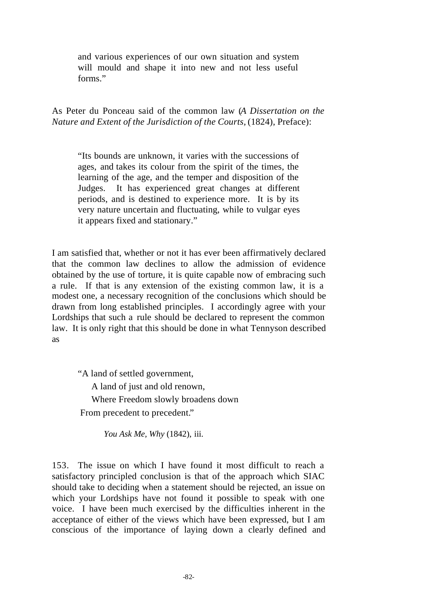and various experiences of our own situation and system will mould and shape it into new and not less useful forms."

As Peter du Ponceau said of the common law (*A Dissertation on the Nature and Extent of the Jurisdiction of the Courts,* (1824), Preface):

"Its bounds are unknown, it varies with the successions of ages, and takes its colour from the spirit of the times, the learning of the age, and the temper and disposition of the Judges. It has experienced great changes at different periods, and is destined to experience more. It is by its very nature uncertain and fluctuating, while to vulgar eyes it appears fixed and stationary."

I am satisfied that, whether or not it has ever been affirmatively declared that the common law declines to allow the admission of evidence obtained by the use of torture, it is quite capable now of embracing such a rule. If that is any extension of the existing common law, it is a modest one, a necessary recognition of the conclusions which should be drawn from long established principles. I accordingly agree with your Lordships that such a rule should be declared to represent the common law. It is only right that this should be done in what Tennyson described as

"A land of settled government, A land of just and old renown, Where Freedom slowly broadens down From precedent to precedent."

*You Ask Me, Why* (1842), iii.

153. The issue on which I have found it most difficult to reach a satisfactory principled conclusion is that of the approach which SIAC should take to deciding when a statement should be rejected, an issue on which your Lordships have not found it possible to speak with one voice. I have been much exercised by the difficulties inherent in the acceptance of either of the views which have been expressed, but I am conscious of the importance of laying down a clearly defined and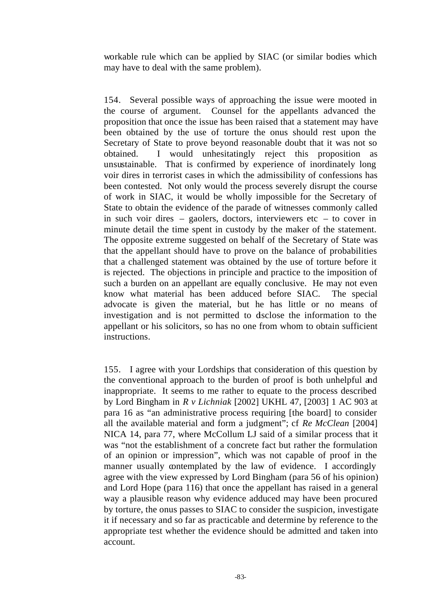workable rule which can be applied by SIAC (or similar bodies which may have to deal with the same problem).

154. Several possible ways of approaching the issue were mooted in the course of argument. Counsel for the appellants advanced the proposition that once the issue has been raised that a statement may have been obtained by the use of torture the onus should rest upon the Secretary of State to prove beyond reasonable doubt that it was not so obtained. I would unhesitatingly reject this proposition as unsustainable. That is confirmed by experience of inordinately long voir dires in terrorist cases in which the admissibility of confessions has been contested. Not only would the process severely disrupt the course of work in SIAC, it would be wholly impossible for the Secretary of State to obtain the evidence of the parade of witnesses commonly called in such voir dires – gaolers, doctors, interviewers etc – to cover in minute detail the time spent in custody by the maker of the statement. The opposite extreme suggested on behalf of the Secretary of State was that the appellant should have to prove on the balance of probabilities that a challenged statement was obtained by the use of torture before it is rejected. The objections in principle and practice to the imposition of such a burden on an appellant are equally conclusive. He may not even know what material has been adduced before SIAC. The special advocate is given the material, but he has little or no means of investigation and is not permitted to disclose the information to the appellant or his solicitors, so has no one from whom to obtain sufficient instructions.

155. I agree with your Lordships that consideration of this question by the conventional approach to the burden of proof is both unhelpful and inappropriate. It seems to me rather to equate to the process described by Lord Bingham in *R v Lichniak* [2002] UKHL 47, [2003] 1 AC 903 at para 16 as "an administrative process requiring [the board] to consider all the available material and form a judgment"; cf *Re McClean* [2004] NICA 14, para 77, where McCollum LJ said of a similar process that it was "not the establishment of a concrete fact but rather the formulation of an opinion or impression", which was not capable of proof in the manner usually contemplated by the law of evidence. I accordingly agree with the view expressed by Lord Bingham (para 56 of his opinion) and Lord Hope (para 116) that once the appellant has raised in a general way a plausible reason why evidence adduced may have been procured by torture, the onus passes to SIAC to consider the suspicion, investigate it if necessary and so far as practicable and determine by reference to the appropriate test whether the evidence should be admitted and taken into account.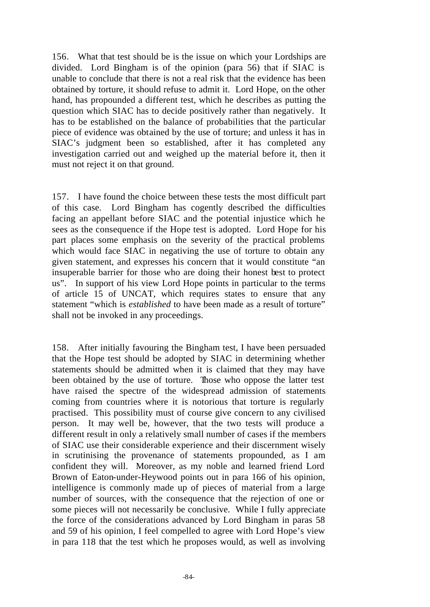156. What that test should be is the issue on which your Lordships are divided. Lord Bingham is of the opinion (para 56) that if SIAC is unable to conclude that there is not a real risk that the evidence has been obtained by torture, it should refuse to admit it. Lord Hope, on the other hand, has propounded a different test, which he describes as putting the question which SIAC has to decide positively rather than negatively. It has to be established on the balance of probabilities that the particular piece of evidence was obtained by the use of torture; and unless it has in SIAC's judgment been so established, after it has completed any investigation carried out and weighed up the material before it, then it must not reject it on that ground.

157. I have found the choice between these tests the most difficult part of this case. Lord Bingham has cogently described the difficulties facing an appellant before SIAC and the potential injustice which he sees as the consequence if the Hope test is adopted. Lord Hope for his part places some emphasis on the severity of the practical problems which would face SIAC in negativing the use of torture to obtain any given statement, and expresses his concern that it would constitute "an insuperable barrier for those who are doing their honest best to protect us". In support of his view Lord Hope points in particular to the terms of article 15 of UNCAT, which requires states to ensure that any statement "which is *established* to have been made as a result of torture" shall not be invoked in any proceedings.

158. After initially favouring the Bingham test, I have been persuaded that the Hope test should be adopted by SIAC in determining whether statements should be admitted when it is claimed that they may have been obtained by the use of torture. Those who oppose the latter test have raised the spectre of the widespread admission of statements coming from countries where it is notorious that torture is regularly practised. This possibility must of course give concern to any civilised person. It may well be, however, that the two tests will produce a different result in only a relatively small number of cases if the members of SIAC use their considerable experience and their discernment wisely in scrutinising the provenance of statements propounded, as I am confident they will. Moreover, as my noble and learned friend Lord Brown of Eaton-under-Heywood points out in para 166 of his opinion, intelligence is commonly made up of pieces of material from a large number of sources, with the consequence that the rejection of one or some pieces will not necessarily be conclusive. While I fully appreciate the force of the considerations advanced by Lord Bingham in paras 58 and 59 of his opinion, I feel compelled to agree with Lord Hope's view in para 118 that the test which he proposes would, as well as involving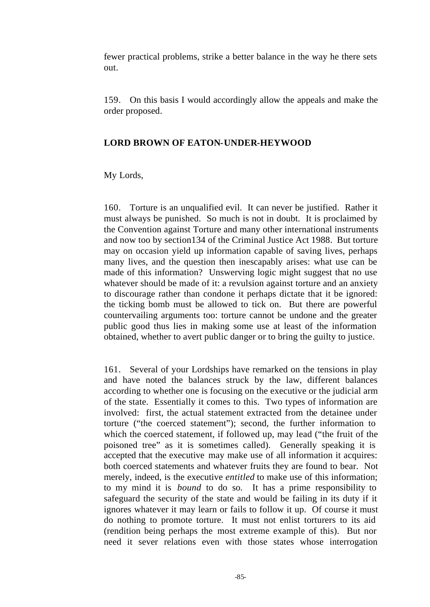fewer practical problems, strike a better balance in the way he there sets out.

159. On this basis I would accordingly allow the appeals and make the order proposed.

## **LORD BROWN OF EATON-UNDER-HEYWOOD**

My Lords,

160. Torture is an unqualified evil. It can never be justified. Rather it must always be punished. So much is not in doubt. It is proclaimed by the Convention against Torture and many other international instruments and now too by section134 of the Criminal Justice Act 1988. But torture may on occasion yield up information capable of saving lives, perhaps many lives, and the question then inescapably arises: what use can be made of this information? Unswerving logic might suggest that no use whatever should be made of it: a revulsion against torture and an anxiety to discourage rather than condone it perhaps dictate that it be ignored: the ticking bomb must be allowed to tick on. But there are powerful countervailing arguments too: torture cannot be undone and the greater public good thus lies in making some use at least of the information obtained, whether to avert public danger or to bring the guilty to justice.

161. Several of your Lordships have remarked on the tensions in play and have noted the balances struck by the law, different balances according to whether one is focusing on the executive or the judicial arm of the state. Essentially it comes to this. Two types of information are involved: first, the actual statement extracted from the detainee under torture ("the coerced statement"); second, the further information to which the coerced statement, if followed up, may lead ("the fruit of the poisoned tree" as it is sometimes called). Generally speaking it is accepted that the executive may make use of all information it acquires: both coerced statements and whatever fruits they are found to bear. Not merely, indeed, is the executive *entitled* to make use of this information; to my mind it is *bound* to do so. It has a prime responsibility to safeguard the security of the state and would be failing in its duty if it ignores whatever it may learn or fails to follow it up. Of course it must do nothing to promote torture. It must not enlist torturers to its aid (rendition being perhaps the most extreme example of this). But nor need it sever relations even with those states whose interrogation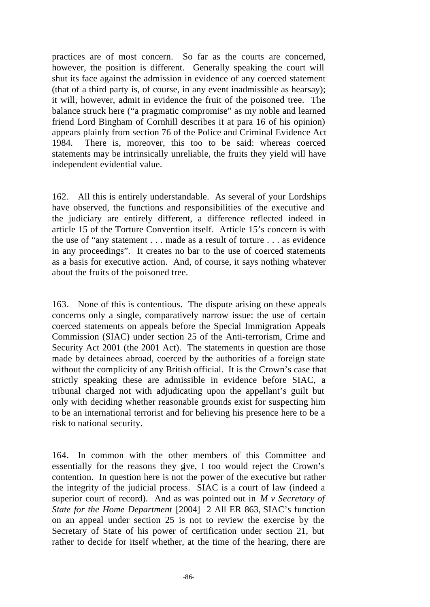practices are of most concern. So far as the courts are concerned, however, the position is different. Generally speaking the court will shut its face against the admission in evidence of any coerced statement (that of a third party is, of course, in any event inadmissible as hearsay); it will, however, admit in evidence the fruit of the poisoned tree. The balance struck here ("a pragmatic compromise" as my noble and learned friend Lord Bingham of Cornhill describes it at para 16 of his opinion) appears plainly from section 76 of the Police and Criminal Evidence Act 1984. There is, moreover, this too to be said: whereas coerced statements may be intrinsically unreliable, the fruits they yield will have independent evidential value.

162. All this is entirely understandable. As several of your Lordships have observed, the functions and responsibilities of the executive and the judiciary are entirely different, a difference reflected indeed in article 15 of the Torture Convention itself. Article 15's concern is with the use of "any statement . . . made as a result of torture . . . as evidence in any proceedings". It creates no bar to the use of coerced statements as a basis for executive action. And, of course, it says nothing whatever about the fruits of the poisoned tree.

163. None of this is contentious. The dispute arising on these appeals concerns only a single, comparatively narrow issue: the use of certain coerced statements on appeals before the Special Immigration Appeals Commission (SIAC) under section 25 of the Anti-terrorism, Crime and Security Act 2001 (the 2001 Act). The statements in question are those made by detainees abroad, coerced by the authorities of a foreign state without the complicity of any British official. It is the Crown's case that strictly speaking these are admissible in evidence before SIAC, a tribunal charged not with adjudicating upon the appellant's guilt but only with deciding whether reasonable grounds exist for suspecting him to be an international terrorist and for believing his presence here to be a risk to national security.

164. In common with the other members of this Committee and essentially for the reasons they give, I too would reject the Crown's contention. In question here is not the power of the executive but rather the integrity of the judicial process. SIAC is a court of law (indeed a superior court of record). And as was pointed out in *M v Secretary of State for the Home Department* [2004] 2 All ER 863, SIAC's function on an appeal under section 25 is not to review the exercise by the Secretary of State of his power of certification under section 21, but rather to decide for itself whether, at the time of the hearing, there are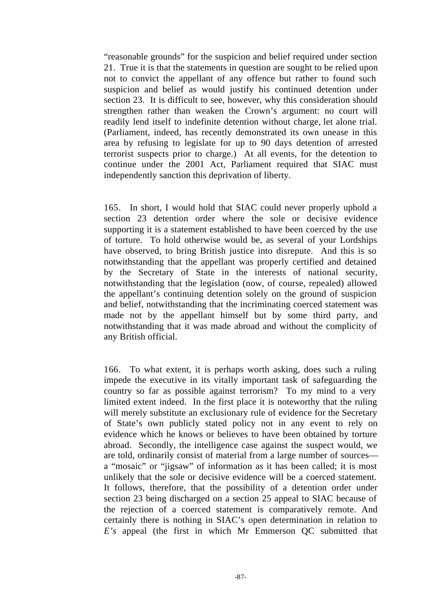"reasonable grounds" for the suspicion and belief required under section 21. True it is that the statements in question are sought to be relied upon not to convict the appellant of any offence but rather to found such suspicion and belief as would justify his continued detention under section 23. It is difficult to see, however, why this consideration should strengthen rather than weaken the Crown's argument: no court will readily lend itself to indefinite detention without charge, let alone trial. (Parliament, indeed, has recently demonstrated its own unease in this area by refusing to legislate for up to 90 days detention of arrested terrorist suspects prior to charge.) At all events, for the detention to continue under the 2001 Act, Parliament required that SIAC must independently sanction this deprivation of liberty.

165. In short, I would hold that SIAC could never properly uphold a section 23 detention order where the sole or decisive evidence supporting it is a statement established to have been coerced by the use of torture. To hold otherwise would be, as several of your Lordships have observed, to bring British justice into disrepute. And this is so notwithstanding that the appellant was properly certified and detained by the Secretary of State in the interests of national security, notwithstanding that the legislation (now, of course, repealed) allowed the appellant's continuing detention solely on the ground of suspicion and belief, notwithstanding that the incriminating coerced statement was made not by the appellant himself but by some third party, and notwithstanding that it was made abroad and without the complicity of any British official.

166. To what extent, it is perhaps worth asking, does such a ruling impede the executive in its vitally important task of safeguarding the country so far as possible against terrorism? To my mind to a very limited extent indeed. In the first place it is noteworthy that the ruling will merely substitute an exclusionary rule of evidence for the Secretary of State's own publicly stated policy not in any event to rely on evidence which he knows or believes to have been obtained by torture abroad. Secondly, the intelligence case against the suspect would, we are told, ordinarily consist of material from a large number of sources a "mosaic" or "jigsaw" of information as it has been called; it is most unlikely that the sole or decisive evidence will be a coerced statement. It follows, therefore, that the possibility of a detention order under section 23 being discharged on a section 25 appeal to SIAC because of the rejection of a coerced statement is comparatively remote. And certainly there is nothing in SIAC's open determination in relation to *E's* appeal (the first in which Mr Emmerson QC submitted that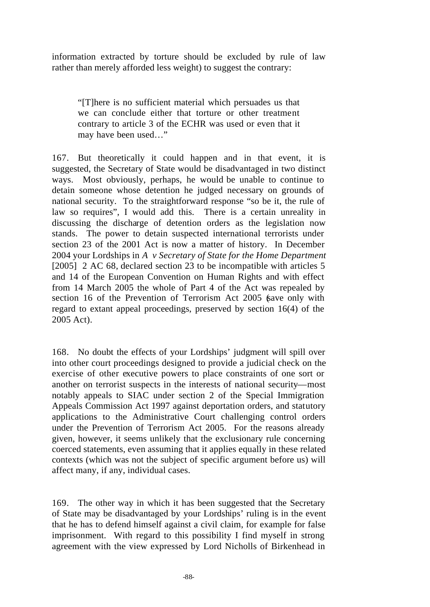information extracted by torture should be excluded by rule of law rather than merely afforded less weight) to suggest the contrary:

"[T]here is no sufficient material which persuades us that we can conclude either that torture or other treatment contrary to article 3 of the ECHR was used or even that it may have been used…"

167. But theoretically it could happen and in that event, it is suggested, the Secretary of State would be disadvantaged in two distinct ways. Most obviously, perhaps, he would be unable to continue to detain someone whose detention he judged necessary on grounds of national security. To the straightforward response "so be it, the rule of law so requires", I would add this. There is a certain unreality in discussing the discharge of detention orders as the legislation now stands. The power to detain suspected international terrorists under section 23 of the 2001 Act is now a matter of history. In December 2004 your Lordships in *A v Secretary of State for the Home Department* [2005] 2 AC 68, declared section 23 to be incompatible with articles 5 and 14 of the European Convention on Human Rights and with effect from 14 March 2005 the whole of Part 4 of the Act was repealed by section 16 of the Prevention of Terrorism Act 2005 (save only with regard to extant appeal proceedings, preserved by section 16(4) of the 2005 Act).

168. No doubt the effects of your Lordships' judgment will spill over into other court proceedings designed to provide a judicial check on the exercise of other executive powers to place constraints of one sort or another on terrorist suspects in the interests of national security—most notably appeals to SIAC under section 2 of the Special Immigration Appeals Commission Act 1997 against deportation orders, and statutory applications to the Administrative Court challenging control orders under the Prevention of Terrorism Act 2005. For the reasons already given, however, it seems unlikely that the exclusionary rule concerning coerced statements, even assuming that it applies equally in these related contexts (which was not the subject of specific argument before us) will affect many, if any, individual cases.

169. The other way in which it has been suggested that the Secretary of State may be disadvantaged by your Lordships' ruling is in the event that he has to defend himself against a civil claim, for example for false imprisonment. With regard to this possibility I find myself in strong agreement with the view expressed by Lord Nicholls of Birkenhead in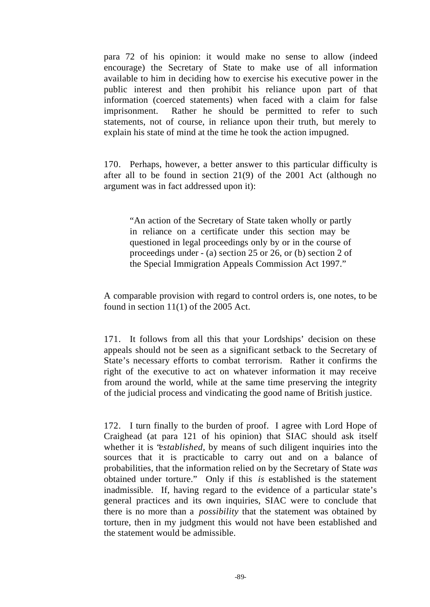para 72 of his opinion: it would make no sense to allow (indeed encourage) the Secretary of State to make use of all information available to him in deciding how to exercise his executive power in the public interest and then prohibit his reliance upon part of that information (coerced statements) when faced with a claim for false imprisonment. Rather he should be permitted to refer to such statements, not of course, in reliance upon their truth, but merely to explain his state of mind at the time he took the action impugned.

170. Perhaps, however, a better answer to this particular difficulty is after all to be found in section 21(9) of the 2001 Act (although no argument was in fact addressed upon it):

"An action of the Secretary of State taken wholly or partly in reliance on a certificate under this section may be questioned in legal proceedings only by or in the course of proceedings under - (a) section 25 or 26, or (b) section 2 of the Special Immigration Appeals Commission Act 1997."

A comparable provision with regard to control orders is, one notes, to be found in section 11(1) of the 2005 Act.

171. It follows from all this that your Lordships' decision on these appeals should not be seen as a significant setback to the Secretary of State's necessary efforts to combat terrorism. Rather it confirms the right of the executive to act on whatever information it may receive from around the world, while at the same time preserving the integrity of the judicial process and vindicating the good name of British justice.

172. I turn finally to the burden of proof. I agree with Lord Hope of Craighead (at para 121 of his opinion) that SIAC should ask itself whether it is "*established*, by means of such diligent inquiries into the sources that it is practicable to carry out and on a balance of probabilities, that the information relied on by the Secretary of State *was* obtained under torture." Only if this *is* established is the statement inadmissible. If, having regard to the evidence of a particular state's general practices and its own inquiries, SIAC were to conclude that there is no more than a *possibility* that the statement was obtained by torture, then in my judgment this would not have been established and the statement would be admissible.